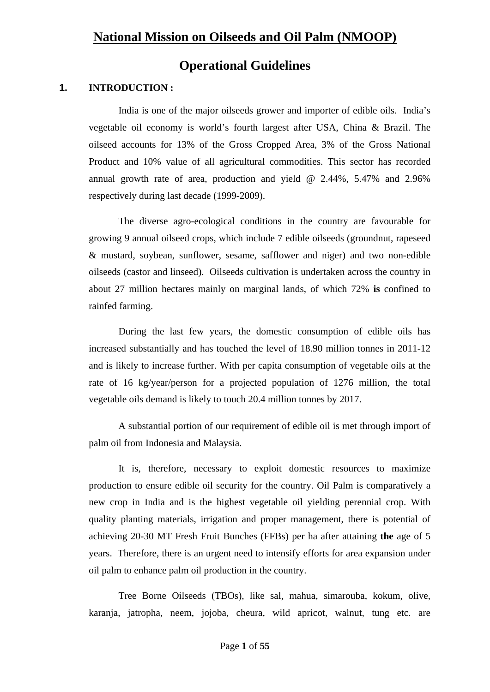# **Operational Guidelines**

# **1. INTRODUCTION :**

India is one of the major oilseeds grower and importer of edible oils. India's vegetable oil economy is world's fourth largest after USA, China & Brazil. The oilseed accounts for 13% of the Gross Cropped Area, 3% of the Gross National Product and 10% value of all agricultural commodities. This sector has recorded annual growth rate of area, production and yield @ 2.44%, 5.47% and 2.96% respectively during last decade (1999-2009).

The diverse agro-ecological conditions in the country are favourable for growing 9 annual oilseed crops, which include 7 edible oilseeds (groundnut, rapeseed & mustard, soybean, sunflower, sesame, safflower and niger) and two non-edible oilseeds (castor and linseed). Oilseeds cultivation is undertaken across the country in about 27 million hectares mainly on marginal lands, of which 72% **is** confined to rainfed farming.

During the last few years, the domestic consumption of edible oils has increased substantially and has touched the level of 18.90 million tonnes in 2011-12 and is likely to increase further. With per capita consumption of vegetable oils at the rate of 16 kg/year/person for a projected population of 1276 million, the total vegetable oils demand is likely to touch 20.4 million tonnes by 2017.

 A substantial portion of our requirement of edible oil is met through import of palm oil from Indonesia and Malaysia.

 It is, therefore, necessary to exploit domestic resources to maximize production to ensure edible oil security for the country. Oil Palm is comparatively a new crop in India and is the highest vegetable oil yielding perennial crop. With quality planting materials, irrigation and proper management, there is potential of achieving 20-30 MT Fresh Fruit Bunches (FFBs) per ha after attaining **the** age of 5 years. Therefore, there is an urgent need to intensify efforts for area expansion under oil palm to enhance palm oil production in the country.

Tree Borne Oilseeds (TBOs), like sal, mahua, simarouba, kokum, olive, karanja, jatropha, neem, jojoba, cheura, wild apricot, walnut, tung etc. are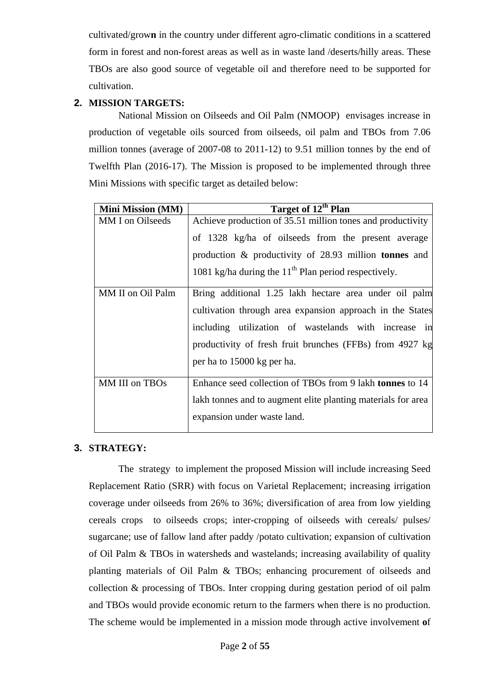cultivated/grow**n** in the country under different agro-climatic conditions in a scattered form in forest and non-forest areas as well as in waste land /deserts/hilly areas. These TBOs are also good source of vegetable oil and therefore need to be supported for cultivation.

# **2. MISSION TARGETS:**

National Mission on Oilseeds and Oil Palm (NMOOP) envisages increase in production of vegetable oils sourced from oilseeds, oil palm and TBOs from 7.06 million tonnes (average of 2007-08 to 2011-12) to 9.51 million tonnes by the end of Twelfth Plan (2016-17). The Mission is proposed to be implemented through three Mini Missions with specific target as detailed below:

| <b>Mini Mission (MM)</b> | Target of 12 <sup>th</sup> Plan                                 |
|--------------------------|-----------------------------------------------------------------|
| MM I on Oilseeds         | Achieve production of 35.51 million tones and productivity      |
|                          | of 1328 kg/ha of oilseeds from the present average              |
|                          | production $\&$ productivity of 28.93 million <b>tonnes</b> and |
|                          | 1081 kg/ha during the $11th$ Plan period respectively.          |
| MM II on Oil Palm        | Bring additional 1.25 lakh hectare area under oil palm          |
|                          | cultivation through area expansion approach in the States       |
|                          | including utilization of wastelands with increase in            |
|                          | productivity of fresh fruit brunches (FFBs) from 4927 kg        |
|                          | per ha to 15000 kg per ha.                                      |
| MM III on TBOs           | Enhance seed collection of TBOs from 9 lakh tonnes to 14        |
|                          | lakh tonnes and to augment elite planting materials for area    |
|                          | expansion under waste land.                                     |
|                          |                                                                 |

# **3. STRATEGY:**

The strategy to implement the proposed Mission will include increasing Seed Replacement Ratio (SRR) with focus on Varietal Replacement; increasing irrigation coverage under oilseeds from 26% to 36%; diversification of area from low yielding cereals crops to oilseeds crops; inter-cropping of oilseeds with cereals/ pulses/ sugarcane; use of fallow land after paddy /potato cultivation; expansion of cultivation of Oil Palm & TBOs in watersheds and wastelands; increasing availability of quality planting materials of Oil Palm & TBOs; enhancing procurement of oilseeds and collection & processing of TBOs. Inter cropping during gestation period of oil palm and TBOs would provide economic return to the farmers when there is no production. The scheme would be implemented in a mission mode through active involvement **o**f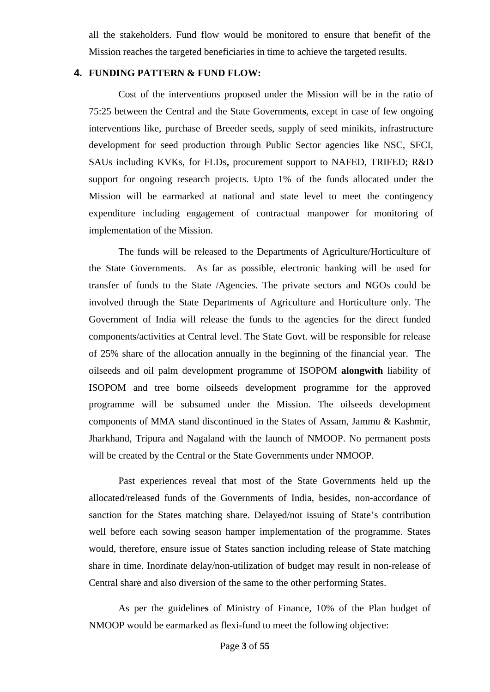all the stakeholders. Fund flow would be monitored to ensure that benefit of the Mission reaches the targeted beneficiaries in time to achieve the targeted results.

### **4. FUNDING PATTERN & FUND FLOW:**

 Cost of the interventions proposed under the Mission will be in the ratio of 75:25 between the Central and the State Government**s**, except in case of few ongoing interventions like, purchase of Breeder seeds, supply of seed minikits, infrastructure development for seed production through Public Sector agencies like NSC, SFCI, SAUs including KVKs, for FLDs**,** procurement support to NAFED, TRIFED; R&D support for ongoing research projects. Upto 1% of the funds allocated under the Mission will be earmarked at national and state level to meet the contingency expenditure including engagement of contractual manpower for monitoring of implementation of the Mission.

 The funds will be released to the Departments of Agriculture/Horticulture of the State Governments. As far as possible, electronic banking will be used for transfer of funds to the State /Agencies. The private sectors and NGOs could be involved through the State Department**s** of Agriculture and Horticulture only. The Government of India will release the funds to the agencies for the direct funded components/activities at Central level. The State Govt. will be responsible for release of 25% share of the allocation annually in the beginning of the financial year. The oilseeds and oil palm development programme of ISOPOM **alongwith** liability of ISOPOM and tree borne oilseeds development programme for the approved programme will be subsumed under the Mission. The oilseeds development components of MMA stand discontinued in the States of Assam, Jammu & Kashmir, Jharkhand, Tripura and Nagaland with the launch of NMOOP. No permanent posts will be created by the Central or the State Governments under NMOOP.

 Past experiences reveal that most of the State Governments held up the allocated/released funds of the Governments of India, besides, non-accordance of sanction for the States matching share. Delayed/not issuing of State's contribution well before each sowing season hamper implementation of the programme. States would, therefore, ensure issue of States sanction including release of State matching share in time. Inordinate delay/non-utilization of budget may result in non-release of Central share and also diversion of the same to the other performing States.

 As per the guideline**s** of Ministry of Finance, 10% of the Plan budget of NMOOP would be earmarked as flexi-fund to meet the following objective: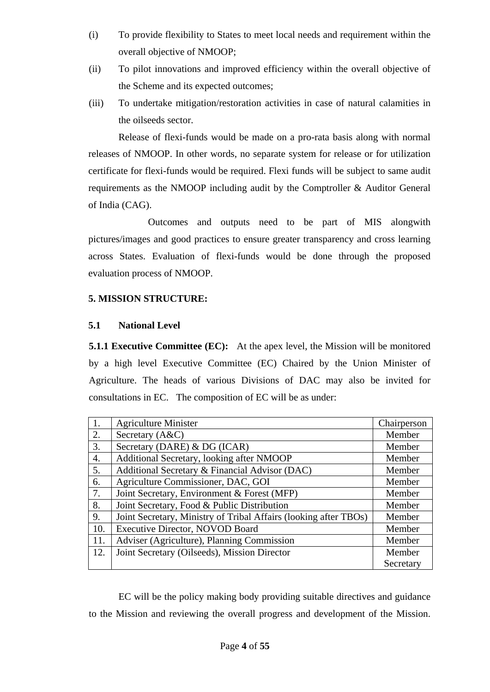- (i) To provide flexibility to States to meet local needs and requirement within the overall objective of NMOOP;
- (ii) To pilot innovations and improved efficiency within the overall objective of the Scheme and its expected outcomes;
- (iii) To undertake mitigation/restoration activities in case of natural calamities in the oilseeds sector.

Release of flexi-funds would be made on a pro-rata basis along with normal releases of NMOOP. In other words, no separate system for release or for utilization certificate for flexi-funds would be required. Flexi funds will be subject to same audit requirements as the NMOOP including audit by the Comptroller & Auditor General of India (CAG).

 Outcomes and outputs need to be part of MIS alongwith pictures/images and good practices to ensure greater transparency and cross learning across States. Evaluation of flexi-funds would be done through the proposed evaluation process of NMOOP.

# **5. MISSION STRUCTURE:**

# **5.1 National Level**

**5.1.1 Executive Committee (EC):** At the apex level, the Mission will be monitored by a high level Executive Committee (EC) Chaired by the Union Minister of Agriculture. The heads of various Divisions of DAC may also be invited for consultations in EC. The composition of EC will be as under:

|     | <b>Agriculture Minister</b>                                      | Chairperson |
|-----|------------------------------------------------------------------|-------------|
| 2.  | Secretary (A&C)                                                  | Member      |
| 3.  | Secretary (DARE) & DG (ICAR)                                     | Member      |
| 4.  | Additional Secretary, looking after NMOOP                        | Member      |
| 5.  | Additional Secretary & Financial Advisor (DAC)                   | Member      |
| 6.  | Agriculture Commissioner, DAC, GOI                               | Member      |
| 7.  | Joint Secretary, Environment & Forest (MFP)                      | Member      |
| 8.  | Joint Secretary, Food & Public Distribution                      | Member      |
| 9.  | Joint Secretary, Ministry of Tribal Affairs (looking after TBOs) | Member      |
| 10. | <b>Executive Director, NOVOD Board</b>                           | Member      |
| 11. | Adviser (Agriculture), Planning Commission                       | Member      |
| 12. | Joint Secretary (Oilseeds), Mission Director                     | Member      |
|     |                                                                  | Secretary   |

 EC will be the policy making body providing suitable directives and guidance to the Mission and reviewing the overall progress and development of the Mission.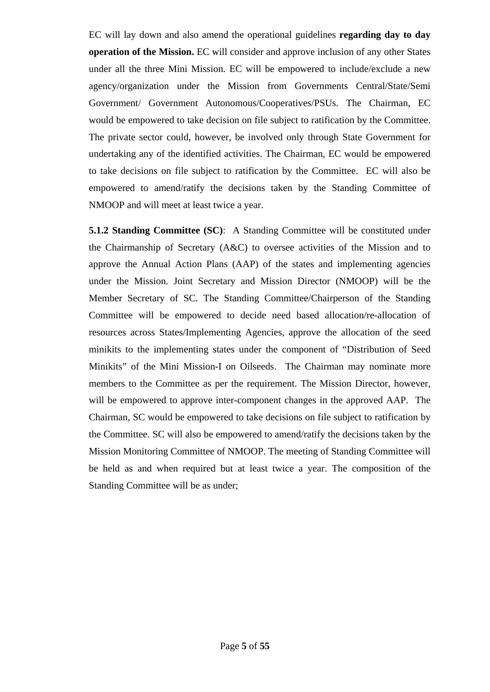EC will lay down and also amend the operational guidelines **regarding day to day operation of the Mission.** EC will consider and approve inclusion of any other States under all the three Mini Mission. EC will be empowered to include/exclude a new agency/organization under the Mission from Governments Central/State/Semi Government/ Government Autonomous/Cooperatives/PSUs. The Chairman, EC would be empowered to take decision on file subject to ratification by the Committee. The private sector could, however, be involved only through State Government for undertaking any of the identified activities. The Chairman, EC would be empowered to take decisions on file subject to ratification by the Committee. EC will also be empowered to amend/ratify the decisions taken by the Standing Committee of NMOOP and will meet at least twice a year.

 **5.1.2 Standing Committee (SC)**: A Standing Committee will be constituted under the Chairmanship of Secretary (A&C) to oversee activities of the Mission and to approve the Annual Action Plans (AAP) of the states and implementing agencies under the Mission. Joint Secretary and Mission Director (NMOOP) will be the Member Secretary of SC. The Standing Committee/Chairperson of the Standing Committee will be empowered to decide need based allocation/re-allocation of resources across States/Implementing Agencies, approve the allocation of the seed minikits to the implementing states under the component of "Distribution of Seed Minikits" of the Mini Mission-I on Oilseeds. The Chairman may nominate more members to the Committee as per the requirement. The Mission Director, however, will be empowered to approve inter-component changes in the approved AAP. The Chairman, SC would be empowered to take decisions on file subject to ratification by the Committee. SC will also be empowered to amend/ratify the decisions taken by the Mission Monitoring Committee of NMOOP. The meeting of Standing Committee will be held as and when required but at least twice a year. The composition of the Standing Committee will be as under;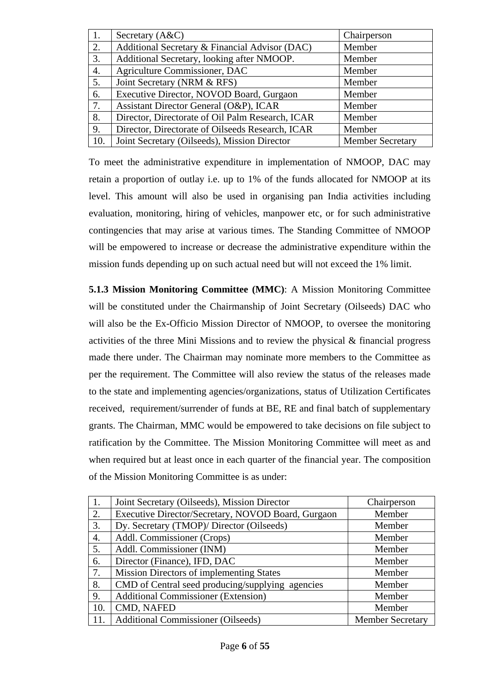| 1.  | Secretary (A&C)                                  | Chairperson             |
|-----|--------------------------------------------------|-------------------------|
| 2.  | Additional Secretary & Financial Advisor (DAC)   | Member                  |
| 3.  | Additional Secretary, looking after NMOOP.       | Member                  |
| 4.  | Agriculture Commissioner, DAC                    | Member                  |
| 5.  | Joint Secretary (NRM & RFS)                      | Member                  |
| 6.  | Executive Director, NOVOD Board, Gurgaon         | Member                  |
| 7.  | Assistant Director General (O&P), ICAR           | Member                  |
| 8.  | Director, Directorate of Oil Palm Research, ICAR | Member                  |
| 9.  | Director, Directorate of Oilseeds Research, ICAR | Member                  |
| 10. | Joint Secretary (Oilseeds), Mission Director     | <b>Member Secretary</b> |

To meet the administrative expenditure in implementation of NMOOP, DAC may retain a proportion of outlay i.e. up to 1% of the funds allocated for NMOOP at its level. This amount will also be used in organising pan India activities including evaluation, monitoring, hiring of vehicles, manpower etc, or for such administrative contingencies that may arise at various times. The Standing Committee of NMOOP will be empowered to increase or decrease the administrative expenditure within the mission funds depending up on such actual need but will not exceed the 1% limit.

 **5.1.3 Mission Monitoring Committee (MMC)**: A Mission Monitoring Committee will be constituted under the Chairmanship of Joint Secretary (Oilseeds) DAC who will also be the Ex-Officio Mission Director of NMOOP, to oversee the monitoring activities of the three Mini Missions and to review the physical & financial progress made there under. The Chairman may nominate more members to the Committee as per the requirement. The Committee will also review the status of the releases made to the state and implementing agencies/organizations, status of Utilization Certificates received, requirement/surrender of funds at BE, RE and final batch of supplementary grants. The Chairman, MMC would be empowered to take decisions on file subject to ratification by the Committee. The Mission Monitoring Committee will meet as and when required but at least once in each quarter of the financial year. The composition of the Mission Monitoring Committee is as under:

| 1.  | Joint Secretary (Oilseeds), Mission Director       | Chairperson             |
|-----|----------------------------------------------------|-------------------------|
| 2.  | Executive Director/Secretary, NOVOD Board, Gurgaon | Member                  |
| 3.  | Dy. Secretary (TMOP)/ Director (Oilseeds)          | Member                  |
| 4.  | Addl. Commissioner (Crops)                         | Member                  |
| 5.  | Addl. Commissioner (INM)                           | Member                  |
| 6.  | Director (Finance), IFD, DAC                       | Member                  |
| 7.  | <b>Mission Directors of implementing States</b>    | Member                  |
| 8.  | CMD of Central seed producing/supplying agencies   | Member                  |
| 9.  | <b>Additional Commissioner (Extension)</b>         | Member                  |
| 10. | CMD, NAFED                                         | Member                  |
| 11. | <b>Additional Commissioner (Oilseeds)</b>          | <b>Member Secretary</b> |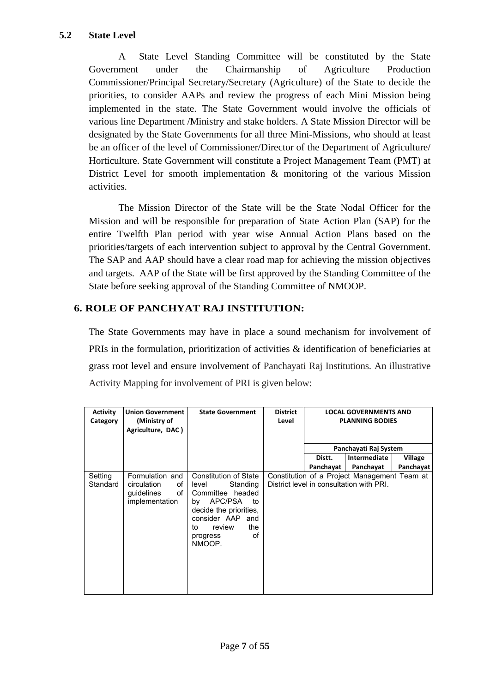A State Level Standing Committee will be constituted by the State Government under the Chairmanship of Agriculture Production Commissioner/Principal Secretary/Secretary (Agriculture) of the State to decide the priorities, to consider AAPs and review the progress of each Mini Mission being implemented in the state. The State Government would involve the officials of various line Department /Ministry and stake holders. A State Mission Director will be designated by the State Governments for all three Mini-Missions, who should at least be an officer of the level of Commissioner/Director of the Department of Agriculture/ Horticulture. State Government will constitute a Project Management Team (PMT) at District Level for smooth implementation & monitoring of the various Mission activities.

The Mission Director of the State will be the State Nodal Officer for the Mission and will be responsible for preparation of State Action Plan (SAP) for the entire Twelfth Plan period with year wise Annual Action Plans based on the priorities/targets of each intervention subject to approval by the Central Government. The SAP and AAP should have a clear road map for achieving the mission objectives and targets. AAP of the State will be first approved by the Standing Committee of the State before seeking approval of the Standing Committee of NMOOP.

# **6. ROLE OF PANCHYAT RAJ INSTITUTION:**

The State Governments may have in place a sound mechanism for involvement of PRIs in the formulation, prioritization of activities & identification of beneficiaries at grass root level and ensure involvement of Panchayati Raj Institutions. An illustrative Activity Mapping for involvement of PRI is given below:

| <b>Activity</b><br>Category | <b>Union Government</b><br>(Ministry of<br>Agriculture, DAC)               | <b>State Government</b>                                                                                                                                                                           | <b>District</b><br>Level |                     | <b>LOCAL GOVERNMENTS AND</b><br><b>PLANNING BODIES</b>                                   |                             |
|-----------------------------|----------------------------------------------------------------------------|---------------------------------------------------------------------------------------------------------------------------------------------------------------------------------------------------|--------------------------|---------------------|------------------------------------------------------------------------------------------|-----------------------------|
|                             |                                                                            |                                                                                                                                                                                                   |                          |                     | Panchayati Raj System                                                                    |                             |
|                             |                                                                            |                                                                                                                                                                                                   |                          | Distt.<br>Panchavat | Intermediate<br>Panchayat                                                                | <b>Village</b><br>Panchayat |
| Setting<br>Standard         | Formulation and<br>circulation<br>οf<br>quidelines<br>οf<br>implementation | <b>Constitution of State</b><br>Standing<br>level<br>Committee headed<br>APC/PSA<br>to<br>bv<br>decide the priorities.<br>consider AAP<br>and<br>the<br>review<br>to.<br>οf<br>progress<br>NMOOP. |                          |                     | Constitution of a Project Management Team at<br>District level in consultation with PRI. |                             |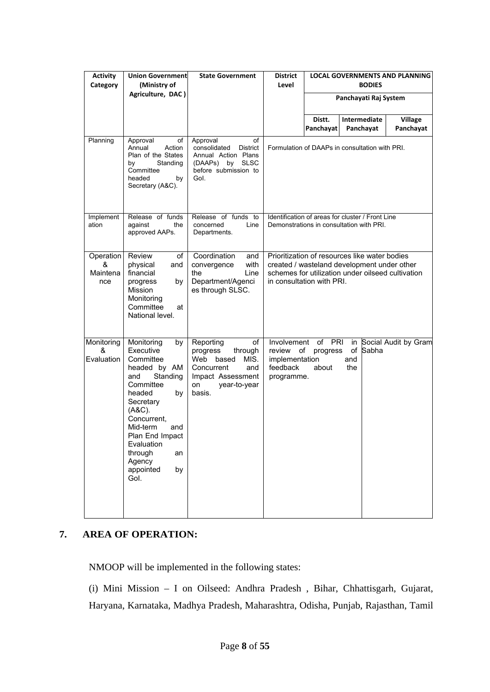| <b>Activity</b><br>Category       | <b>Union Government</b><br>(Ministry of<br>Agriculture, DAC)                                                                                                                                                                                                  | <b>State Government</b>                                                                                                                  | <b>District</b><br>Level                                                                     |                                   | <b>BODIES</b>                                                                                                                                     | <b>LOCAL GOVERNMENTS AND PLANNING</b> |
|-----------------------------------|---------------------------------------------------------------------------------------------------------------------------------------------------------------------------------------------------------------------------------------------------------------|------------------------------------------------------------------------------------------------------------------------------------------|----------------------------------------------------------------------------------------------|-----------------------------------|---------------------------------------------------------------------------------------------------------------------------------------------------|---------------------------------------|
|                                   |                                                                                                                                                                                                                                                               |                                                                                                                                          |                                                                                              |                                   | Panchayati Raj System                                                                                                                             |                                       |
|                                   |                                                                                                                                                                                                                                                               |                                                                                                                                          |                                                                                              | Distt.<br>Panchayat               | Intermediate<br>Panchayat                                                                                                                         | Village<br>Panchayat                  |
| Planning                          | of<br>Approval<br>Annual<br>Action<br>Plan of the States<br>Standing<br>bν<br>Committee<br>headed<br>by<br>Secretary (A&C).                                                                                                                                   | Approval<br>οf<br>consolidated<br><b>District</b><br>Annual Action Plans<br>(DAAPs)<br>by<br><b>SLSC</b><br>before submission to<br>Gol. | Formulation of DAAPs in consultation with PRI.                                               |                                   |                                                                                                                                                   |                                       |
| Implement<br>ation                | Release of funds<br>against<br>the<br>approved AAPs.                                                                                                                                                                                                          | Release of funds to<br>Line<br>concerned<br>Departments.                                                                                 | Identification of areas for cluster / Front Line<br>Demonstrations in consultation with PRI. |                                   |                                                                                                                                                   |                                       |
| Operation<br>&<br>Maintena<br>nce | Review<br>οf<br>physical<br>and<br>financial<br>by<br>progress<br>Mission<br>Monitoring<br>Committee<br>at<br>National level.                                                                                                                                 | Coordination<br>and<br>with<br>convergence<br>Line<br>the<br>Department/Agenci<br>es through SLSC.                                       | in consultation with PRI.                                                                    |                                   | Prioritization of resources like water bodies<br>created / wasteland development under other<br>schemes for utilization under oilseed cultivation |                                       |
| Monitoring<br>&<br>Evaluation     | Monitoring<br>by<br>Executive<br>Committee<br>headed by AM<br>Standing<br>and<br>Committee<br>headed<br>by<br>Secretary<br>$(ABC)$ .<br>Concurrent,<br>Mid-term<br>and<br>Plan End Impact<br>Evaluation<br>through<br>an<br>Agency<br>appointed<br>by<br>Gol. | Reporting<br>of<br>progress<br>through<br>Web based<br>MIS.<br>Concurrent<br>and<br>Impact Assessment<br>year-to-year<br>on<br>basis.    | Involvement<br>review<br>implementation<br>feedback<br>programme.                            | of PRI<br>of<br>progress<br>about | in<br>$\mathsf{of}$<br>Sabha<br>and<br>the                                                                                                        | Social Audit by Gram                  |

# **7. AREA OF OPERATION:**

NMOOP will be implemented in the following states:

(i) Mini Mission – I on Oilseed: Andhra Pradesh , Bihar, Chhattisgarh, Gujarat, Haryana, Karnataka, Madhya Pradesh, Maharashtra, Odisha, Punjab, Rajasthan, Tamil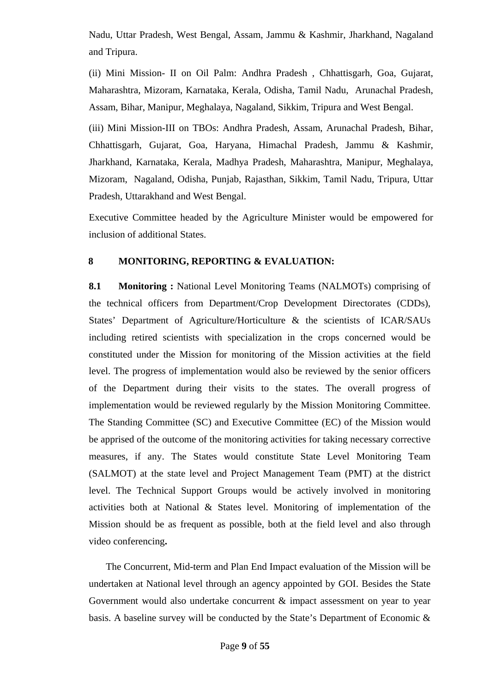Nadu, Uttar Pradesh, West Bengal, Assam, Jammu & Kashmir, Jharkhand, Nagaland and Tripura.

(ii) Mini Mission- II on Oil Palm: Andhra Pradesh , Chhattisgarh, Goa, Gujarat, Maharashtra, Mizoram, Karnataka, Kerala, Odisha, Tamil Nadu, Arunachal Pradesh, Assam, Bihar, Manipur, Meghalaya, Nagaland, Sikkim, Tripura and West Bengal.

(iii) Mini Mission-III on TBOs: Andhra Pradesh, Assam, Arunachal Pradesh, Bihar, Chhattisgarh, Gujarat, Goa, Haryana, Himachal Pradesh, Jammu & Kashmir, Jharkhand, Karnataka, Kerala, Madhya Pradesh, Maharashtra, Manipur, Meghalaya, Mizoram, Nagaland, Odisha, Punjab, Rajasthan, Sikkim, Tamil Nadu, Tripura, Uttar Pradesh, Uttarakhand and West Bengal.

Executive Committee headed by the Agriculture Minister would be empowered for inclusion of additional States.

# **8 MONITORING, REPORTING & EVALUATION:**

**8.1 Monitoring :** National Level Monitoring Teams (NALMOTs) comprising of the technical officers from Department/Crop Development Directorates (CDDs), States' Department of Agriculture/Horticulture & the scientists of ICAR/SAUs including retired scientists with specialization in the crops concerned would be constituted under the Mission for monitoring of the Mission activities at the field level. The progress of implementation would also be reviewed by the senior officers of the Department during their visits to the states. The overall progress of implementation would be reviewed regularly by the Mission Monitoring Committee. The Standing Committee (SC) and Executive Committee (EC) of the Mission would be apprised of the outcome of the monitoring activities for taking necessary corrective measures, if any. The States would constitute State Level Monitoring Team (SALMOT) at the state level and Project Management Team (PMT) at the district level. The Technical Support Groups would be actively involved in monitoring activities both at National & States level. Monitoring of implementation of the Mission should be as frequent as possible, both at the field level and also through video conferencing**.** 

 The Concurrent, Mid-term and Plan End Impact evaluation of the Mission will be undertaken at National level through an agency appointed by GOI. Besides the State Government would also undertake concurrent & impact assessment on year to year basis. A baseline survey will be conducted by the State's Department of Economic &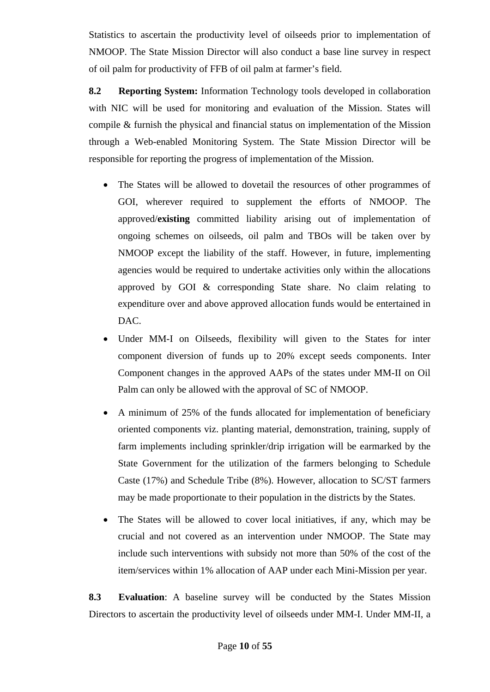Statistics to ascertain the productivity level of oilseeds prior to implementation of NMOOP. The State Mission Director will also conduct a base line survey in respect of oil palm for productivity of FFB of oil palm at farmer's field.

 **8.2 Reporting System:** Information Technology tools developed in collaboration with NIC will be used for monitoring and evaluation of the Mission. States will compile & furnish the physical and financial status on implementation of the Mission through a Web-enabled Monitoring System. The State Mission Director will be responsible for reporting the progress of implementation of the Mission.

- The States will be allowed to dovetail the resources of other programmes of GOI, wherever required to supplement the efforts of NMOOP. The approved/**existing** committed liability arising out of implementation of ongoing schemes on oilseeds, oil palm and TBOs will be taken over by NMOOP except the liability of the staff. However, in future, implementing agencies would be required to undertake activities only within the allocations approved by GOI & corresponding State share. No claim relating to expenditure over and above approved allocation funds would be entertained in DAC.
- Under MM-I on Oilseeds, flexibility will given to the States for inter component diversion of funds up to 20% except seeds components. Inter Component changes in the approved AAPs of the states under MM-II on Oil Palm can only be allowed with the approval of SC of NMOOP.
- A minimum of 25% of the funds allocated for implementation of beneficiary oriented components viz. planting material, demonstration, training, supply of farm implements including sprinkler/drip irrigation will be earmarked by the State Government for the utilization of the farmers belonging to Schedule Caste (17%) and Schedule Tribe (8%). However, allocation to SC/ST farmers may be made proportionate to their population in the districts by the States.
- The States will be allowed to cover local initiatives, if any, which may be crucial and not covered as an intervention under NMOOP. The State may include such interventions with subsidy not more than 50% of the cost of the item/services within 1% allocation of AAP under each Mini-Mission per year.

 **8.3 Evaluation**: A baseline survey will be conducted by the States Mission Directors to ascertain the productivity level of oilseeds under MM-I. Under MM-II, a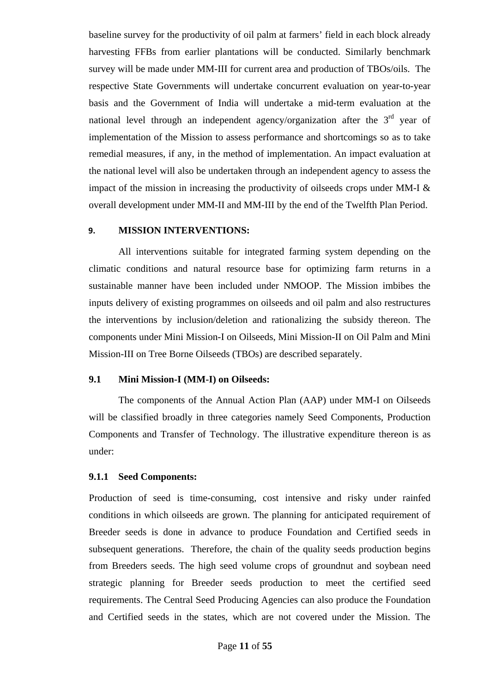baseline survey for the productivity of oil palm at farmers' field in each block already harvesting FFBs from earlier plantations will be conducted. Similarly benchmark survey will be made under MM-III for current area and production of TBOs/oils. The respective State Governments will undertake concurrent evaluation on year-to-year basis and the Government of India will undertake a mid-term evaluation at the national level through an independent agency/organization after the  $3<sup>rd</sup>$  year of implementation of the Mission to assess performance and shortcomings so as to take remedial measures, if any, in the method of implementation. An impact evaluation at the national level will also be undertaken through an independent agency to assess the impact of the mission in increasing the productivity of oilseeds crops under MM-I & overall development under MM-II and MM-III by the end of the Twelfth Plan Period.

### **9. MISSION INTERVENTIONS:**

All interventions suitable for integrated farming system depending on the climatic conditions and natural resource base for optimizing farm returns in a sustainable manner have been included under NMOOP. The Mission imbibes the inputs delivery of existing programmes on oilseeds and oil palm and also restructures the interventions by inclusion/deletion and rationalizing the subsidy thereon. The components under Mini Mission-I on Oilseeds, Mini Mission-II on Oil Palm and Mini Mission-III on Tree Borne Oilseeds (TBOs) are described separately.

# **9.1 Mini Mission-I (MM-I) on Oilseeds:**

The components of the Annual Action Plan (AAP) under MM-I on Oilseeds will be classified broadly in three categories namely Seed Components, Production Components and Transfer of Technology. The illustrative expenditure thereon is as under:

# **9.1.1 Seed Components:**

Production of seed is time-consuming, cost intensive and risky under rainfed conditions in which oilseeds are grown. The planning for anticipated requirement of Breeder seeds is done in advance to produce Foundation and Certified seeds in subsequent generations. Therefore, the chain of the quality seeds production begins from Breeders seeds. The high seed volume crops of groundnut and soybean need strategic planning for Breeder seeds production to meet the certified seed requirements. The Central Seed Producing Agencies can also produce the Foundation and Certified seeds in the states, which are not covered under the Mission. The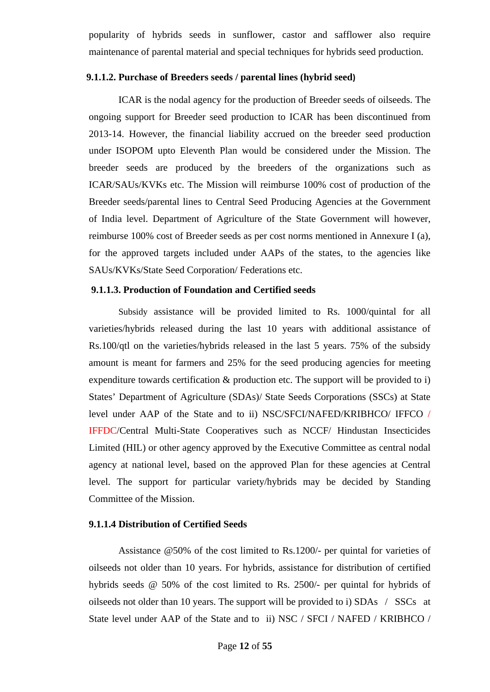popularity of hybrids seeds in sunflower, castor and safflower also require maintenance of parental material and special techniques for hybrids seed production.

### **9.1.1.2. Purchase of Breeders seeds / parental lines (hybrid seed)**

 ICAR is the nodal agency for the production of Breeder seeds of oilseeds. The ongoing support for Breeder seed production to ICAR has been discontinued from 2013-14. However, the financial liability accrued on the breeder seed production under ISOPOM upto Eleventh Plan would be considered under the Mission. The breeder seeds are produced by the breeders of the organizations such as ICAR/SAUs/KVKs etc. The Mission will reimburse 100% cost of production of the Breeder seeds/parental lines to Central Seed Producing Agencies at the Government of India level. Department of Agriculture of the State Government will however, reimburse 100% cost of Breeder seeds as per cost norms mentioned in Annexure I (a), for the approved targets included under AAPs of the states, to the agencies like SAUs/KVKs/State Seed Corporation/ Federations etc.

### **9.1.1.3. Production of Foundation and Certified seeds**

 Subsidy assistance will be provided limited to Rs. 1000/quintal for all varieties/hybrids released during the last 10 years with additional assistance of Rs.100/qtl on the varieties/hybrids released in the last 5 years. 75% of the subsidy amount is meant for farmers and 25% for the seed producing agencies for meeting expenditure towards certification & production etc. The support will be provided to i) States' Department of Agriculture (SDAs)/ State Seeds Corporations (SSCs) at State level under AAP of the State and to ii) NSC/SFCI/NAFED/KRIBHCO/ IFFCO / IFFDC/Central Multi-State Cooperatives such as NCCF/ Hindustan Insecticides Limited (HIL) or other agency approved by the Executive Committee as central nodal agency at national level, based on the approved Plan for these agencies at Central level. The support for particular variety/hybrids may be decided by Standing Committee of the Mission.

### **9.1.1.4 Distribution of Certified Seeds**

Assistance @50% of the cost limited to Rs.1200/- per quintal for varieties of oilseeds not older than 10 years. For hybrids, assistance for distribution of certified hybrids seeds @ 50% of the cost limited to Rs. 2500/- per quintal for hybrids of oilseeds not older than 10 years. The support will be provided to i) SDAs / SSCs at State level under AAP of the State and to ii) NSC / SFCI / NAFED / KRIBHCO /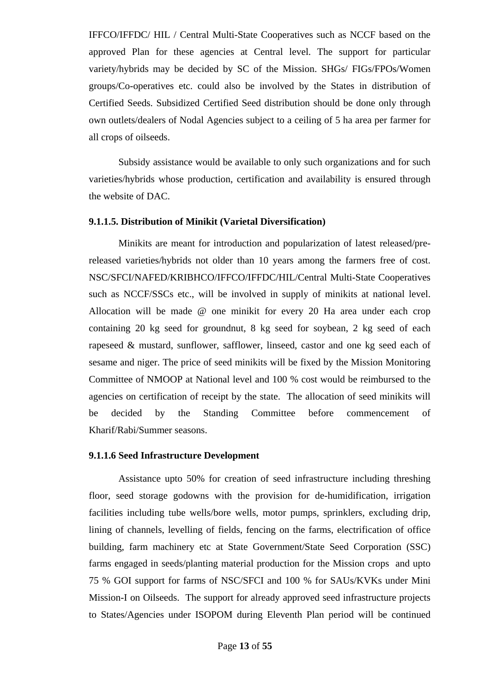IFFCO/IFFDC/ HIL / Central Multi-State Cooperatives such as NCCF based on the approved Plan for these agencies at Central level. The support for particular variety/hybrids may be decided by SC of the Mission. SHGs/ FIGs/FPOs/Women groups/Co-operatives etc. could also be involved by the States in distribution of Certified Seeds. Subsidized Certified Seed distribution should be done only through own outlets/dealers of Nodal Agencies subject to a ceiling of 5 ha area per farmer for all crops of oilseeds.

Subsidy assistance would be available to only such organizations and for such varieties/hybrids whose production, certification and availability is ensured through the website of DAC.

### **9.1.1.5. Distribution of Minikit (Varietal Diversification)**

 Minikits are meant for introduction and popularization of latest released/prereleased varieties/hybrids not older than 10 years among the farmers free of cost. NSC/SFCI/NAFED/KRIBHCO/IFFCO/IFFDC/HIL/Central Multi-State Cooperatives such as NCCF/SSCs etc., will be involved in supply of minikits at national level. Allocation will be made @ one minikit for every 20 Ha area under each crop containing 20 kg seed for groundnut, 8 kg seed for soybean, 2 kg seed of each rapeseed & mustard, sunflower, safflower, linseed, castor and one kg seed each of sesame and niger. The price of seed minikits will be fixed by the Mission Monitoring Committee of NMOOP at National level and 100 % cost would be reimbursed to the agencies on certification of receipt by the state. The allocation of seed minikits will be decided by the Standing Committee before commencement of Kharif/Rabi/Summer seasons.

### **9.1.1.6 Seed Infrastructure Development**

 Assistance upto 50% for creation of seed infrastructure including threshing floor, seed storage godowns with the provision for de-humidification, irrigation facilities including tube wells/bore wells, motor pumps, sprinklers, excluding drip, lining of channels, levelling of fields, fencing on the farms, electrification of office building, farm machinery etc at State Government/State Seed Corporation (SSC) farms engaged in seeds/planting material production for the Mission crops and upto 75 % GOI support for farms of NSC/SFCI and 100 % for SAUs/KVKs under Mini Mission-I on Oilseeds. The support for already approved seed infrastructure projects to States/Agencies under ISOPOM during Eleventh Plan period will be continued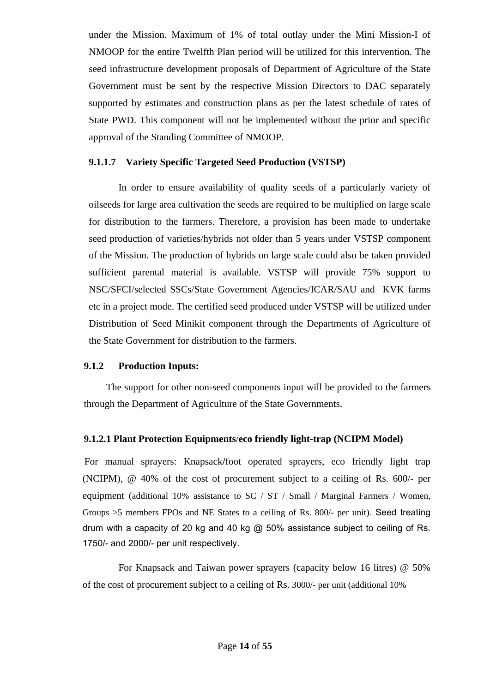under the Mission. Maximum of 1% of total outlay under the Mini Mission-I of NMOOP for the entire Twelfth Plan period will be utilized for this intervention. The seed infrastructure development proposals of Department of Agriculture of the State Government must be sent by the respective Mission Directors to DAC separately supported by estimates and construction plans as per the latest schedule of rates of State PWD. This component will not be implemented without the prior and specific approval of the Standing Committee of NMOOP.

# **9.1.1.7 Variety Specific Targeted Seed Production (VSTSP)**

 In order to ensure availability of quality seeds of a particularly variety of oilseeds for large area cultivation the seeds are required to be multiplied on large scale for distribution to the farmers. Therefore, a provision has been made to undertake seed production of varieties/hybrids not older than 5 years under VSTSP component of the Mission. The production of hybrids on large scale could also be taken provided sufficient parental material is available. VSTSP will provide 75% support to NSC/SFCI/selected SSCs/State Government Agencies/ICAR/SAU and KVK farms etc in a project mode. The certified seed produced under VSTSP will be utilized under Distribution of Seed Minikit component through the Departments of Agriculture of the State Government for distribution to the farmers.

# **9.1.2 Production Inputs:**

 The support for other non-seed components input will be provided to the farmers through the Department of Agriculture of the State Governments.

# **9.1.2.1 Plant Protection Equipments**/**eco friendly light-trap (NCIPM Model)**

 For manual sprayers: Knapsack**/**foot operated sprayers, eco friendly light trap (NCIPM), @ 40% of the cost of procurement subject to a ceiling of Rs. 600/- per equipment (additional  $10\%$  assistance to SC / ST / Small / Marginal Farmers / Women, Groups >5 members FPOs and NE States to a ceiling of Rs. 800/- per unit). Seed treating drum with a capacity of 20 kg and 40 kg @ 50% assistance subject to ceiling of Rs. 1750/- and 2000/- per unit respectively.

 For Knapsack and Taiwan power sprayers (capacity below 16 litres) @ 50% of the cost of procurement subject to a ceiling of Rs. 3000/- per unit (additional 10%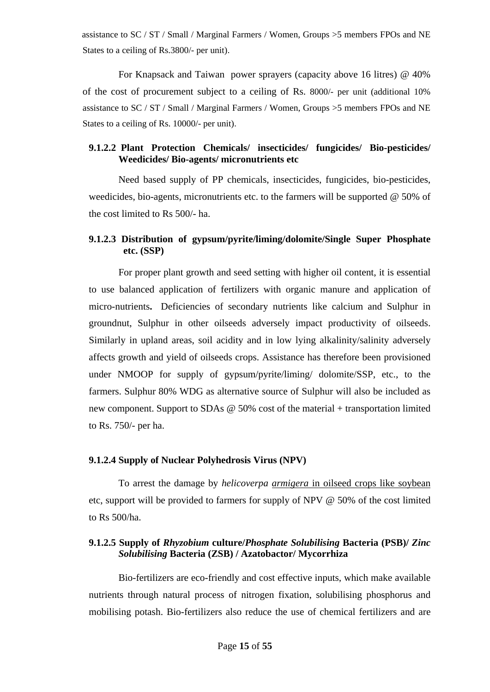assistance to SC / ST / Small / Marginal Farmers / Women, Groups >5 members FPOs and NE States to a ceiling of Rs.3800/- per unit).

 For Knapsack and Taiwan power sprayers (capacity above 16 litres) @ 40% of the cost of procurement subject to a ceiling of Rs. 8000/- per unit (additional 10% assistance to SC / ST / Small / Marginal Farmers / Women, Groups >5 members FPOs and NE States to a ceiling of Rs. 10000/- per unit).

# **9.1.2.2 Plant Protection Chemicals/ insecticides/ fungicides/ Bio-pesticides/ Weedicides/ Bio-agents/ micronutrients etc**

Need based supply of PP chemicals, insecticides, fungicides, bio-pesticides, weedicides, bio-agents, micronutrients etc. to the farmers will be supported @ 50% of the cost limited to Rs 500/- ha.

# **9.1.2.3 Distribution of gypsum/pyrite/liming/dolomite/Single Super Phosphate etc. (SSP)**

For proper plant growth and seed setting with higher oil content, it is essential to use balanced application of fertilizers with organic manure and application of micro-nutrients**.**  Deficiencies of secondary nutrients like calcium and Sulphur in groundnut, Sulphur in other oilseeds adversely impact productivity of oilseeds. Similarly in upland areas, soil acidity and in low lying alkalinity/salinity adversely affects growth and yield of oilseeds crops. Assistance has therefore been provisioned under NMOOP for supply of gypsum/pyrite/liming/ dolomite/SSP, etc., to the farmers. Sulphur 80% WDG as alternative source of Sulphur will also be included as new component. Support to SDAs @ 50% cost of the material + transportation limited to Rs. 750/- per ha.

# **9.1.2.4 Supply of Nuclear Polyhedrosis Virus (NPV)**

To arrest the damage by *helicoverpa armigera* in oilseed crops like soybean etc, support will be provided to farmers for supply of NPV @ 50% of the cost limited to Rs 500/ha.

# **9.1.2.5 Supply of** *Rhyzobium* **culture/***Phosphate Solubilising* **Bacteria (PSB)/** *Zinc Solubilising* **Bacteria (ZSB) / Azatobactor/ Mycorrhiza**

 Bio-fertilizers are eco-friendly and cost effective inputs, which make available nutrients through natural process of nitrogen fixation, solubilising phosphorus and mobilising potash. Bio-fertilizers also reduce the use of chemical fertilizers and are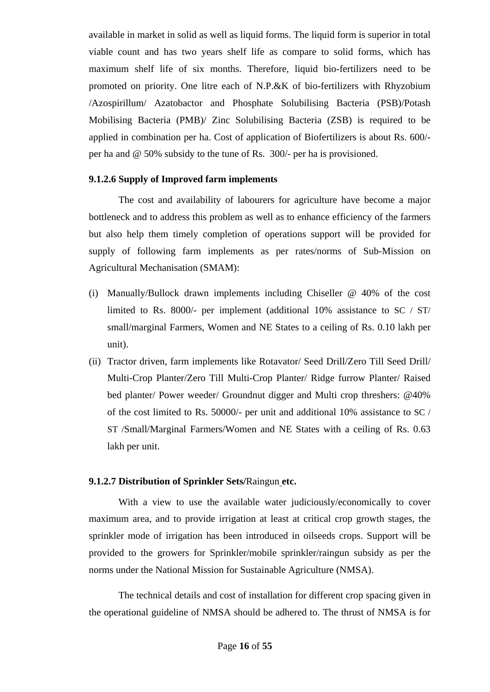available in market in solid as well as liquid forms. The liquid form is superior in total viable count and has two years shelf life as compare to solid forms, which has maximum shelf life of six months. Therefore, liquid bio-fertilizers need to be promoted on priority. One litre each of N.P.&K of bio-fertilizers with Rhyzobium /Azospirillum/ Azatobactor and Phosphate Solubilising Bacteria (PSB)/Potash Mobilising Bacteria (PMB)/ Zinc Solubilising Bacteria (ZSB) is required to be applied in combination per ha. Cost of application of Biofertilizers is about Rs. 600/ per ha and @ 50% subsidy to the tune of Rs. 300/- per ha is provisioned.

### **9.1.2.6 Supply of Improved farm implements**

 The cost and availability of labourers for agriculture have become a major bottleneck and to address this problem as well as to enhance efficiency of the farmers but also help them timely completion of operations support will be provided for supply of following farm implements as per rates/norms of Sub-Mission on Agricultural Mechanisation (SMAM):

- (i) Manually/Bullock drawn implements including Chiseller @ 40% of the cost limited to Rs. 8000/- per implement (additional 10% assistance to SC / ST/ small/marginal Farmers, Women and NE States to a ceiling of Rs. 0.10 lakh per unit).
- (ii) Tractor driven, farm implements like Rotavator/ Seed Drill/Zero Till Seed Drill/ Multi-Crop Planter/Zero Till Multi-Crop Planter/ Ridge furrow Planter/ Raised bed planter/ Power weeder/ Groundnut digger and Multi crop threshers: @40% of the cost limited to Rs. 50000/- per unit and additional 10% assistance to SC / ST /Small/Marginal Farmers/Women and NE States with a ceiling of Rs. 0.63 lakh per unit.

### **9.1.2.7 Distribution of Sprinkler Sets/**Raingun **etc.**

With a view to use the available water judiciously/economically to cover maximum area, and to provide irrigation at least at critical crop growth stages, the sprinkler mode of irrigation has been introduced in oilseeds crops. Support will be provided to the growers for Sprinkler/mobile sprinkler/raingun subsidy as per the norms under the National Mission for Sustainable Agriculture (NMSA).

 The technical details and cost of installation for different crop spacing given in the operational guideline of NMSA should be adhered to. The thrust of NMSA is for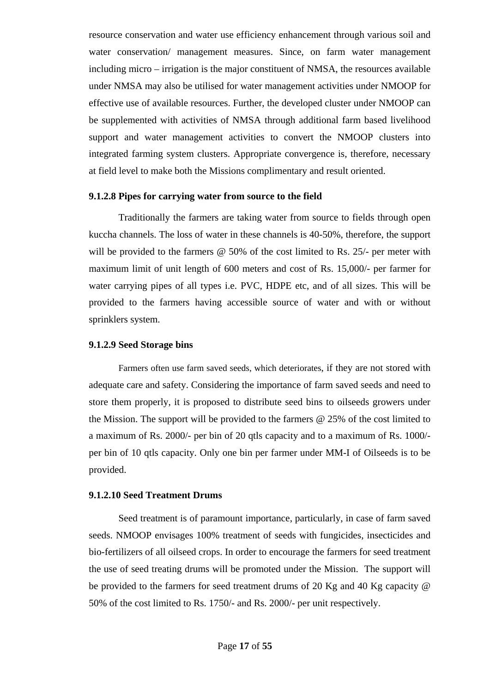resource conservation and water use efficiency enhancement through various soil and water conservation/ management measures. Since, on farm water management including micro – irrigation is the major constituent of NMSA, the resources available under NMSA may also be utilised for water management activities under NMOOP for effective use of available resources. Further, the developed cluster under NMOOP can be supplemented with activities of NMSA through additional farm based livelihood support and water management activities to convert the NMOOP clusters into integrated farming system clusters. Appropriate convergence is, therefore, necessary at field level to make both the Missions complimentary and result oriented.

### **9.1.2.8 Pipes for carrying water from source to the field**

 Traditionally the farmers are taking water from source to fields through open kuccha channels. The loss of water in these channels is 40-50%, therefore, the support will be provided to the farmers @ 50% of the cost limited to Rs. 25/- per meter with maximum limit of unit length of 600 meters and cost of Rs. 15,000/- per farmer for water carrying pipes of all types i.e. PVC, HDPE etc, and of all sizes. This will be provided to the farmers having accessible source of water and with or without sprinklers system.

### **9.1.2.9 Seed Storage bins**

Farmers often use farm saved seeds, which deteriorates, if they are not stored with adequate care and safety. Considering the importance of farm saved seeds and need to store them properly, it is proposed to distribute seed bins to oilseeds growers under the Mission. The support will be provided to the farmers @ 25% of the cost limited to a maximum of Rs. 2000/- per bin of 20 qtls capacity and to a maximum of Rs. 1000/ per bin of 10 qtls capacity. Only one bin per farmer under MM-I of Oilseeds is to be provided.

### **9.1.2.10 Seed Treatment Drums**

Seed treatment is of paramount importance, particularly, in case of farm saved seeds. NMOOP envisages 100% treatment of seeds with fungicides, insecticides and bio-fertilizers of all oilseed crops. In order to encourage the farmers for seed treatment the use of seed treating drums will be promoted under the Mission. The support will be provided to the farmers for seed treatment drums of 20 Kg and 40 Kg capacity @ 50% of the cost limited to Rs. 1750/- and Rs. 2000/- per unit respectively.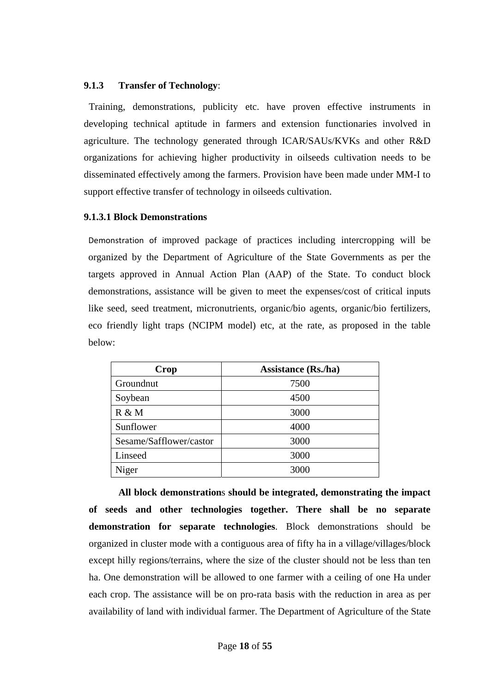### **9.1.3 Transfer of Technology**:

Training, demonstrations, publicity etc. have proven effective instruments in developing technical aptitude in farmers and extension functionaries involved in agriculture. The technology generated through ICAR/SAUs/KVKs and other R&D organizations for achieving higher productivity in oilseeds cultivation needs to be disseminated effectively among the farmers. Provision have been made under MM-I to support effective transfer of technology in oilseeds cultivation.

# **9.1.3.1 Block Demonstrations**

Demonstration of improved package of practices including intercropping will be organized by the Department of Agriculture of the State Governments as per the targets approved in Annual Action Plan (AAP) of the State. To conduct block demonstrations, assistance will be given to meet the expenses/cost of critical inputs like seed, seed treatment, micronutrients, organic/bio agents, organic/bio fertilizers, eco friendly light traps (NCIPM model) etc, at the rate, as proposed in the table below:

| Crop                    | <b>Assistance (Rs./ha)</b> |
|-------------------------|----------------------------|
| Groundnut               | 7500                       |
| Soybean                 | 4500                       |
| R & M                   | 3000                       |
| Sunflower               | 4000                       |
| Sesame/Safflower/castor | 3000                       |
| Linseed                 | 3000                       |
| Niger                   | 3000                       |

 **All block demonstration**s **should be integrated, demonstrating the impact of seeds and other technologies together. There shall be no separate demonstration for separate technologies**. Block demonstrations should be organized in cluster mode with a contiguous area of fifty ha in a village/villages/block except hilly regions/terrains, where the size of the cluster should not be less than ten ha. One demonstration will be allowed to one farmer with a ceiling of one Ha under each crop. The assistance will be on pro-rata basis with the reduction in area as per availability of land with individual farmer. The Department of Agriculture of the State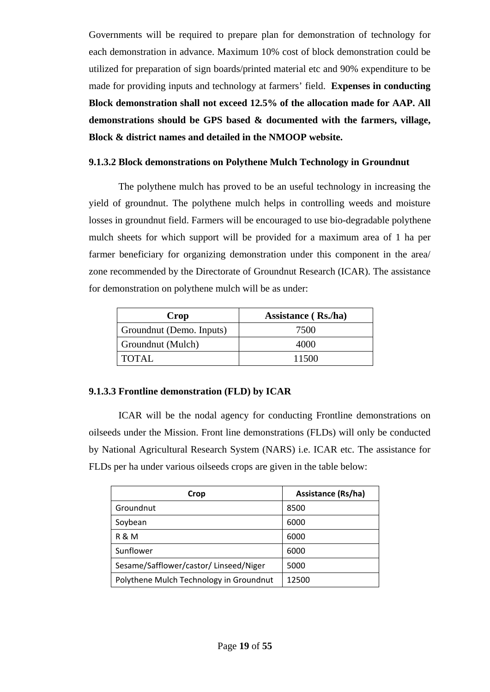Governments will be required to prepare plan for demonstration of technology for each demonstration in advance. Maximum 10% cost of block demonstration could be utilized for preparation of sign boards/printed material etc and 90% expenditure to be made for providing inputs and technology at farmers' field. **Expenses in conducting Block demonstration shall not exceed 12.5% of the allocation made for AAP. All demonstrations should be GPS based & documented with the farmers, village, Block & district names and detailed in the NMOOP website.** 

# **9.1.3.2 Block demonstrations on Polythene Mulch Technology in Groundnut**

 The polythene mulch has proved to be an useful technology in increasing the yield of groundnut. The polythene mulch helps in controlling weeds and moisture losses in groundnut field. Farmers will be encouraged to use bio-degradable polythene mulch sheets for which support will be provided for a maximum area of 1 ha per farmer beneficiary for organizing demonstration under this component in the area/ zone recommended by the Directorate of Groundnut Research (ICAR). The assistance for demonstration on polythene mulch will be as under:

| Crop                     | Assistance (Rs./ha) |
|--------------------------|---------------------|
| Groundnut (Demo. Inputs) | 7500                |
| Groundnut (Mulch)        | 4000                |
| TOTAL                    | 11500               |

# **9.1.3.3 Frontline demonstration (FLD) by ICAR**

 ICAR will be the nodal agency for conducting Frontline demonstrations on oilseeds under the Mission. Front line demonstrations (FLDs) will only be conducted by National Agricultural Research System (NARS) i.e. ICAR etc. The assistance for FLDs per ha under various oilseeds crops are given in the table below:

| Crop                                    | <b>Assistance (Rs/ha)</b> |
|-----------------------------------------|---------------------------|
| Groundnut                               | 8500                      |
| Soybean                                 | 6000                      |
| R & M                                   | 6000                      |
| Sunflower                               | 6000                      |
| Sesame/Safflower/castor/Linseed/Niger   | 5000                      |
| Polythene Mulch Technology in Groundnut | 12500                     |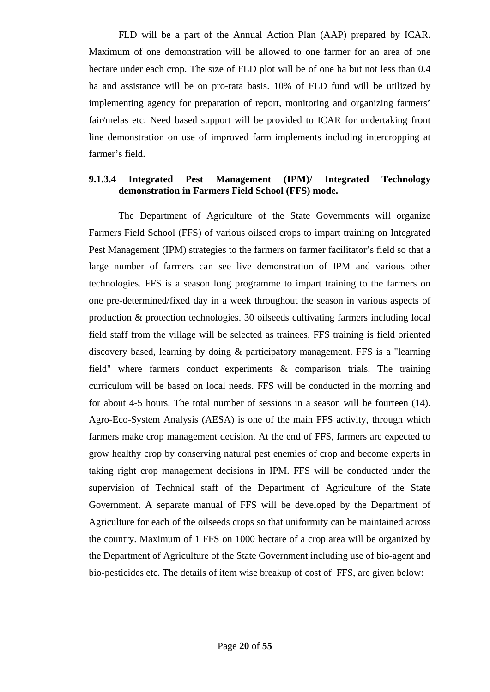FLD will be a part of the Annual Action Plan (AAP) prepared by ICAR. Maximum of one demonstration will be allowed to one farmer for an area of one hectare under each crop. The size of FLD plot will be of one ha but not less than 0.4 ha and assistance will be on pro-rata basis. 10% of FLD fund will be utilized by implementing agency for preparation of report, monitoring and organizing farmers' fair/melas etc. Need based support will be provided to ICAR for undertaking front line demonstration on use of improved farm implements including intercropping at farmer's field.

# **9.1.3.4 Integrated Pest Management (IPM)/ Integrated Technology demonstration in Farmers Field School (FFS) mode.**

 The Department of Agriculture of the State Governments will organize Farmers Field School (FFS) of various oilseed crops to impart training on Integrated Pest Management (IPM) strategies to the farmers on farmer facilitator's field so that a large number of farmers can see live demonstration of IPM and various other technologies. FFS is a season long programme to impart training to the farmers on one pre-determined/fixed day in a week throughout the season in various aspects of production & protection technologies. 30 oilseeds cultivating farmers including local field staff from the village will be selected as trainees. FFS training is field oriented discovery based, learning by doing & participatory management. FFS is a "learning field" where farmers conduct experiments & comparison trials. The training curriculum will be based on local needs. FFS will be conducted in the morning and for about 4-5 hours. The total number of sessions in a season will be fourteen (14). Agro-Eco-System Analysis (AESA) is one of the main FFS activity, through which farmers make crop management decision. At the end of FFS, farmers are expected to grow healthy crop by conserving natural pest enemies of crop and become experts in taking right crop management decisions in IPM. FFS will be conducted under the supervision of Technical staff of the Department of Agriculture of the State Government. A separate manual of FFS will be developed by the Department of Agriculture for each of the oilseeds crops so that uniformity can be maintained across the country. Maximum of 1 FFS on 1000 hectare of a crop area will be organized by the Department of Agriculture of the State Government including use of bio-agent and bio-pesticides etc. The details of item wise breakup of cost of FFS, are given below: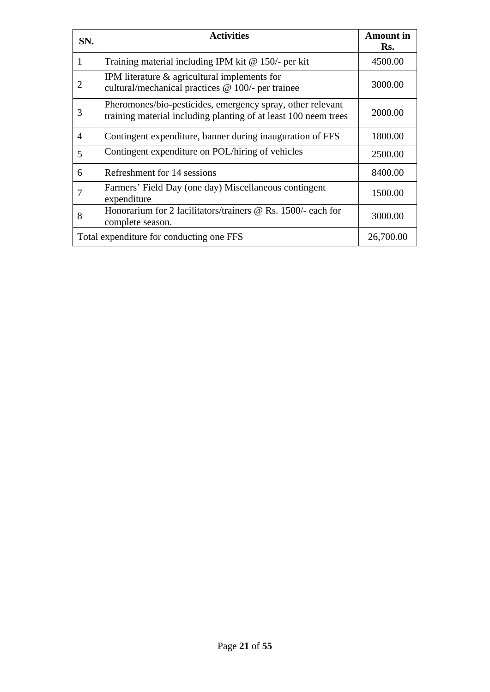| SN.            | <b>Activities</b>                                                                                                             | <b>Amount</b> in<br>Rs. |
|----------------|-------------------------------------------------------------------------------------------------------------------------------|-------------------------|
| 1              | Training material including IPM kit $@$ 150/- per kit                                                                         | 4500.00                 |
| 2              | IPM literature & agricultural implements for<br>cultural/mechanical practices @ 100/- per trainee                             | 3000.00                 |
| 3              | Pheromones/bio-pesticides, emergency spray, other relevant<br>training material including planting of at least 100 neem trees | 2000.00                 |
| $\overline{4}$ | Contingent expenditure, banner during inauguration of FFS                                                                     | 1800.00                 |
| 5              | Contingent expenditure on POL/hiring of vehicles                                                                              | 2500.00                 |
| 6              | Refreshment for 14 sessions                                                                                                   | 8400.00                 |
| 7              | Farmers' Field Day (one day) Miscellaneous contingent<br>expenditure                                                          | 1500.00                 |
| 8              | Honorarium for 2 facilitators/trainers @ Rs. 1500/- each for<br>complete season.                                              | 3000.00                 |
|                | Total expenditure for conducting one FFS                                                                                      | 26,700.00               |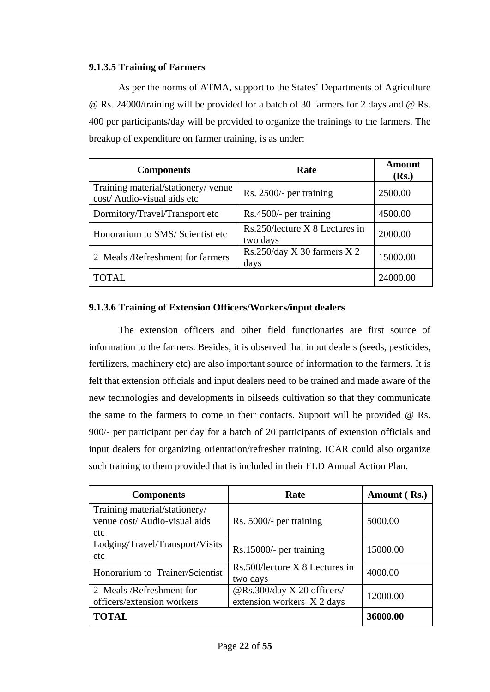# **9.1.3.5 Training of Farmers**

 As per the norms of ATMA, support to the States' Departments of Agriculture @ Rs. 24000/training will be provided for a batch of 30 farmers for 2 days and @ Rs. 400 per participants/day will be provided to organize the trainings to the farmers. The breakup of expenditure on farmer training, is as under:

| <b>Components</b>                                                  | Rate                                       | <b>Amount</b><br>(Rs.) |
|--------------------------------------------------------------------|--------------------------------------------|------------------------|
| Training material/stationery/ venue<br>cost/ Audio-visual aids etc | Rs. 2500/- per training                    | 2500.00                |
| Dormitory/Travel/Transport etc                                     | Rs.4500/- per training                     | 4500.00                |
| Honorarium to SMS/ Scientist etc                                   | Rs.250/lecture X 8 Lectures in<br>two days | 2000.00                |
| 2 Meals /Refreshment for farmers                                   | Rs.250/day X 30 farmers $X$ 2<br>days      | 15000.00               |
| TOTAL.                                                             |                                            | 24000.00               |

# **9.1.3.6 Training of Extension Officers/Workers/input dealers**

 The extension officers and other field functionaries are first source of information to the farmers. Besides, it is observed that input dealers (seeds, pesticides, fertilizers, machinery etc) are also important source of information to the farmers. It is felt that extension officials and input dealers need to be trained and made aware of the new technologies and developments in oilseeds cultivation so that they communicate the same to the farmers to come in their contacts. Support will be provided  $\omega$  Rs. 900/- per participant per day for a batch of 20 participants of extension officials and input dealers for organizing orientation/refresher training. ICAR could also organize such training to them provided that is included in their FLD Annual Action Plan.

| <b>Components</b>                                                     | Rate                                                     | Amount (Rs.) |
|-----------------------------------------------------------------------|----------------------------------------------------------|--------------|
| Training material/stationery/<br>venue cost/ Audio-visual aids<br>etc | Rs. 5000/- per training                                  | 5000.00      |
| Lodging/Travel/Transport/Visits<br>etc                                | Rs.15000/- per training                                  | 15000.00     |
| Honorarium to Trainer/Scientist                                       | Rs.500/lecture X 8 Lectures in<br>two days               | 4000.00      |
| 2 Meals/Refreshment for<br>officers/extension workers                 | @Rs.300/day X 20 officers/<br>extension workers X 2 days | 12000.00     |
| <b>TOTAL</b>                                                          |                                                          | 36000.00     |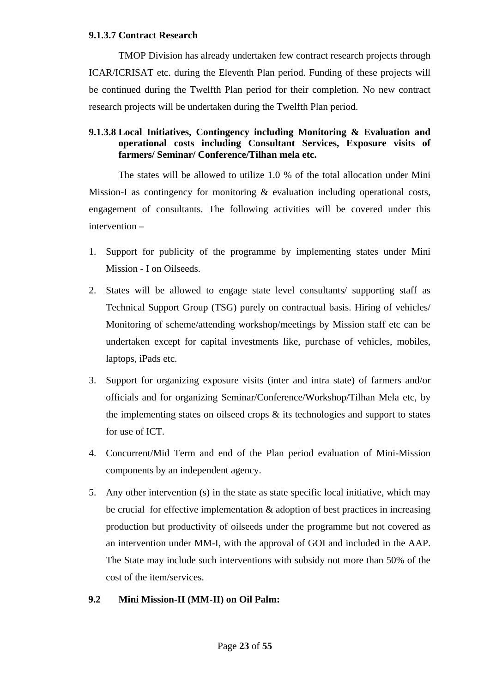### **9.1.3.7 Contract Research**

 TMOP Division has already undertaken few contract research projects through ICAR/ICRISAT etc. during the Eleventh Plan period. Funding of these projects will be continued during the Twelfth Plan period for their completion. No new contract research projects will be undertaken during the Twelfth Plan period.

# **9.1.3.8 Local Initiatives, Contingency including Monitoring & Evaluation and operational costs including Consultant Services, Exposure visits of farmers/ Seminar/ Conference/Tilhan mela etc.**

 The states will be allowed to utilize 1.0 % of the total allocation under Mini Mission-I as contingency for monitoring & evaluation including operational costs, engagement of consultants. The following activities will be covered under this intervention –

- 1. Support for publicity of the programme by implementing states under Mini Mission - I on Oilseeds.
- 2. States will be allowed to engage state level consultants/ supporting staff as Technical Support Group (TSG) purely on contractual basis. Hiring of vehicles/ Monitoring of scheme/attending workshop/meetings by Mission staff etc can be undertaken except for capital investments like, purchase of vehicles, mobiles, laptops, iPads etc.
- 3. Support for organizing exposure visits (inter and intra state) of farmers and/or officials and for organizing Seminar/Conference/Workshop/Tilhan Mela etc, by the implementing states on oilseed crops  $\&$  its technologies and support to states for use of ICT.
- 4. Concurrent/Mid Term and end of the Plan period evaluation of Mini-Mission components by an independent agency.
- 5. Any other intervention (s) in the state as state specific local initiative, which may be crucial for effective implementation  $\&$  adoption of best practices in increasing production but productivity of oilseeds under the programme but not covered as an intervention under MM-I, with the approval of GOI and included in the AAP. The State may include such interventions with subsidy not more than 50% of the cost of the item/services.

# **9.2 Mini Mission-II (MM-II) on Oil Palm:**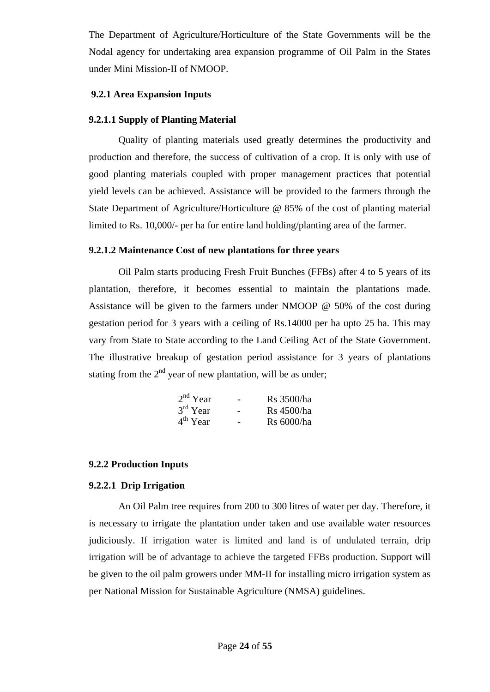The Department of Agriculture/Horticulture of the State Governments will be the Nodal agency for undertaking area expansion programme of Oil Palm in the States under Mini Mission-II of NMOOP.

# **9.2.1 Area Expansion Inputs**

### **9.2.1.1 Supply of Planting Material**

 Quality of planting materials used greatly determines the productivity and production and therefore, the success of cultivation of a crop. It is only with use of good planting materials coupled with proper management practices that potential yield levels can be achieved. Assistance will be provided to the farmers through the State Department of Agriculture/Horticulture @ 85% of the cost of planting material limited to Rs. 10,000/- per ha for entire land holding/planting area of the farmer.

### **9.2.1.2 Maintenance Cost of new plantations for three years**

 Oil Palm starts producing Fresh Fruit Bunches (FFBs) after 4 to 5 years of its plantation, therefore, it becomes essential to maintain the plantations made. Assistance will be given to the farmers under NMOOP @ 50% of the cost during gestation period for 3 years with a ceiling of Rs.14000 per ha upto 25 ha. This may vary from State to State according to the Land Ceiling Act of the State Government. The illustrative breakup of gestation period assistance for 3 years of plantations stating from the  $2<sup>nd</sup>$  year of new plantation, will be as under;

| $2nd$ Year | - | Rs 3500/ha |
|------------|---|------------|
| $3rd$ Year | - | Rs 4500/ha |
| $4th$ Year | - | Rs 6000/ha |

### **9.2.2 Production Inputs**

### **9.2.2.1 Drip Irrigation**

An Oil Palm tree requires from 200 to 300 litres of water per day. Therefore, it is necessary to irrigate the plantation under taken and use available water resources judiciously. If irrigation water is limited and land is of undulated terrain, drip irrigation will be of advantage to achieve the targeted FFBs production. Support will be given to the oil palm growers under MM-II for installing micro irrigation system as per National Mission for Sustainable Agriculture (NMSA) guidelines.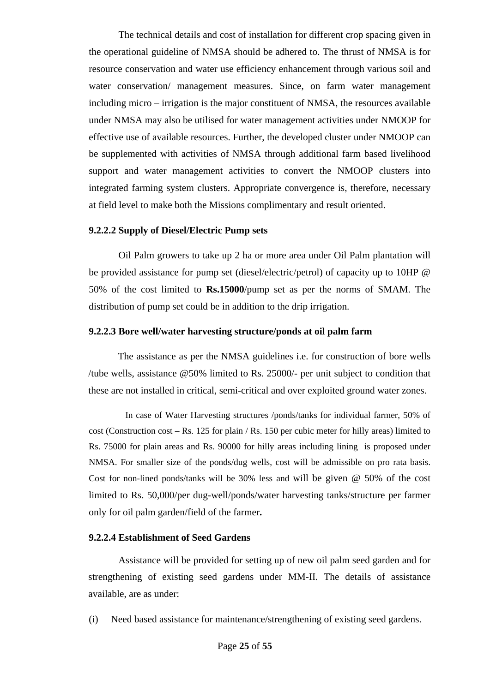The technical details and cost of installation for different crop spacing given in the operational guideline of NMSA should be adhered to. The thrust of NMSA is for resource conservation and water use efficiency enhancement through various soil and water conservation/ management measures. Since, on farm water management including micro – irrigation is the major constituent of NMSA, the resources available under NMSA may also be utilised for water management activities under NMOOP for effective use of available resources. Further, the developed cluster under NMOOP can be supplemented with activities of NMSA through additional farm based livelihood support and water management activities to convert the NMOOP clusters into integrated farming system clusters. Appropriate convergence is, therefore, necessary at field level to make both the Missions complimentary and result oriented.

### **9.2.2.2 Supply of Diesel/Electric Pump sets**

 Oil Palm growers to take up 2 ha or more area under Oil Palm plantation will be provided assistance for pump set (diesel/electric/petrol) of capacity up to 10HP @ 50% of the cost limited to **Rs.15000**/pump set as per the norms of SMAM. The distribution of pump set could be in addition to the drip irrigation.

### **9.2.2.3 Bore well/water harvesting structure/ponds at oil palm farm**

The assistance as per the NMSA guidelines i.e. for construction of bore wells /tube wells, assistance @50% limited to Rs. 25000/- per unit subject to condition that these are not installed in critical, semi-critical and over exploited ground water zones.

 In case of Water Harvesting structures /ponds/tanks for individual farmer, 50% of cost (Construction cost – Rs. 125 for plain / Rs. 150 per cubic meter for hilly areas) limited to Rs. 75000 for plain areas and Rs. 90000 for hilly areas including lining is proposed under NMSA. For smaller size of the ponds/dug wells, cost will be admissible on pro rata basis. Cost for non-lined ponds/tanks will be 30% less and will be given @ 50% of the cost limited to Rs. 50,000/per dug-well/ponds/water harvesting tanks/structure per farmer only for oil palm garden/field of the farmer**.**

### **9.2.2.4 Establishment of Seed Gardens**

Assistance will be provided for setting up of new oil palm seed garden and for strengthening of existing seed gardens under MM-II. The details of assistance available, are as under:

(i) Need based assistance for maintenance/strengthening of existing seed gardens.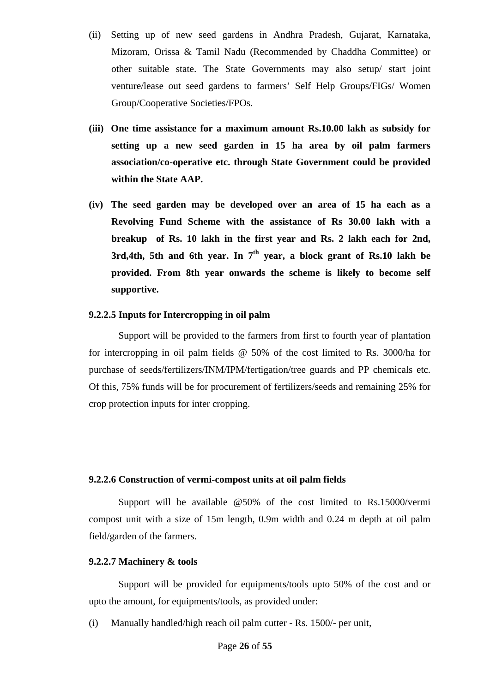- (ii) Setting up of new seed gardens in Andhra Pradesh, Gujarat, Karnataka, Mizoram, Orissa & Tamil Nadu (Recommended by Chaddha Committee) or other suitable state. The State Governments may also setup/ start joint venture/lease out seed gardens to farmers' Self Help Groups/FIGs/ Women Group/Cooperative Societies/FPOs.
- **(iii) One time assistance for a maximum amount Rs.10.00 lakh as subsidy for setting up a new seed garden in 15 ha area by oil palm farmers association/co-operative etc. through State Government could be provided within the State AAP.**
- **(iv) The seed garden may be developed over an area of 15 ha each as a Revolving Fund Scheme with the assistance of Rs 30.00 lakh with a breakup of Rs. 10 lakh in the first year and Rs. 2 lakh each for 2nd, 3rd,4th, 5th and 6th year. In 7th year, a block grant of Rs.10 lakh be provided. From 8th year onwards the scheme is likely to become self supportive.**

### **9.2.2.5 Inputs for Intercropping in oil palm**

 Support will be provided to the farmers from first to fourth year of plantation for intercropping in oil palm fields @ 50% of the cost limited to Rs. 3000/ha for purchase of seeds/fertilizers/INM/IPM/fertigation/tree guards and PP chemicals etc. Of this, 75% funds will be for procurement of fertilizers/seeds and remaining 25% for crop protection inputs for inter cropping.

### **9.2.2.6 Construction of vermi-compost units at oil palm fields**

 Support will be available @50% of the cost limited to Rs.15000/vermi compost unit with a size of 15m length, 0.9m width and 0.24 m depth at oil palm field/garden of the farmers.

### **9.2.2.7 Machinery & tools**

 Support will be provided for equipments/tools upto 50% of the cost and or upto the amount, for equipments/tools, as provided under:

(i) Manually handled/high reach oil palm cutter - Rs. 1500/- per unit,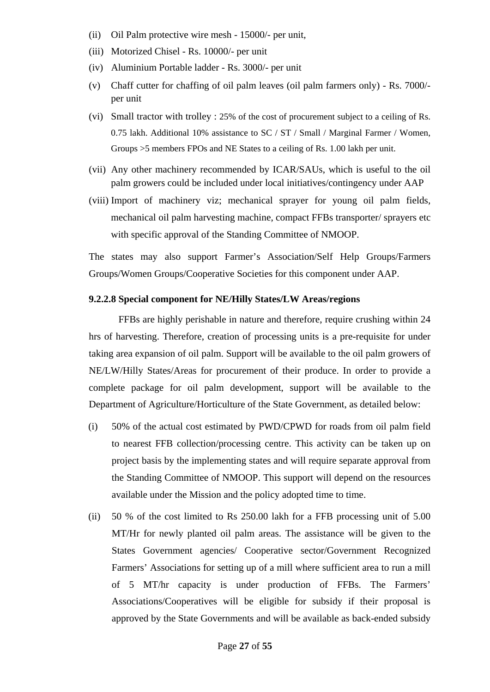- (ii) Oil Palm protective wire mesh 15000/- per unit,
- (iii) Motorized Chisel Rs. 10000/- per unit
- (iv) Aluminium Portable ladder Rs. 3000/- per unit
- (v) Chaff cutter for chaffing of oil palm leaves (oil palm farmers only) Rs. 7000/ per unit
- (vi) Small tractor with trolley : 25% of the cost of procurement subject to a ceiling of Rs. 0.75 lakh. Additional 10% assistance to SC / ST / Small / Marginal Farmer / Women, Groups >5 members FPOs and NE States to a ceiling of Rs. 1.00 lakh per unit.
- (vii) Any other machinery recommended by ICAR/SAUs, which is useful to the oil palm growers could be included under local initiatives/contingency under AAP
- (viii) Import of machinery viz; mechanical sprayer for young oil palm fields, mechanical oil palm harvesting machine, compact FFBs transporter/ sprayers etc with specific approval of the Standing Committee of NMOOP.

The states may also support Farmer's Association/Self Help Groups/Farmers Groups/Women Groups/Cooperative Societies for this component under AAP.

### **9.2.2.8 Special component for NE/Hilly States/LW Areas/regions**

 FFBs are highly perishable in nature and therefore, require crushing within 24 hrs of harvesting. Therefore, creation of processing units is a pre-requisite for under taking area expansion of oil palm. Support will be available to the oil palm growers of NE/LW/Hilly States/Areas for procurement of their produce. In order to provide a complete package for oil palm development, support will be available to the Department of Agriculture/Horticulture of the State Government, as detailed below:

- (i) 50% of the actual cost estimated by PWD/CPWD for roads from oil palm field to nearest FFB collection/processing centre. This activity can be taken up on project basis by the implementing states and will require separate approval from the Standing Committee of NMOOP. This support will depend on the resources available under the Mission and the policy adopted time to time.
- (ii) 50 % of the cost limited to Rs 250.00 lakh for a FFB processing unit of 5.00 MT/Hr for newly planted oil palm areas. The assistance will be given to the States Government agencies/ Cooperative sector/Government Recognized Farmers' Associations for setting up of a mill where sufficient area to run a mill of 5 MT/hr capacity is under production of FFBs. The Farmers' Associations/Cooperatives will be eligible for subsidy if their proposal is approved by the State Governments and will be available as back-ended subsidy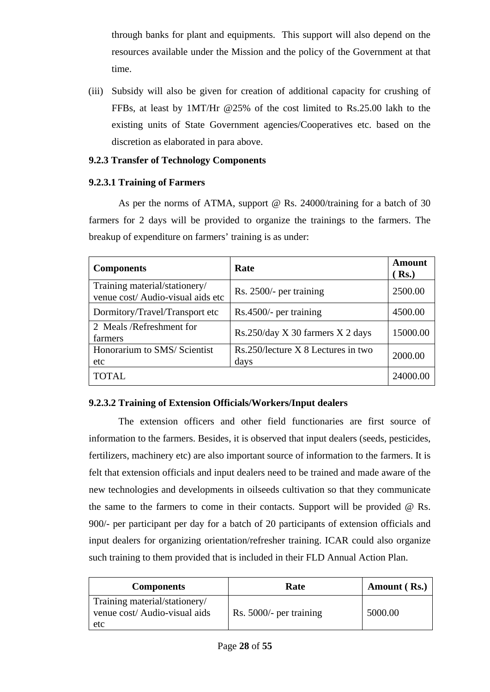through banks for plant and equipments. This support will also depend on the resources available under the Mission and the policy of the Government at that time.

(iii) Subsidy will also be given for creation of additional capacity for crushing of FFBs, at least by 1MT/Hr @25% of the cost limited to Rs.25.00 lakh to the existing units of State Government agencies/Cooperatives etc. based on the discretion as elaborated in para above.

# **9.2.3 Transfer of Technology Components**

# **9.2.3.1 Training of Farmers**

As per the norms of ATMA, support @ Rs. 24000/training for a batch of 30 farmers for 2 days will be provided to organize the trainings to the farmers. The breakup of expenditure on farmers' training is as under:

| <b>Components</b>                                                  | Rate                                       | <b>Amount</b><br>Rs. |
|--------------------------------------------------------------------|--------------------------------------------|----------------------|
| Training material/stationery/<br>venue cost/ Audio-visual aids etc | Rs. 2500/- per training                    | 2500.00              |
| Dormitory/Travel/Transport etc                                     | Rs.4500/- per training                     | 4500.00              |
| 2 Meals/Refreshment for<br>farmers                                 | Rs.250/day X 30 farmers X 2 days           | 15000.00             |
| Honorarium to SMS/ Scientist<br>etc                                | Rs.250/lecture X 8 Lectures in two<br>days | 2000.00              |
| <b>TOTAL</b>                                                       |                                            | 24000.00             |

# **9.2.3.2 Training of Extension Officials/Workers/Input dealers**

 The extension officers and other field functionaries are first source of information to the farmers. Besides, it is observed that input dealers (seeds, pesticides, fertilizers, machinery etc) are also important source of information to the farmers. It is felt that extension officials and input dealers need to be trained and made aware of the new technologies and developments in oilseeds cultivation so that they communicate the same to the farmers to come in their contacts. Support will be provided @ Rs. 900/- per participant per day for a batch of 20 participants of extension officials and input dealers for organizing orientation/refresher training. ICAR could also organize such training to them provided that is included in their FLD Annual Action Plan.

| <b>Components</b>                                                     | Rate                    | Amount (Rs.) |  |
|-----------------------------------------------------------------------|-------------------------|--------------|--|
| Training material/stationery/<br>venue cost/ Audio-visual aids<br>etc | Rs. 5000/- per training | 5000.00      |  |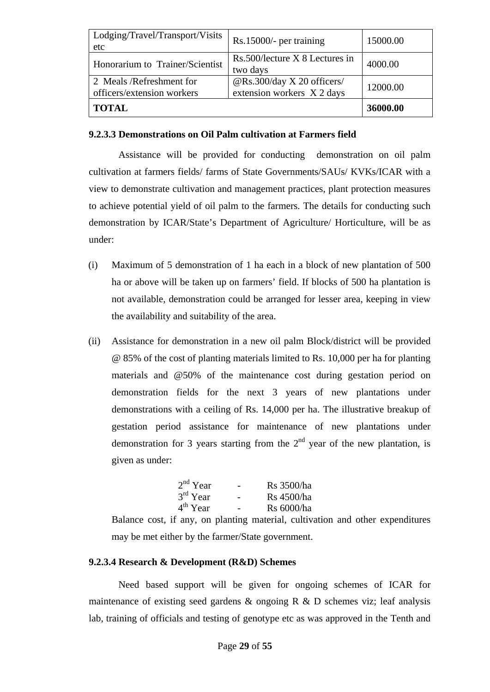| Lodging/Travel/Transport/Visits<br>etc                | Rs.15000/- per training                                  | 15000.00 |
|-------------------------------------------------------|----------------------------------------------------------|----------|
| Honorarium to Trainer/Scientist                       | Rs.500/lecture X 8 Lectures in<br>two days               | 4000.00  |
| 2 Meals/Refreshment for<br>officers/extension workers | @Rs.300/day X 20 officers/<br>extension workers X 2 days | 12000.00 |
| <b>TOTAL</b>                                          |                                                          | 36000.00 |

# **9.2.3.3 Demonstrations on Oil Palm cultivation at Farmers field**

 Assistance will be provided for conducting demonstration on oil palm cultivation at farmers fields/ farms of State Governments/SAUs/ KVKs/ICAR with a view to demonstrate cultivation and management practices, plant protection measures to achieve potential yield of oil palm to the farmers. The details for conducting such demonstration by ICAR/State's Department of Agriculture/ Horticulture, will be as under:

- (i) Maximum of 5 demonstration of 1 ha each in a block of new plantation of 500 ha or above will be taken up on farmers' field. If blocks of 500 ha plantation is not available, demonstration could be arranged for lesser area, keeping in view the availability and suitability of the area.
- (ii) Assistance for demonstration in a new oil palm Block/district will be provided @ 85% of the cost of planting materials limited to Rs. 10,000 per ha for planting materials and @50% of the maintenance cost during gestation period on demonstration fields for the next 3 years of new plantations under demonstrations with a ceiling of Rs. 14,000 per ha. The illustrative breakup of gestation period assistance for maintenance of new plantations under demonstration for 3 years starting from the  $2<sup>nd</sup>$  year of the new plantation, is given as under:

| $2nd$ Year | $\overline{\phantom{0}}$ | Rs 3500/ha        |
|------------|--------------------------|-------------------|
| $3rd$ Year |                          | Rs 4500/ha        |
| $4th$ Year |                          | <b>Rs</b> 6000/ha |

Balance cost, if any, on planting material, cultivation and other expenditures may be met either by the farmer/State government.

# **9.2.3.4 Research & Development (R&D) Schemes**

Need based support will be given for ongoing schemes of ICAR for maintenance of existing seed gardens  $\&$  ongoing R  $\&$  D schemes viz; leaf analysis lab, training of officials and testing of genotype etc as was approved in the Tenth and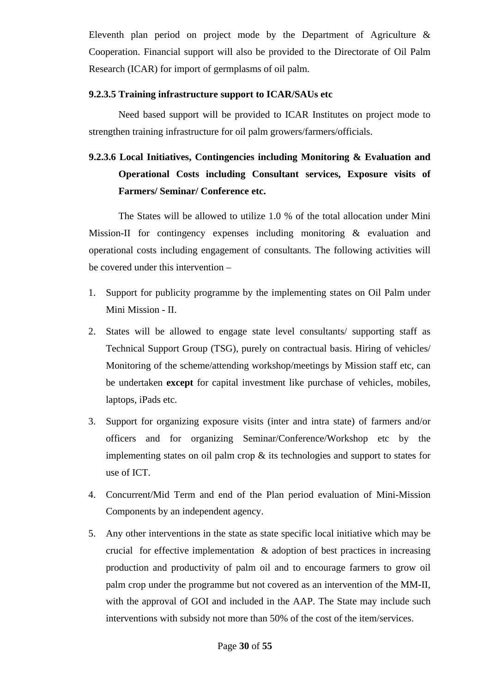Eleventh plan period on project mode by the Department of Agriculture & Cooperation. Financial support will also be provided to the Directorate of Oil Palm Research (ICAR) for import of germplasms of oil palm.

# **9.2.3.5 Training infrastructure support to ICAR/SAUs etc**

 Need based support will be provided to ICAR Institutes on project mode to strengthen training infrastructure for oil palm growers/farmers/officials.

# **9.2.3.6 Local Initiatives, Contingencies including Monitoring & Evaluation and Operational Costs including Consultant services, Exposure visits of Farmers/ Seminar/ Conference etc.**

 The States will be allowed to utilize 1.0 % of the total allocation under Mini Mission-II for contingency expenses including monitoring & evaluation and operational costs including engagement of consultants. The following activities will be covered under this intervention –

- 1. Support for publicity programme by the implementing states on Oil Palm under Mini Mission - II.
- 2. States will be allowed to engage state level consultants/ supporting staff as Technical Support Group (TSG), purely on contractual basis. Hiring of vehicles/ Monitoring of the scheme/attending workshop/meetings by Mission staff etc, can be undertaken **except** for capital investment like purchase of vehicles, mobiles, laptops, iPads etc.
- 3. Support for organizing exposure visits (inter and intra state) of farmers and/or officers and for organizing Seminar/Conference/Workshop etc by the implementing states on oil palm crop & its technologies and support to states for use of ICT.
- 4. Concurrent/Mid Term and end of the Plan period evaluation of Mini-Mission Components by an independent agency.
- 5. Any other interventions in the state as state specific local initiative which may be crucial for effective implementation  $\&$  adoption of best practices in increasing production and productivity of palm oil and to encourage farmers to grow oil palm crop under the programme but not covered as an intervention of the MM-II, with the approval of GOI and included in the AAP. The State may include such interventions with subsidy not more than 50% of the cost of the item/services.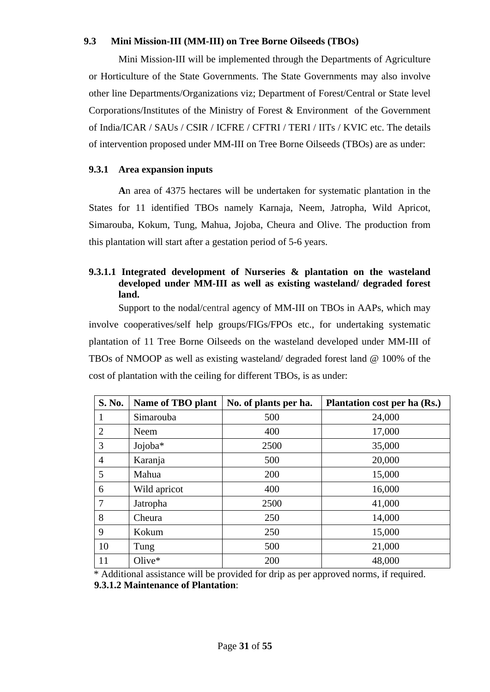## **9.3 Mini Mission-III (MM-III) on Tree Borne Oilseeds (TBOs)**

 Mini Mission-III will be implemented through the Departments of Agriculture or Horticulture of the State Governments. The State Governments may also involve other line Departments/Organizations viz; Department of Forest/Central or State level Corporations/Institutes of the Ministry of Forest & Environment of the Government of India/ICAR / SAUs / CSIR / ICFRE / CFTRI / TERI / IITs / KVIC etc. The details of intervention proposed under MM-III on Tree Borne Oilseeds (TBOs) are as under:

### **9.3.1 Area expansion inputs**

 **A**n area of 4375 hectares will be undertaken for systematic plantation in the States for 11 identified TBOs namely Karnaja, Neem, Jatropha, Wild Apricot, Simarouba, Kokum, Tung, Mahua, Jojoba, Cheura and Olive. The production from this plantation will start after a gestation period of 5-6 years.

## **9.3.1.1 Integrated development of Nurseries & plantation on the wasteland developed under MM-III as well as existing wasteland/ degraded forest land.**

 Support to the nodal/central agency of MM-III on TBOs in AAPs, which may involve cooperatives/self help groups/FIGs/FPOs etc., for undertaking systematic plantation of 11 Tree Borne Oilseeds on the wasteland developed under MM-III of TBOs of NMOOP as well as existing wasteland/ degraded forest land @ 100% of the cost of plantation with the ceiling for different TBOs, is as under:

| S. No.         | Name of TBO plant | No. of plants per ha. | <b>Plantation cost per ha (Rs.)</b> |
|----------------|-------------------|-----------------------|-------------------------------------|
| 1              | Simarouba         | 500                   | 24,000                              |
| $\overline{2}$ | Neem              | 400                   | 17,000                              |
| 3              | Jojoba*           | 2500                  | 35,000                              |
| $\overline{4}$ | Karanja           | 500                   | 20,000                              |
| 5              | Mahua             | 200                   | 15,000                              |
| 6              | Wild apricot      | 400                   | 16,000                              |
| 7              | Jatropha          | 2500                  | 41,000                              |
| 8              | Cheura            | 250                   | 14,000                              |
| 9              | Kokum             | 250                   | 15,000                              |
| 10             | Tung              | 500                   | 21,000                              |
| 11             | $Olive*$          | 200                   | 48,000                              |

 \* Additional assistance will be provided for drip as per approved norms, if required. **9.3.1.2 Maintenance of Plantation**: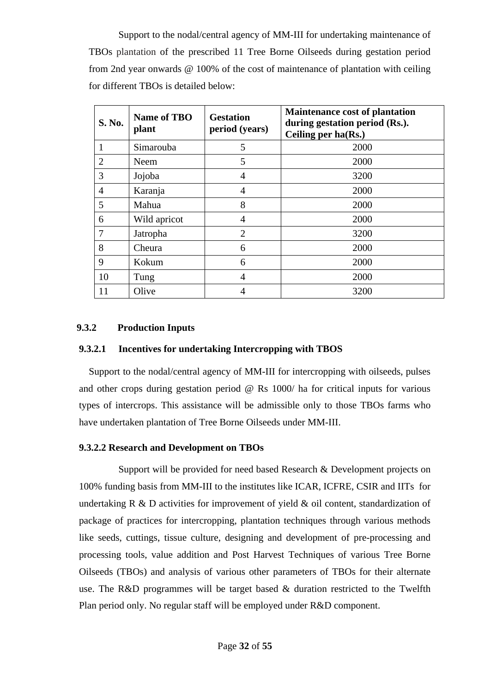Support to the nodal/central agency of MM-III for undertaking maintenance of TBOs plantation of the prescribed 11 Tree Borne Oilseeds during gestation period from 2nd year onwards @ 100% of the cost of maintenance of plantation with ceiling for different TBOs is detailed below:

| S. No.         | <b>Name of TBO</b><br>plant | <b>Gestation</b><br>period (years) | <b>Maintenance cost of plantation</b><br>during gestation period (Rs.).<br>Ceiling per $ha(Rs.)$ |
|----------------|-----------------------------|------------------------------------|--------------------------------------------------------------------------------------------------|
| 1              | Simarouba                   | 5                                  | 2000                                                                                             |
| $\overline{2}$ | Neem                        | 5                                  | 2000                                                                                             |
| 3              | Jojoba                      | 4                                  | 3200                                                                                             |
| 4              | Karanja                     | 4                                  | 2000                                                                                             |
| 5              | Mahua                       | 8                                  | 2000                                                                                             |
| 6              | Wild apricot                | $\overline{4}$                     | 2000                                                                                             |
| 7              | Jatropha                    | $\overline{2}$                     | 3200                                                                                             |
| 8              | Cheura                      | 6                                  | 2000                                                                                             |
| 9              | Kokum                       | 6                                  | 2000                                                                                             |
| 10             | Tung                        | 4                                  | 2000                                                                                             |
| 11             | Olive                       | 4                                  | 3200                                                                                             |

### **9.3.2 Production Inputs**

### **9.3.2.1 Incentives for undertaking Intercropping with TBOS**

Support to the nodal/central agency of MM-III for intercropping with oilseeds, pulses and other crops during gestation period @ Rs 1000/ ha for critical inputs for various types of intercrops. This assistance will be admissible only to those TBOs farms who have undertaken plantation of Tree Borne Oilseeds under MM-III.

# **9.3.2.2 Research and Development on TBOs**

 Support will be provided for need based Research & Development projects on 100% funding basis from MM-III to the institutes like ICAR, ICFRE, CSIR and IITs for undertaking  $R \& D$  activities for improvement of yield  $\&$  oil content, standardization of package of practices for intercropping, plantation techniques through various methods like seeds, cuttings, tissue culture, designing and development of pre-processing and processing tools, value addition and Post Harvest Techniques of various Tree Borne Oilseeds (TBOs) and analysis of various other parameters of TBOs for their alternate use. The R&D programmes will be target based & duration restricted to the Twelfth Plan period only. No regular staff will be employed under R&D component.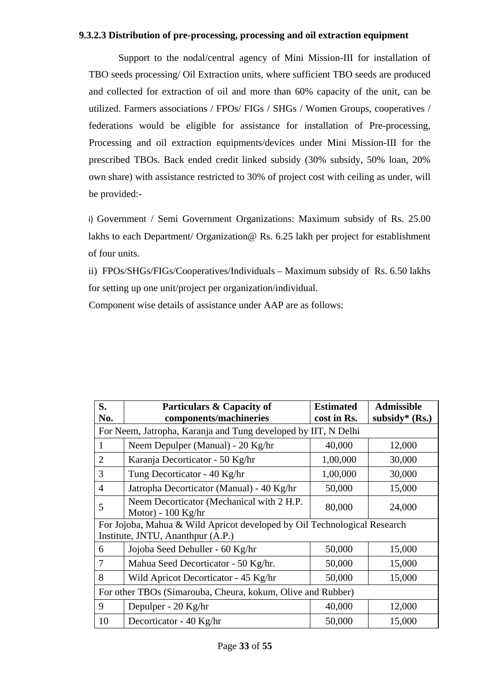### **9.3.2.3 Distribution of pre-processing, processing and oil extraction equipment**

 Support to the nodal/central agency of Mini Mission-III for installation of TBO seeds processing/ Oil Extraction units, where sufficient TBO seeds are produced and collected for extraction of oil and more than 60% capacity of the unit, can be utilized. Farmers associations / FPOs/ FIGs / SHGs / Women Groups, cooperatives / federations would be eligible for assistance for installation of Pre-processing, Processing and oil extraction equipments/devices under Mini Mission-III for the prescribed TBOs. Back ended credit linked subsidy (30% subsidy, 50% loan, 20% own share) with assistance restricted to 30% of project cost with ceiling as under, will be provided:-

i) Government / Semi Government Organizations: Maximum subsidy of Rs. 25.00 lakhs to each Department/ Organization @ Rs. 6.25 lakh per project for establishment of four units.

 ii) FPOs/SHGs/FIGs/Cooperatives/Individuals – Maximum subsidy of Rs. 6.50 lakhs for setting up one unit/project per organization/individual.

Component wise details of assistance under AAP are as follows:

| S.<br>No.                                                              | Particulars & Capacity of<br>components/machineries                                                           | <b>Estimated</b><br>cost in Rs. | <b>Admissible</b><br>subsidy* $(Rs.)$ |  |
|------------------------------------------------------------------------|---------------------------------------------------------------------------------------------------------------|---------------------------------|---------------------------------------|--|
|                                                                        | For Neem, Jatropha, Karanja and Tung developed by IIT, N Delhi                                                |                                 |                                       |  |
|                                                                        | Neem Depulper (Manual) - 20 Kg/hr                                                                             | 40,000                          | 12,000                                |  |
| $\overline{2}$                                                         | Karanja Decorticator - 50 Kg/hr                                                                               | 1,00,000                        | 30,000                                |  |
| 3                                                                      | Tung Decorticator - 40 Kg/hr                                                                                  | 1,00,000                        | 30,000                                |  |
| $\overline{4}$                                                         | Jatropha Decorticator (Manual) - 40 Kg/hr                                                                     | 50,000                          | 15,000                                |  |
| Neem Decorticator (Mechanical with 2 H.P.<br>5<br>Motor) - $100$ Kg/hr |                                                                                                               | 80,000                          | 24,000                                |  |
|                                                                        | For Jojoba, Mahua & Wild Apricot developed by Oil Technological Research<br>Institute, JNTU, Ananthpur (A.P.) |                                 |                                       |  |
| 6                                                                      | Jojoba Seed Dehuller - 60 Kg/hr                                                                               | 50,000                          | 15,000                                |  |
| 7                                                                      | Mahua Seed Decorticator - 50 Kg/hr.                                                                           | 50,000                          | 15,000                                |  |
| 8                                                                      | Wild Apricot Decorticator - 45 Kg/hr                                                                          | 50,000                          | 15,000                                |  |
|                                                                        | For other TBOs (Simarouba, Cheura, kokum, Olive and Rubber)                                                   |                                 |                                       |  |
| 9                                                                      | Depulper - 20 Kg/hr                                                                                           | 40,000                          | 12,000                                |  |
| 10                                                                     | Decorticator - 40 Kg/hr                                                                                       | 50,000                          | 15,000                                |  |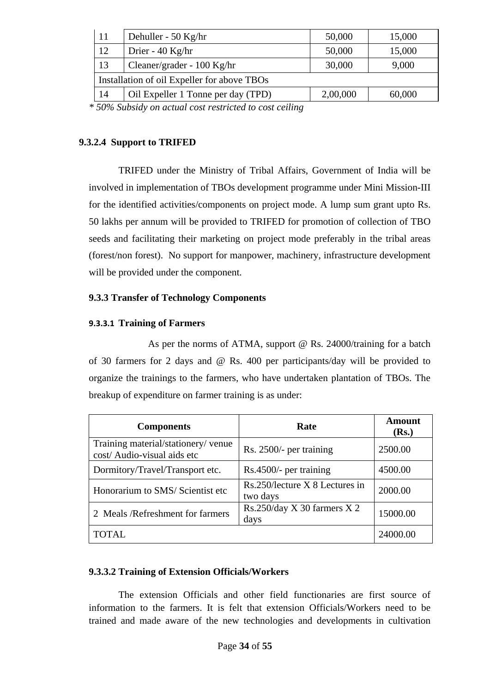| 11<br>Dehuller - 50 Kg/hr                |                                             | 50,000   | 15,000 |
|------------------------------------------|---------------------------------------------|----------|--------|
| 12                                       | Drier - 40 Kg/hr                            | 50,000   | 15,000 |
| 13                                       | Cleaner/grader - 100 Kg/hr                  | 30,000   | 9,000  |
|                                          | Installation of oil Expeller for above TBOs |          |        |
| 14<br>Oil Expeller 1 Tonne per day (TPD) |                                             | 2,00,000 | 60,000 |

*\* 50% Subsidy on actual cost restricted to cost ceiling* 

# **9.3.2.4 Support to TRIFED**

 TRIFED under the Ministry of Tribal Affairs, Government of India will be involved in implementation of TBOs development programme under Mini Mission-III for the identified activities/components on project mode. A lump sum grant upto Rs. 50 lakhs per annum will be provided to TRIFED for promotion of collection of TBO seeds and facilitating their marketing on project mode preferably in the tribal areas (forest/non forest). No support for manpower, machinery, infrastructure development will be provided under the component.

# **9.3.3 Transfer of Technology Components**

# **9.3.3.1 Training of Farmers**

As per the norms of ATMA, support @ Rs. 24000/training for a batch of 30 farmers for 2 days and @ Rs. 400 per participants/day will be provided to organize the trainings to the farmers, who have undertaken plantation of TBOs. The breakup of expenditure on farmer training is as under:

| <b>Components</b>                                                  | Rate                                       | Amount<br>(Rs.) |
|--------------------------------------------------------------------|--------------------------------------------|-----------------|
| Training material/stationery/ venue<br>cost/ Audio-visual aids etc | Rs. 2500/- per training                    | 2500.00         |
| Dormitory/Travel/Transport etc.                                    | $Rs.4500/-$ per training                   | 4500.00         |
| Honorarium to SMS/Scientist etc                                    | Rs.250/lecture X 8 Lectures in<br>two days | 2000.00         |
| 2 Meals /Refreshment for farmers                                   | Rs.250/day X 30 farmers $X$ 2<br>days      | 15000.00        |
| <b>TOTAL</b>                                                       |                                            | 24000.00        |

# **9.3.3.2 Training of Extension Officials/Workers**

 The extension Officials and other field functionaries are first source of information to the farmers. It is felt that extension Officials/Workers need to be trained and made aware of the new technologies and developments in cultivation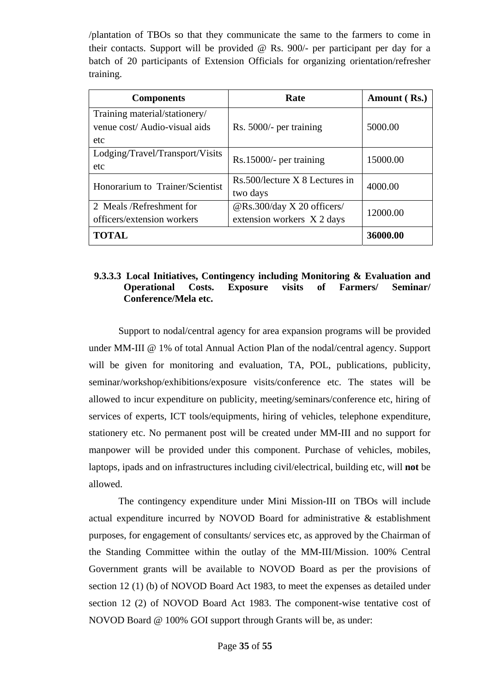/plantation of TBOs so that they communicate the same to the farmers to come in their contacts. Support will be provided @ Rs. 900/- per participant per day for a batch of 20 participants of Extension Officials for organizing orientation/refresher training.

| <b>Components</b>               | Rate                           | Amount (Rs.) |  |
|---------------------------------|--------------------------------|--------------|--|
| Training material/stationery/   |                                |              |  |
| venue cost/ Audio-visual aids   | Rs. 5000/- per training        | 5000.00      |  |
| etc                             |                                |              |  |
| Lodging/Travel/Transport/Visits | $Rs.15000/-$ per training      | 15000.00     |  |
| etc                             |                                |              |  |
| Honorarium to Trainer/Scientist | Rs.500/lecture X 8 Lectures in | 4000.00      |  |
|                                 | two days                       |              |  |
| 2 Meals/Refreshment for         | @Rs.300/day X 20 officers/     | 12000.00     |  |
| officers/extension workers      | extension workers X 2 days     |              |  |
| <b>TOTAL</b>                    |                                | 36000.00     |  |

# **9.3.3.3 Local Initiatives, Contingency including Monitoring & Evaluation and Operational Costs. Exposure visits of Farmers/ Seminar/ Conference/Mela etc.**

Support to nodal/central agency for area expansion programs will be provided under MM-III @ 1% of total Annual Action Plan of the nodal/central agency. Support will be given for monitoring and evaluation, TA, POL, publications, publicity, seminar/workshop/exhibitions/exposure visits/conference etc. The states will be allowed to incur expenditure on publicity, meeting/seminars/conference etc, hiring of services of experts, ICT tools/equipments, hiring of vehicles, telephone expenditure, stationery etc. No permanent post will be created under MM-III and no support for manpower will be provided under this component. Purchase of vehicles, mobiles, laptops, ipads and on infrastructures including civil/electrical, building etc, will **not** be allowed.

The contingency expenditure under Mini Mission-III on TBOs will include actual expenditure incurred by NOVOD Board for administrative & establishment purposes, for engagement of consultants/ services etc, as approved by the Chairman of the Standing Committee within the outlay of the MM-III/Mission. 100% Central Government grants will be available to NOVOD Board as per the provisions of section 12 (1) (b) of NOVOD Board Act 1983, to meet the expenses as detailed under section 12 (2) of NOVOD Board Act 1983. The component-wise tentative cost of NOVOD Board @ 100% GOI support through Grants will be, as under: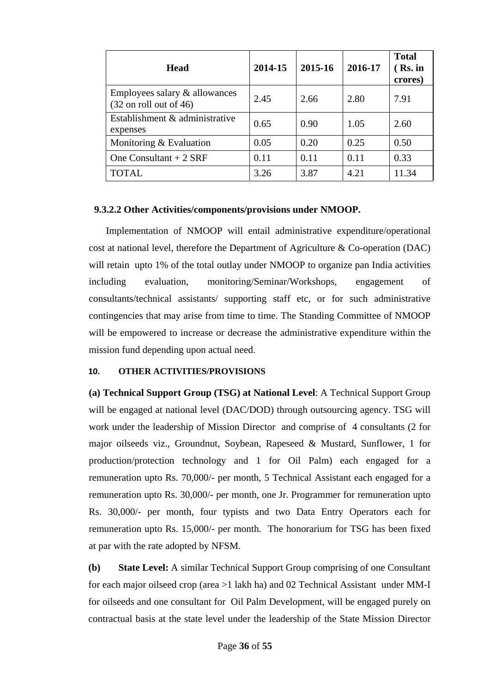| <b>Head</b>                                                        | 2014-15 | 2015-16 | 2016-17 | <b>Total</b><br>$(Rs.$ in<br>crores) |
|--------------------------------------------------------------------|---------|---------|---------|--------------------------------------|
| Employees salary & allowances<br>$(32 \text{ on roll out of } 46)$ | 2.45    | 2.66    | 2.80    | 7.91                                 |
| Establishment & administrative<br>expenses                         | 0.65    | 0.90    | 1.05    | 2.60                                 |
| Monitoring $&$ Evaluation                                          | 0.05    | 0.20    | 0.25    | 0.50                                 |
| One Consultant $+2$ SRF                                            | 0.11    | 0.11    | 0.11    | 0.33                                 |
| <b>TOTAL</b>                                                       | 3.26    | 3.87    | 4.21    | 11.34                                |

# **9.3.2.2 Other Activities/components/provisions under NMOOP.**

 Implementation of NMOOP will entail administrative expenditure/operational cost at national level, therefore the Department of Agriculture & Co-operation (DAC) will retain upto 1% of the total outlay under NMOOP to organize pan India activities including evaluation, monitoring/Seminar/Workshops, engagement of consultants/technical assistants/ supporting staff etc, or for such administrative contingencies that may arise from time to time. The Standing Committee of NMOOP will be empowered to increase or decrease the administrative expenditure within the mission fund depending upon actual need.

### **10. OTHER ACTIVITIES/PROVISIONS**

**(a) Technical Support Group (TSG) at National Level**: A Technical Support Group will be engaged at national level (DAC/DOD) through outsourcing agency. TSG will work under the leadership of Mission Director and comprise of 4 consultants (2 for major oilseeds viz., Groundnut, Soybean, Rapeseed & Mustard, Sunflower, 1 for production/protection technology and 1 for Oil Palm) each engaged for a remuneration upto Rs. 70,000/- per month, 5 Technical Assistant each engaged for a remuneration upto Rs. 30,000/- per month, one Jr. Programmer for remuneration upto Rs. 30,000/- per month, four typists and two Data Entry Operators each for remuneration upto Rs. 15,000/- per month. The honorarium for TSG has been fixed at par with the rate adopted by NFSM.

**(b) State Level:** A similar Technical Support Group comprising of one Consultant for each major oilseed crop (area >1 lakh ha) and 02 Technical Assistant under MM-I for oilseeds and one consultant for Oil Palm Development, will be engaged purely on contractual basis at the state level under the leadership of the State Mission Director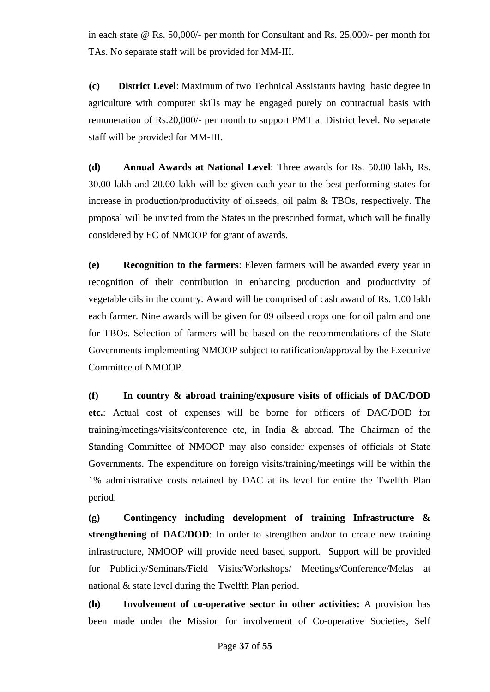in each state @ Rs. 50,000/- per month for Consultant and Rs. 25,000/- per month for TAs. No separate staff will be provided for MM-III.

**(c) District Level**: Maximum of two Technical Assistants having basic degree in agriculture with computer skills may be engaged purely on contractual basis with remuneration of Rs.20,000/- per month to support PMT at District level. No separate staff will be provided for MM-III.

**(d) Annual Awards at National Level**: Three awards for Rs. 50.00 lakh, Rs. 30.00 lakh and 20.00 lakh will be given each year to the best performing states for increase in production/productivity of oilseeds, oil palm & TBOs, respectively. The proposal will be invited from the States in the prescribed format, which will be finally considered by EC of NMOOP for grant of awards.

**(e) Recognition to the farmers**: Eleven farmers will be awarded every year in recognition of their contribution in enhancing production and productivity of vegetable oils in the country. Award will be comprised of cash award of Rs. 1.00 lakh each farmer. Nine awards will be given for 09 oilseed crops one for oil palm and one for TBOs. Selection of farmers will be based on the recommendations of the State Governments implementing NMOOP subject to ratification/approval by the Executive Committee of NMOOP.

**(f) In country & abroad training/exposure visits of officials of DAC/DOD etc.**: Actual cost of expenses will be borne for officers of DAC/DOD for training/meetings/visits/conference etc, in India & abroad. The Chairman of the Standing Committee of NMOOP may also consider expenses of officials of State Governments. The expenditure on foreign visits/training/meetings will be within the 1% administrative costs retained by DAC at its level for entire the Twelfth Plan period.

**(g) Contingency including development of training Infrastructure & strengthening of DAC/DOD**: In order to strengthen and/or to create new training infrastructure, NMOOP will provide need based support. Support will be provided for Publicity/Seminars/Field Visits/Workshops/ Meetings/Conference/Melas at national & state level during the Twelfth Plan period.

**(h) Involvement of co-operative sector in other activities:** A provision has been made under the Mission for involvement of Co-operative Societies, Self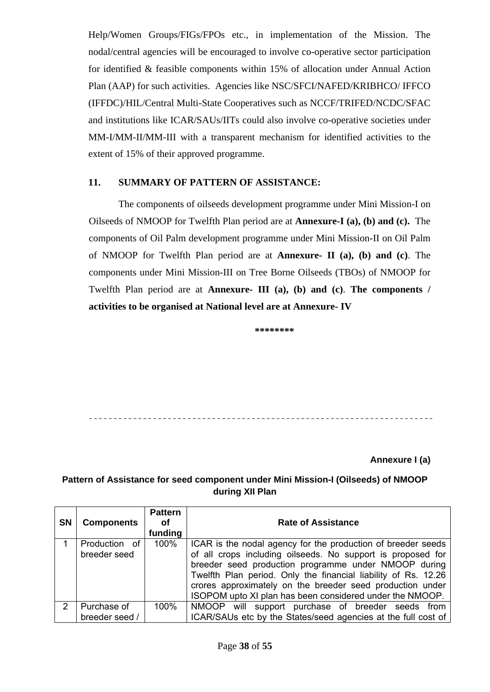Help/Women Groups/FIGs/FPOs etc., in implementation of the Mission. The nodal/central agencies will be encouraged to involve co-operative sector participation for identified & feasible components within 15% of allocation under Annual Action Plan (AAP) for such activities. Agencies like NSC/SFCI/NAFED/KRIBHCO/ IFFCO (IFFDC)/HIL/Central Multi-State Cooperatives such as NCCF/TRIFED/NCDC/SFAC and institutions like ICAR/SAUs/IITs could also involve co-operative societies under MM-I/MM-II/MM-III with a transparent mechanism for identified activities to the extent of 15% of their approved programme.

# **11. SUMMARY OF PATTERN OF ASSISTANCE:**

The components of oilseeds development programme under Mini Mission-I on Oilseeds of NMOOP for Twelfth Plan period are at **Annexure-I (a), (b) and (c).** The components of Oil Palm development programme under Mini Mission-II on Oil Palm of NMOOP for Twelfth Plan period are at **Annexure- II (a), (b) and (c)**. The components under Mini Mission-III on Tree Borne Oilseeds (TBOs) of NMOOP for Twelfth Plan period are at **Annexure- III (a), (b) and (c)**. **The components / activities to be organised at National level are at Annexure- IV** 

**\*\*\*\*\*\*\*\*** 

**Annexure I (a)**

# **Pattern of Assistance for seed component under Mini Mission-I (Oilseeds) of NMOOP during XII Plan**

| <b>SN</b>     | <b>Components</b>             | <b>Pattern</b><br>Οf<br>funding | <b>Rate of Assistance</b>                                                                                                                                                                                                                       |
|---------------|-------------------------------|---------------------------------|-------------------------------------------------------------------------------------------------------------------------------------------------------------------------------------------------------------------------------------------------|
|               | Production of<br>breeder seed | 100%                            | ICAR is the nodal agency for the production of breeder seeds<br>of all crops including oilseeds. No support is proposed for                                                                                                                     |
|               |                               |                                 | breeder seed production programme under NMOOP during<br>Twelfth Plan period. Only the financial liability of Rs. 12.26<br>crores approximately on the breeder seed production under<br>ISOPOM upto XI plan has been considered under the NMOOP. |
| $\mathcal{P}$ | Purchase of                   | 100%                            | NMOOP will support purchase of breeder seeds from                                                                                                                                                                                               |
|               | breeder seed /                |                                 | ICAR/SAUs etc by the States/seed agencies at the full cost of                                                                                                                                                                                   |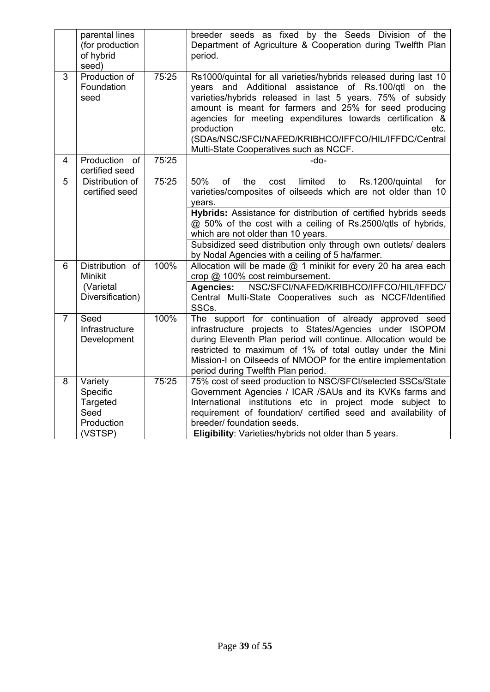|                | parental lines<br>(for production<br>of hybrid<br>seed)          |       | breeder seeds as fixed by the Seeds Division of the<br>Department of Agriculture & Cooperation during Twelfth Plan<br>period.                                                                                                                                                                                                                                                                                                         |
|----------------|------------------------------------------------------------------|-------|---------------------------------------------------------------------------------------------------------------------------------------------------------------------------------------------------------------------------------------------------------------------------------------------------------------------------------------------------------------------------------------------------------------------------------------|
| 3              | Production of<br>Foundation<br>seed                              | 75:25 | Rs1000/quintal for all varieties/hybrids released during last 10<br>years and Additional assistance of Rs.100/qtl on the<br>varieties/hybrids released in last 5 years. 75% of subsidy<br>amount is meant for farmers and 25% for seed producing<br>agencies for meeting expenditures towards certification &<br>etc.<br>production<br>(SDAs/NSC/SFCI/NAFED/KRIBHCO/IFFCO/HIL/IFFDC/Central<br>Multi-State Cooperatives such as NCCF. |
| 4              | Production<br>of<br>certified seed                               | 75:25 | -do-                                                                                                                                                                                                                                                                                                                                                                                                                                  |
| 5              | Distribution of<br>certified seed                                | 75:25 | 50%<br>of<br>limited<br>the<br>cost<br>to<br>Rs.1200/quintal<br>for<br>varieties/composites of oilseeds which are not older than 10<br>years.                                                                                                                                                                                                                                                                                         |
|                |                                                                  |       | Hybrids: Assistance for distribution of certified hybrids seeds<br>@ 50% of the cost with a ceiling of Rs.2500/qtls of hybrids,<br>which are not older than 10 years.<br>Subsidized seed distribution only through own outlets/ dealers                                                                                                                                                                                               |
|                |                                                                  |       | by Nodal Agencies with a ceiling of 5 ha/farmer.                                                                                                                                                                                                                                                                                                                                                                                      |
| 6              | Distribution of<br>Minikit                                       | 100%  | Allocation will be made $@$ 1 minikit for every 20 ha area each<br>crop @ 100% cost reimbursement.                                                                                                                                                                                                                                                                                                                                    |
|                | (Varietal<br>Diversification)                                    |       | NSC/SFCI/NAFED/KRIBHCO/IFFCO/HIL/IFFDC/<br><b>Agencies:</b><br>Central Multi-State Cooperatives such as NCCF/Identified<br>SSCs.                                                                                                                                                                                                                                                                                                      |
| $\overline{7}$ | Seed<br>Infrastructure<br>Development                            | 100%  | The support for continuation of already approved seed<br>infrastructure projects to States/Agencies under ISOPOM<br>during Eleventh Plan period will continue. Allocation would be<br>restricted to maximum of 1% of total outlay under the Mini<br>Mission-I on Oilseeds of NMOOP for the entire implementation<br>period during Twelfth Plan period.                                                                                |
| 8              | Variety<br>Specific<br>Targeted<br>Seed<br>Production<br>(VSTSP) | 75:25 | 75% cost of seed production to NSC/SFCI/selected SSCs/State<br>Government Agencies / ICAR /SAUs and its KVKs farms and<br>International institutions etc in project mode subject to<br>requirement of foundation/ certified seed and availability of<br>breeder/ foundation seeds.<br>Eligibility: Varieties/hybrids not older than 5 years.                                                                                          |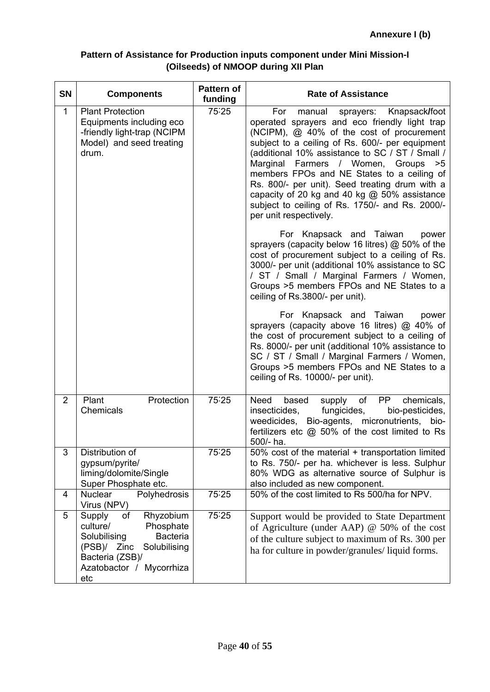# **Pattern of Assistance for Production inputs component under Mini Mission-I (Oilseeds) of NMOOP during XII Plan**

| <b>SN</b>      | <b>Components</b>                                                                                                                                                          | Pattern of<br>funding | <b>Rate of Assistance</b>                                                                                                                                                                                                                                                                                                                                                                                                                                                                                            |
|----------------|----------------------------------------------------------------------------------------------------------------------------------------------------------------------------|-----------------------|----------------------------------------------------------------------------------------------------------------------------------------------------------------------------------------------------------------------------------------------------------------------------------------------------------------------------------------------------------------------------------------------------------------------------------------------------------------------------------------------------------------------|
| $\mathbf{1}$   | <b>Plant Protection</b><br>Equipments including eco<br>-friendly light-trap (NCIPM<br>Model) and seed treating<br>drum.                                                    | 75:25                 | sprayers: Knapsack/foot<br>For<br>manual<br>operated sprayers and eco friendly light trap<br>(NCIPM), @ 40% of the cost of procurement<br>subject to a ceiling of Rs. 600/- per equipment<br>(additional 10% assistance to SC / ST / Small /<br>Marginal<br>Farmers / Women, Groups > 5<br>members FPOs and NE States to a ceiling of<br>Rs. 800/- per unit). Seed treating drum with a<br>capacity of 20 kg and 40 kg @ 50% assistance<br>subject to ceiling of Rs. 1750/- and Rs. 2000/-<br>per unit respectively. |
|                |                                                                                                                                                                            |                       | For Knapsack and Taiwan<br>power<br>sprayers (capacity below 16 litres) @ 50% of the<br>cost of procurement subject to a ceiling of Rs.<br>3000/- per unit (additional 10% assistance to SC<br>/ ST / Small / Marginal Farmers / Women,<br>Groups >5 members FPOs and NE States to a<br>ceiling of Rs.3800/- per unit).                                                                                                                                                                                              |
|                |                                                                                                                                                                            |                       | For Knapsack and Taiwan<br>power<br>sprayers (capacity above 16 litres) @ 40% of<br>the cost of procurement subject to a ceiling of<br>Rs. 8000/- per unit (additional 10% assistance to<br>SC / ST / Small / Marginal Farmers / Women,<br>Groups >5 members FPOs and NE States to a<br>ceiling of Rs. 10000/- per unit).                                                                                                                                                                                            |
| $\overline{2}$ | Protection<br>Plant<br>Chemicals                                                                                                                                           | 75:25                 | PP <sup>T</sup><br>chemicals,<br>Need<br>based<br>supply of<br>fungicides,<br>insecticides,<br>bio-pesticides,<br>weedicides, Bio-agents, micronutrients, bio-<br>fertilizers etc @ 50% of the cost limited to Rs<br>500/- ha.                                                                                                                                                                                                                                                                                       |
| 3              | Distribution of<br>gypsum/pyrite/<br>liming/dolomite/Single<br>Super Phosphate etc.                                                                                        | 75:25                 | 50% cost of the material + transportation limited<br>to Rs. 750/- per ha. whichever is less. Sulphur<br>80% WDG as alternative source of Sulphur is<br>also included as new component.                                                                                                                                                                                                                                                                                                                               |
| 4              | <b>Nuclear</b><br>Polyhedrosis<br>Virus (NPV)                                                                                                                              | 75:25                 | 50% of the cost limited to Rs 500/ha for NPV.                                                                                                                                                                                                                                                                                                                                                                                                                                                                        |
| 5              | Supply<br>оf<br>Rhyzobium<br>culture/<br>Phosphate<br><b>Bacteria</b><br>Solubilising<br>(PSB)/ Zinc<br>Solubilising<br>Bacteria (ZSB)/<br>Azatobactor / Mycorrhiza<br>etc | 75:25                 | Support would be provided to State Department<br>of Agriculture (under AAP) $@$ 50% of the cost<br>of the culture subject to maximum of Rs. 300 per<br>ha for culture in powder/granules/liquid forms.                                                                                                                                                                                                                                                                                                               |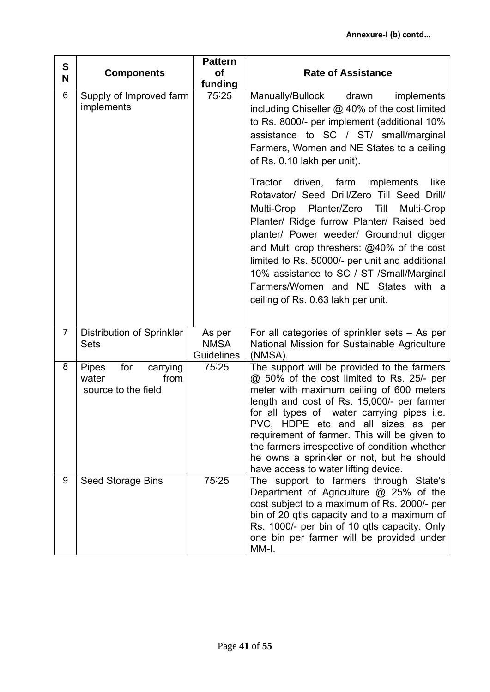| S              | <b>Pattern</b><br><b>of</b><br><b>Components</b>                        |                                            | <b>Rate of Assistance</b>                                                                                                                                                                                                                                                                                                                                                                                                                                    |
|----------------|-------------------------------------------------------------------------|--------------------------------------------|--------------------------------------------------------------------------------------------------------------------------------------------------------------------------------------------------------------------------------------------------------------------------------------------------------------------------------------------------------------------------------------------------------------------------------------------------------------|
| N              |                                                                         | funding                                    |                                                                                                                                                                                                                                                                                                                                                                                                                                                              |
| 6              | Supply of Improved farm<br>implements                                   | 75.25                                      | Manually/Bullock<br>drawn<br>implements<br>including Chiseller @ 40% of the cost limited<br>to Rs. 8000/- per implement (additional 10%<br>assistance to SC / ST/ small/marginal<br>Farmers, Women and NE States to a ceiling<br>of Rs. 0.10 lakh per unit).                                                                                                                                                                                                 |
|                |                                                                         |                                            | Tractor driven, farm implements<br>like<br>Rotavator/ Seed Drill/Zero Till Seed Drill/<br>Multi-Crop Planter/Zero<br>Till<br>Multi-Crop<br>Planter/ Ridge furrow Planter/ Raised bed<br>planter/ Power weeder/ Groundnut digger<br>and Multi crop threshers: @40% of the cost<br>limited to Rs. 50000/- per unit and additional<br>10% assistance to SC / ST /Small/Marginal<br>Farmers/Women and NE States with a<br>ceiling of Rs. 0.63 lakh per unit.     |
| $\overline{7}$ | Distribution of Sprinkler<br><b>Sets</b>                                | As per<br><b>NMSA</b><br><b>Guidelines</b> | For all categories of sprinkler sets - As per<br>National Mission for Sustainable Agriculture<br>(NMSA).                                                                                                                                                                                                                                                                                                                                                     |
| 8              | for<br><b>Pipes</b><br>carrying<br>water<br>from<br>source to the field | 75.25                                      | The support will be provided to the farmers<br>@ 50% of the cost limited to Rs. 25/- per<br>meter with maximum ceiling of 600 meters<br>length and cost of Rs. 15,000/- per farmer<br>for all types of water carrying pipes i.e.<br>PVC, HDPE etc and all sizes as per<br>requirement of farmer. This will be given to<br>the farmers irrespective of condition whether<br>he owns a sprinkler or not, but he should<br>have access to water lifting device. |
| 9              | Seed Storage Bins                                                       | 75.25                                      | The support to farmers through State's<br>Department of Agriculture @ 25% of the<br>cost subject to a maximum of Rs. 2000/- per<br>bin of 20 qtls capacity and to a maximum of<br>Rs. 1000/- per bin of 10 qtls capacity. Only<br>one bin per farmer will be provided under<br>MM-I.                                                                                                                                                                         |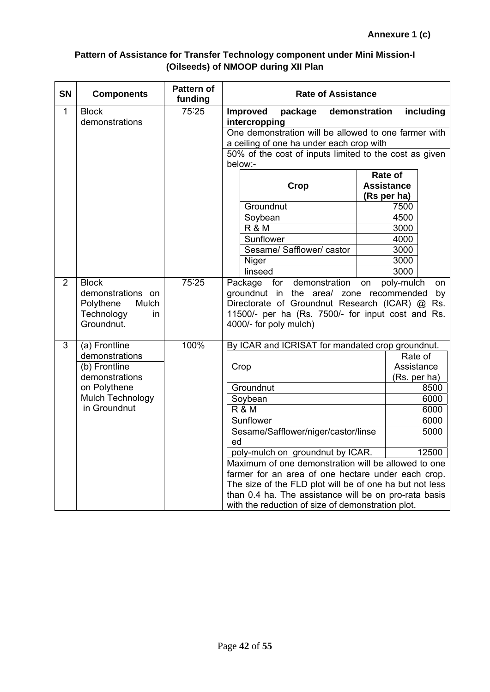# **Pattern of Assistance for Transfer Technology component under Mini Mission-I (Oilseeds) of NMOOP during XII Plan**

| <b>SN</b>      | <b>Components</b>                                                          | <b>Pattern of</b><br>funding | <b>Rate of Assistance</b>                                                                                                                                                |                                  |          |
|----------------|----------------------------------------------------------------------------|------------------------------|--------------------------------------------------------------------------------------------------------------------------------------------------------------------------|----------------------------------|----------|
| $\overline{1}$ | <b>Block</b>                                                               | 75:25                        | <b>Improved</b><br>package                                                                                                                                               | including<br>demonstration       |          |
|                | demonstrations                                                             |                              | intercropping                                                                                                                                                            |                                  |          |
|                |                                                                            |                              | One demonstration will be allowed to one farmer with                                                                                                                     |                                  |          |
|                |                                                                            |                              | a ceiling of one ha under each crop with                                                                                                                                 |                                  |          |
|                |                                                                            |                              | 50% of the cost of inputs limited to the cost as given<br>below:-                                                                                                        |                                  |          |
|                |                                                                            |                              |                                                                                                                                                                          | Rate of                          |          |
|                |                                                                            |                              | <b>Crop</b>                                                                                                                                                              | <b>Assistance</b><br>(Rs per ha) |          |
|                |                                                                            |                              | Groundnut                                                                                                                                                                | 7500                             |          |
|                |                                                                            |                              | Soybean                                                                                                                                                                  | 4500                             |          |
|                |                                                                            |                              | <b>R &amp; M</b>                                                                                                                                                         | 3000                             |          |
|                |                                                                            |                              | Sunflower                                                                                                                                                                | 4000                             |          |
|                |                                                                            |                              | Sesame/ Safflower/ castor                                                                                                                                                | 3000                             |          |
|                |                                                                            |                              | Niger                                                                                                                                                                    | 3000                             |          |
| $\overline{2}$ | <b>Block</b>                                                               | 75:25                        | linseed<br>demonstration<br>Package for                                                                                                                                  | 3000<br>poly-mulch<br>on         |          |
|                | demonstrations on<br>Polythene<br>Mulch<br>Technology<br>in.<br>Groundnut. |                              | groundnut in the area/ zone recommended<br>Directorate of Groundnut Research (ICAR) @ Rs.<br>11500/- per ha (Rs. 7500/- for input cost and Rs.<br>4000/- for poly mulch) |                                  | on<br>by |
| 3              | (a) Frontline                                                              | 100%                         | By ICAR and ICRISAT for mandated crop groundnut.                                                                                                                         |                                  |          |
|                | demonstrations                                                             |                              |                                                                                                                                                                          | Rate of                          |          |
|                | (b) Frontline                                                              |                              | Crop                                                                                                                                                                     | Assistance                       |          |
|                | demonstrations                                                             |                              |                                                                                                                                                                          | (Rs. per ha)                     |          |
|                | on Polythene<br>Mulch Technology                                           |                              | Groundnut                                                                                                                                                                | 8500                             |          |
|                | in Groundnut                                                               |                              | Soybean<br><b>R &amp; M</b>                                                                                                                                              | 6000<br>6000                     |          |
|                |                                                                            |                              | Sunflower                                                                                                                                                                | 6000                             |          |
|                |                                                                            |                              | Sesame/Safflower/niger/castor/linse                                                                                                                                      | 5000                             |          |
|                |                                                                            |                              | ed                                                                                                                                                                       |                                  |          |
|                |                                                                            |                              | poly-mulch on groundnut by ICAR.                                                                                                                                         | 12500                            |          |
|                |                                                                            |                              | Maximum of one demonstration will be allowed to one                                                                                                                      |                                  |          |
|                |                                                                            |                              | farmer for an area of one hectare under each crop.                                                                                                                       |                                  |          |
|                |                                                                            |                              | The size of the FLD plot will be of one ha but not less                                                                                                                  |                                  |          |
|                |                                                                            |                              | than 0.4 ha. The assistance will be on pro-rata basis                                                                                                                    |                                  |          |
|                |                                                                            |                              | with the reduction of size of demonstration plot.                                                                                                                        |                                  |          |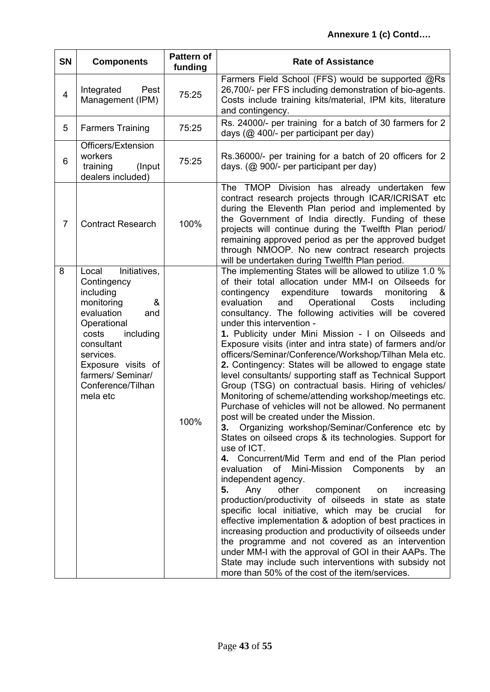| <b>SN</b>      | <b>Components</b>                                                                                                                                                                                                                     | <b>Pattern of</b><br>funding | <b>Rate of Assistance</b>                                                                                                                                                                                                                                                                                                                                                                                                                                                                                                                                                                                                                                                                                                                                                                                                                                                                                                                                                                                                                                                                                                                                                                                                                                                                                                                                                                                                                                                                                                                                                                                                                                  |
|----------------|---------------------------------------------------------------------------------------------------------------------------------------------------------------------------------------------------------------------------------------|------------------------------|------------------------------------------------------------------------------------------------------------------------------------------------------------------------------------------------------------------------------------------------------------------------------------------------------------------------------------------------------------------------------------------------------------------------------------------------------------------------------------------------------------------------------------------------------------------------------------------------------------------------------------------------------------------------------------------------------------------------------------------------------------------------------------------------------------------------------------------------------------------------------------------------------------------------------------------------------------------------------------------------------------------------------------------------------------------------------------------------------------------------------------------------------------------------------------------------------------------------------------------------------------------------------------------------------------------------------------------------------------------------------------------------------------------------------------------------------------------------------------------------------------------------------------------------------------------------------------------------------------------------------------------------------------|
| $\overline{4}$ | Integrated<br>Pest<br>Management (IPM)                                                                                                                                                                                                | 75:25                        | Farmers Field School (FFS) would be supported @Rs<br>26,700/- per FFS including demonstration of bio-agents.<br>Costs include training kits/material, IPM kits, literature<br>and contingency.                                                                                                                                                                                                                                                                                                                                                                                                                                                                                                                                                                                                                                                                                                                                                                                                                                                                                                                                                                                                                                                                                                                                                                                                                                                                                                                                                                                                                                                             |
| 5              | <b>Farmers Training</b>                                                                                                                                                                                                               | 75:25                        | Rs. 24000/- per training for a batch of 30 farmers for 2<br>days (@ 400/- per participant per day)                                                                                                                                                                                                                                                                                                                                                                                                                                                                                                                                                                                                                                                                                                                                                                                                                                                                                                                                                                                                                                                                                                                                                                                                                                                                                                                                                                                                                                                                                                                                                         |
| 6              | Officers/Extension<br>workers<br>training<br>(Input)<br>dealers included)                                                                                                                                                             | 75:25                        | Rs.36000/- per training for a batch of 20 officers for 2<br>days. (@ 900/- per participant per day)                                                                                                                                                                                                                                                                                                                                                                                                                                                                                                                                                                                                                                                                                                                                                                                                                                                                                                                                                                                                                                                                                                                                                                                                                                                                                                                                                                                                                                                                                                                                                        |
| $\overline{7}$ | <b>Contract Research</b>                                                                                                                                                                                                              | 100%                         | The TMOP Division has already undertaken few<br>contract research projects through ICAR/ICRISAT etc<br>during the Eleventh Plan period and implemented by<br>the Government of India directly. Funding of these<br>projects will continue during the Twelfth Plan period/<br>remaining approved period as per the approved budget<br>through NMOOP. No new contract research projects<br>will be undertaken during Twelfth Plan period.                                                                                                                                                                                                                                                                                                                                                                                                                                                                                                                                                                                                                                                                                                                                                                                                                                                                                                                                                                                                                                                                                                                                                                                                                    |
| 8              | Initiatives,<br>Local<br>Contingency<br>including<br>monitoring<br>&<br>evaluation<br>and<br>Operational<br>including<br>costs<br>consultant<br>services.<br>Exposure visits of<br>farmers/ Seminar/<br>Conference/Tilhan<br>mela etc | 100%                         | The implementing States will be allowed to utilize 1.0 %<br>of their total allocation under MM-I on Oilseeds for<br>contingency<br>expenditure<br>towards<br>monitoring<br>&<br>evaluation<br>and<br>Operational<br>Costs<br>including<br>consultancy. The following activities will be covered<br>under this intervention -<br>1. Publicity under Mini Mission - I on Oilseeds and<br>Exposure visits (inter and intra state) of farmers and/or<br>officers/Seminar/Conference/Workshop/Tilhan Mela etc.<br>2. Contingency: States will be allowed to engage state<br>level consultants/ supporting staff as Technical Support<br>Group (TSG) on contractual basis. Hiring of vehicles/<br>Monitoring of scheme/attending workshop/meetings etc.<br>Purchase of vehicles will not be allowed. No permanent<br>post will be created under the Mission.<br>Organizing workshop/Seminar/Conference etc by<br>3.<br>States on oilseed crops & its technologies. Support for<br>use of ICT.<br>4. Concurrent/Mid Term and end of the Plan period<br>evaluation<br>of<br>Mini-Mission Components<br>by<br>an<br>independent agency.<br>Any<br>other<br>component<br>increasing<br>5.<br>on<br>production/productivity of oilseeds in state as state<br>specific local initiative, which may be crucial<br>for<br>effective implementation & adoption of best practices in<br>increasing production and productivity of oilseeds under<br>the programme and not covered as an intervention<br>under MM-I with the approval of GOI in their AAPs. The<br>State may include such interventions with subsidy not<br>more than 50% of the cost of the item/services. |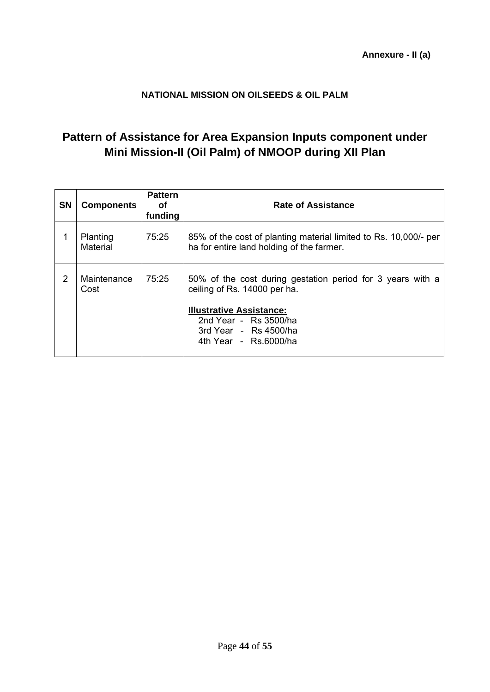# **NATIONAL MISSION ON OILSEEDS & OIL PALM**

# **Pattern of Assistance for Area Expansion Inputs component under Mini Mission-II (Oil Palm) of NMOOP during XII Plan**

| <b>SN</b> | <b>Components</b>    | <b>Pattern</b><br>οf<br>funding | <b>Rate of Assistance</b>                                                                                                                                                                     |
|-----------|----------------------|---------------------------------|-----------------------------------------------------------------------------------------------------------------------------------------------------------------------------------------------|
|           | Planting<br>Material | 75:25                           | 85% of the cost of planting material limited to Rs. 10,000/- per<br>ha for entire land holding of the farmer.                                                                                 |
| 2         | Maintenance<br>Cost  | 75:25                           | 50% of the cost during gestation period for 3 years with a<br>ceiling of Rs. 14000 per ha.<br><b>Illustrative Assistance:</b><br>2nd Year - Rs 3500/ha<br>3rd Year - $\overline{R}$ s 4500/ha |
|           |                      |                                 | 4th Year - Rs.6000/ha                                                                                                                                                                         |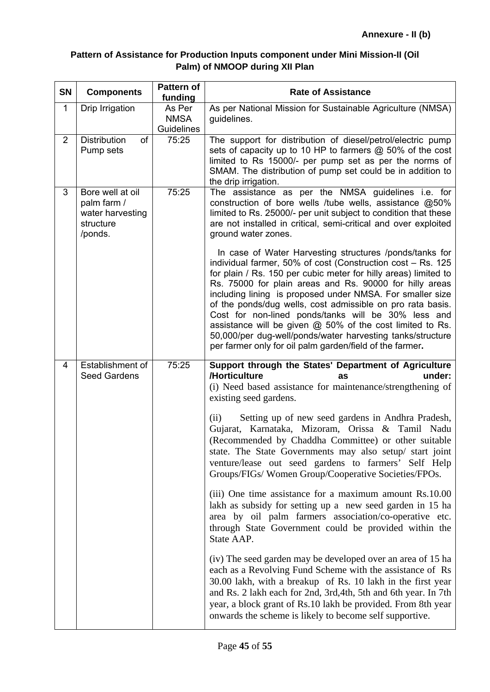# **Pattern of Assistance for Production Inputs component under Mini Mission-II (Oil Palm) of NMOOP during XII Plan**

| <b>SN</b>      | <b>Components</b>                                                           | <b>Pattern of</b><br>funding        | <b>Rate of Assistance</b>                                                                                                                                                                                                                                                                                                                                                                                                                                                                                                                                                                                                     |
|----------------|-----------------------------------------------------------------------------|-------------------------------------|-------------------------------------------------------------------------------------------------------------------------------------------------------------------------------------------------------------------------------------------------------------------------------------------------------------------------------------------------------------------------------------------------------------------------------------------------------------------------------------------------------------------------------------------------------------------------------------------------------------------------------|
| $\mathbf{1}$   | Drip Irrigation                                                             | As Per<br><b>NMSA</b><br>Guidelines | As per National Mission for Sustainable Agriculture (NMSA)<br>guidelines.                                                                                                                                                                                                                                                                                                                                                                                                                                                                                                                                                     |
| $\overline{2}$ | <b>Distribution</b><br><b>of</b><br>Pump sets                               | 75:25                               | The support for distribution of diesel/petrol/electric pump<br>sets of capacity up to 10 HP to farmers @ 50% of the cost<br>limited to Rs 15000/- per pump set as per the norms of<br>SMAM. The distribution of pump set could be in addition to<br>the drip irrigation.                                                                                                                                                                                                                                                                                                                                                      |
| 3              | Bore well at oil<br>palm farm /<br>water harvesting<br>structure<br>/ponds. | 75:25                               | The assistance as per the NMSA guidelines i.e. for<br>construction of bore wells /tube wells, assistance @50%<br>limited to Rs. 25000/- per unit subject to condition that these<br>are not installed in critical, semi-critical and over exploited<br>ground water zones.                                                                                                                                                                                                                                                                                                                                                    |
|                |                                                                             |                                     | In case of Water Harvesting structures /ponds/tanks for<br>individual farmer, 50% of cost (Construction cost - Rs. 125<br>for plain / Rs. 150 per cubic meter for hilly areas) limited to<br>Rs. 75000 for plain areas and Rs. 90000 for hilly areas<br>including lining is proposed under NMSA. For smaller size<br>of the ponds/dug wells, cost admissible on pro rata basis.<br>Cost for non-lined ponds/tanks will be 30% less and<br>assistance will be given @ 50% of the cost limited to Rs.<br>50,000/per dug-well/ponds/water harvesting tanks/structure<br>per farmer only for oil palm garden/field of the farmer. |
| $\overline{4}$ | Establishment of<br><b>Seed Gardens</b>                                     | 75:25                               | Support through the States' Department of Agriculture<br>/Horticulture<br>under:<br>as<br>(i) Need based assistance for maintenance/strengthening of<br>existing seed gardens.                                                                                                                                                                                                                                                                                                                                                                                                                                                |
|                |                                                                             |                                     | Setting up of new seed gardens in Andhra Pradesh,<br>(ii)<br>Gujarat, Karnataka, Mizoram, Orissa & Tamil Nadu<br>(Recommended by Chaddha Committee) or other suitable<br>state. The State Governments may also setup/ start joint<br>venture/lease out seed gardens to farmers' Self Help<br>Groups/FIGs/Women Group/Cooperative Societies/FPOs.                                                                                                                                                                                                                                                                              |
|                |                                                                             |                                     | (iii) One time assistance for a maximum amount Rs.10.00<br>lakh as subsidy for setting up a new seed garden in 15 has<br>area by oil palm farmers association/co-operative etc.<br>through State Government could be provided within the<br>State AAP.                                                                                                                                                                                                                                                                                                                                                                        |
|                |                                                                             |                                     | (iv) The seed garden may be developed over an area of 15 ha<br>each as a Revolving Fund Scheme with the assistance of Rs<br>30.00 lakh, with a breakup of Rs. 10 lakh in the first year<br>and Rs. 2 lakh each for 2nd, 3rd, 4th, 5th and 6th year. In 7th<br>year, a block grant of Rs.10 lakh be provided. From 8th year<br>onwards the scheme is likely to become self supportive.                                                                                                                                                                                                                                         |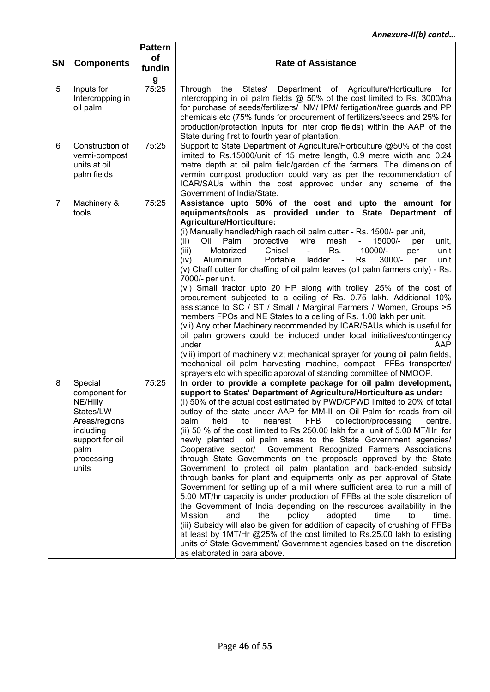| <b>SN</b>      | <b>Components</b>                                                                                                                 | <b>Pattern</b><br><b>of</b><br>fundin<br>g | <b>Rate of Assistance</b>                                                                                                                                                                                                                                                                                                                                                                                                                                                                                                                                                                                                                                                                                                                                                                                                                                                                                                                                                                                                                                                                                                                                                                                                                                                                                                                                                                       |
|----------------|-----------------------------------------------------------------------------------------------------------------------------------|--------------------------------------------|-------------------------------------------------------------------------------------------------------------------------------------------------------------------------------------------------------------------------------------------------------------------------------------------------------------------------------------------------------------------------------------------------------------------------------------------------------------------------------------------------------------------------------------------------------------------------------------------------------------------------------------------------------------------------------------------------------------------------------------------------------------------------------------------------------------------------------------------------------------------------------------------------------------------------------------------------------------------------------------------------------------------------------------------------------------------------------------------------------------------------------------------------------------------------------------------------------------------------------------------------------------------------------------------------------------------------------------------------------------------------------------------------|
| 5              | Inputs for<br>Intercropping in<br>oil palm                                                                                        | 75:25                                      | States'<br>Department of Agriculture/Horticulture<br>Through<br>the<br>for<br>intercropping in oil palm fields @ 50% of the cost limited to Rs. 3000/ha<br>for purchase of seeds/fertilizers/ INM/ IPM/ fertigation/tree guards and PP<br>chemicals etc (75% funds for procurement of fertilizers/seeds and 25% for<br>production/protection inputs for inter crop fields) within the AAP of the<br>State during first to fourth year of plantation.                                                                                                                                                                                                                                                                                                                                                                                                                                                                                                                                                                                                                                                                                                                                                                                                                                                                                                                                            |
| 6              | Construction of<br>vermi-compost<br>units at oil<br>palm fields                                                                   | 75:25                                      | Support to State Department of Agriculture/Horticulture @50% of the cost<br>limited to Rs.15000/unit of 15 metre length, 0.9 metre width and 0.24<br>metre depth at oil palm field/garden of the farmers. The dimension of<br>vermin compost production could vary as per the recommendation of<br>ICAR/SAUs within the cost approved under any scheme of the<br>Government of India/State.                                                                                                                                                                                                                                                                                                                                                                                                                                                                                                                                                                                                                                                                                                                                                                                                                                                                                                                                                                                                     |
| $\overline{7}$ | Machinery &<br>tools                                                                                                              | 75:25                                      | Assistance upto 50% of the cost and upto the amount for<br>equipments/tools as provided under to State Department of<br><b>Agriculture/Horticulture:</b><br>(i) Manually handled/high reach oil palm cutter - Rs. 1500/- per unit,<br>mesh<br>(ii)<br>Palm<br>protective<br>wire<br>$15000/-$<br>unit,<br>Oil<br>per<br>Motorized<br>Chisel<br>Rs.<br>10000/-<br>(iii)<br>unit<br>per<br>$3000/-$<br>Aluminium<br>Portable<br>ladder<br>Rs.<br>$\blacksquare$<br>unit<br>(iv)<br>per<br>(v) Chaff cutter for chaffing of oil palm leaves (oil palm farmers only) - Rs.<br>7000/- per unit.<br>(vi) Small tractor upto 20 HP along with trolley: 25% of the cost of<br>procurement subjected to a ceiling of Rs. 0.75 lakh. Additional 10%<br>assistance to SC / ST / Small / Marginal Farmers / Women, Groups >5<br>members FPOs and NE States to a ceiling of Rs. 1.00 lakh per unit.<br>(vii) Any other Machinery recommended by ICAR/SAUs which is useful for<br>oil palm growers could be included under local initiatives/contingency<br>AAP<br>under<br>(viii) import of machinery viz; mechanical sprayer for young oil palm fields,<br>mechanical oil palm harvesting machine, compact FFBs transporter/<br>sprayers etc with specific approval of standing committee of NMOOP.                                                                                                         |
| 8              | Special<br>component for<br>NE/Hilly<br>States/LW<br>Areas/regions<br>including<br>support for oil<br>palm<br>processing<br>units | 75:25                                      | In order to provide a complete package for oil palm development,<br>support to States' Department of Agriculture/Horticulture as under:<br>(i) 50% of the actual cost estimated by PWD/CPWD limited to 20% of total<br>outlay of the state under AAP for MM-II on Oil Palm for roads from oil<br>nearest FFB<br>collection/processing<br>field<br>palm<br>to<br>centre.<br>(ii) 50 % of the cost limited to Rs 250.00 lakh for a unit of 5.00 MT/Hr for<br>oil palm areas to the State Government agencies/<br>newly planted<br>Cooperative sector/ Government Recognized Farmers Associations<br>through State Governments on the proposals approved by the State<br>Government to protect oil palm plantation and back-ended subsidy<br>through banks for plant and equipments only as per approval of State<br>Government for setting up of a mill where sufficient area to run a mill of<br>5.00 MT/hr capacity is under production of FFBs at the sole discretion of<br>the Government of India depending on the resources availability in the<br>Mission<br>and<br>the<br>policy<br>adopted<br>time<br>to<br>time.<br>(iii) Subsidy will also be given for addition of capacity of crushing of FFBs<br>at least by 1MT/Hr @25% of the cost limited to Rs.25.00 lakh to existing<br>units of State Government/ Government agencies based on the discretion<br>as elaborated in para above. |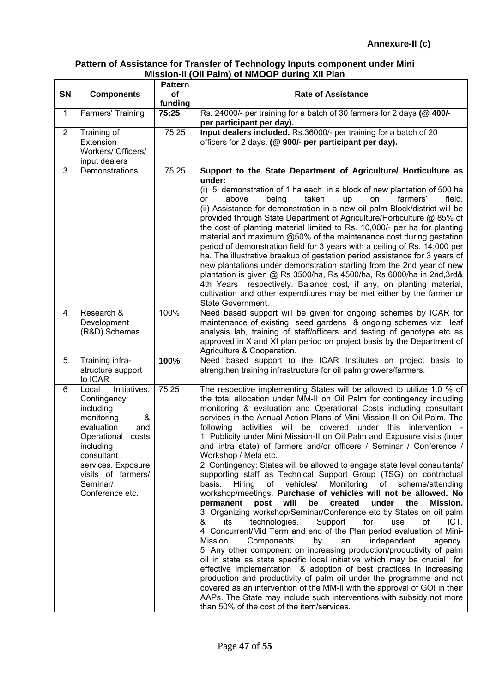### **Pattern of Assistance for Transfer of Technology Inputs component under Mini Mission-II (Oil Palm) of NMOOP during XII Plan**

| SN             | <b>Components</b>                                                                                                                                                                                                       | <b>Pattern</b><br>of | <b>Rate of Assistance</b>                                                                                                                                                                                                                                                                                                                                                                                                                                                                                                                                                                                                                                                                                                                                                                                                                                                                                                                                                                                                                                                                                                                                                                                                                                                                                                                                                                                                                                                                                                                                                                                                                                                          |  |  |  |  |
|----------------|-------------------------------------------------------------------------------------------------------------------------------------------------------------------------------------------------------------------------|----------------------|------------------------------------------------------------------------------------------------------------------------------------------------------------------------------------------------------------------------------------------------------------------------------------------------------------------------------------------------------------------------------------------------------------------------------------------------------------------------------------------------------------------------------------------------------------------------------------------------------------------------------------------------------------------------------------------------------------------------------------------------------------------------------------------------------------------------------------------------------------------------------------------------------------------------------------------------------------------------------------------------------------------------------------------------------------------------------------------------------------------------------------------------------------------------------------------------------------------------------------------------------------------------------------------------------------------------------------------------------------------------------------------------------------------------------------------------------------------------------------------------------------------------------------------------------------------------------------------------------------------------------------------------------------------------------------|--|--|--|--|
|                |                                                                                                                                                                                                                         | funding              |                                                                                                                                                                                                                                                                                                                                                                                                                                                                                                                                                                                                                                                                                                                                                                                                                                                                                                                                                                                                                                                                                                                                                                                                                                                                                                                                                                                                                                                                                                                                                                                                                                                                                    |  |  |  |  |
| $\mathbf{1}$   | Farmers' Training                                                                                                                                                                                                       | 75:25                | Rs. 24000/- per training for a batch of 30 farmers for 2 days (@ 400/-<br>per participant per day).                                                                                                                                                                                                                                                                                                                                                                                                                                                                                                                                                                                                                                                                                                                                                                                                                                                                                                                                                                                                                                                                                                                                                                                                                                                                                                                                                                                                                                                                                                                                                                                |  |  |  |  |
| $\overline{2}$ | Training of<br>Extension<br>Workers/ Officers/<br>input dealers                                                                                                                                                         | 75:25                | Input dealers included. Rs.36000/- per training for a batch of 20<br>officers for 2 days. (@ 900/- per participant per day).                                                                                                                                                                                                                                                                                                                                                                                                                                                                                                                                                                                                                                                                                                                                                                                                                                                                                                                                                                                                                                                                                                                                                                                                                                                                                                                                                                                                                                                                                                                                                       |  |  |  |  |
| 3              | Demonstrations                                                                                                                                                                                                          | 75:25                | Support to the State Department of Agriculture/ Horticulture as<br>under:<br>(i) 5 demonstration of 1 ha each in a block of new plantation of 500 ha<br>above<br>taken<br>farmers'<br>field.<br>being<br>or<br>up<br>on<br>(ii) Assistance for demonstration in a new oil palm Block/district will be<br>provided through State Department of Agriculture/Horticulture @ 85% of<br>the cost of planting material limited to Rs. 10,000/- per ha for planting<br>material and maximum @50% of the maintenance cost during gestation<br>period of demonstration field for 3 years with a ceiling of Rs. 14,000 per<br>ha. The illustrative breakup of gestation period assistance for 3 years of<br>new plantations under demonstration starting from the 2nd year of new<br>plantation is given @ Rs 3500/ha, Rs 4500/ha, Rs 6000/ha in 2nd, 3rd &<br>4th Years respectively. Balance cost, if any, on planting material,<br>cultivation and other expenditures may be met either by the farmer or<br>State Government.                                                                                                                                                                                                                                                                                                                                                                                                                                                                                                                                                                                                                                                             |  |  |  |  |
| 4              | Research &<br>Development<br>(R&D) Schemes                                                                                                                                                                              | 100%                 | Need based support will be given for ongoing schemes by ICAR for<br>maintenance of existing seed gardens & ongoing schemes viz; leaf<br>analysis lab, training of staff/officers and testing of genotype etc as<br>approved in X and XI plan period on project basis by the Department of<br>Agriculture & Cooperation.                                                                                                                                                                                                                                                                                                                                                                                                                                                                                                                                                                                                                                                                                                                                                                                                                                                                                                                                                                                                                                                                                                                                                                                                                                                                                                                                                            |  |  |  |  |
| 5              | Training infra-<br>structure support<br>to ICAR                                                                                                                                                                         | 100%                 | Need based support to the ICAR Institutes on project basis to<br>strengthen training infrastructure for oil palm growers/farmers.                                                                                                                                                                                                                                                                                                                                                                                                                                                                                                                                                                                                                                                                                                                                                                                                                                                                                                                                                                                                                                                                                                                                                                                                                                                                                                                                                                                                                                                                                                                                                  |  |  |  |  |
| 6              | Initiatives,<br>Local<br>Contingency<br>including<br>monitoring<br>&<br>evaluation<br>and<br>Operational<br>costs<br>including<br>consultant<br>services. Exposure<br>visits of farmers/<br>Seminar/<br>Conference etc. | 75 25                | The respective implementing States will be allowed to utilize 1.0 % of<br>the total allocation under MM-II on Oil Palm for contingency including<br>monitoring & evaluation and Operational Costs including consultant<br>services in the Annual Action Plans of Mini Mission-II on Oil Palm. The<br>following activities will be covered under this intervention<br>1. Publicity under Mini Mission-II on Oil Palm and Exposure visits (inter<br>and intra state) of farmers and/or officers / Seminar / Conference /<br>Workshop / Mela etc.<br>2. Contingency: States will be allowed to engage state level consultants/<br>supporting staff as Technical Support Group (TSG) on contractual<br>Monitoring of scheme/attending<br>of vehicles/<br>basis. Hiring<br>workshop/meetings. Purchase of vehicles will not be allowed. No<br>permanent post will<br>be created under the<br>Mission.<br>3. Organizing workshop/Seminar/Conference etc by States on oil palm<br>&<br>technologies. Support for<br>use<br>ICT.<br>its<br>of<br>4. Concurrent/Mid Term and end of the Plan period evaluation of Mini-<br>Mission<br>Components<br>independent<br>by<br>an<br>agency.<br>5. Any other component on increasing production/productivity of palm<br>oil in state as state specific local initiative which may be crucial for<br>effective implementation & adoption of best practices in increasing<br>production and productivity of palm oil under the programme and not<br>covered as an intervention of the MM-II with the approval of GOI in their<br>AAPs. The State may include such interventions with subsidy not more<br>than 50% of the cost of the item/services. |  |  |  |  |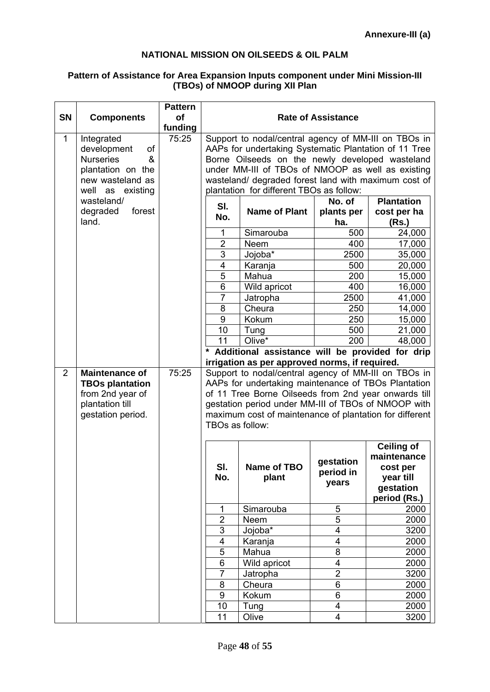### **NATIONAL MISSION ON OILSEEDS & OIL PALM**

### **Pattern of Assistance for Area Expansion Inputs component under Mini Mission-III (TBOs) of NMOOP during XII Plan**

|                |                                                                                                                       | <b>Pattern</b>       |                                                                                                                                                                                                                                                                                                                           |                                                                                                                                                                                                                                                                                       |                                 |                                                                                        |  |
|----------------|-----------------------------------------------------------------------------------------------------------------------|----------------------|---------------------------------------------------------------------------------------------------------------------------------------------------------------------------------------------------------------------------------------------------------------------------------------------------------------------------|---------------------------------------------------------------------------------------------------------------------------------------------------------------------------------------------------------------------------------------------------------------------------------------|---------------------------------|----------------------------------------------------------------------------------------|--|
| <b>SN</b>      | <b>Components</b>                                                                                                     | <b>of</b><br>funding |                                                                                                                                                                                                                                                                                                                           |                                                                                                                                                                                                                                                                                       | <b>Rate of Assistance</b>       |                                                                                        |  |
| $\mathbf{1}$   | Integrated<br>development<br>of<br>&<br><b>Nurseries</b><br>plantation on the<br>new wasteland as<br>well as existing | 75:25                | Support to nodal/central agency of MM-III on TBOs in<br>AAPs for undertaking Systematic Plantation of 11 Tree<br>Borne Oilseeds on the newly developed wasteland<br>under MM-III of TBOs of NMOOP as well as existing<br>wasteland/ degraded forest land with maximum cost of<br>plantation for different TBOs as follow: |                                                                                                                                                                                                                                                                                       |                                 |                                                                                        |  |
|                | wasteland/<br>forest<br>degraded<br>land.                                                                             |                      | <b>Plantation</b><br>No. of<br>SI.<br><b>Name of Plant</b><br>plants per<br>cost per ha<br>No.<br>ha.<br>(Rs.)                                                                                                                                                                                                            |                                                                                                                                                                                                                                                                                       |                                 |                                                                                        |  |
|                |                                                                                                                       |                      | 1                                                                                                                                                                                                                                                                                                                         | Simarouba                                                                                                                                                                                                                                                                             | 500                             | 24,000                                                                                 |  |
|                |                                                                                                                       |                      | $\overline{2}$                                                                                                                                                                                                                                                                                                            | Neem                                                                                                                                                                                                                                                                                  | 400                             | 17,000                                                                                 |  |
|                |                                                                                                                       |                      | 3                                                                                                                                                                                                                                                                                                                         | Jojoba*                                                                                                                                                                                                                                                                               | 2500                            | 35,000                                                                                 |  |
|                |                                                                                                                       |                      | $\overline{4}$                                                                                                                                                                                                                                                                                                            | Karanja                                                                                                                                                                                                                                                                               | 500                             | 20,000                                                                                 |  |
|                |                                                                                                                       |                      | $\overline{5}$                                                                                                                                                                                                                                                                                                            | Mahua                                                                                                                                                                                                                                                                                 | 200                             | 15,000                                                                                 |  |
|                |                                                                                                                       |                      | $6\phantom{1}6$                                                                                                                                                                                                                                                                                                           | Wild apricot                                                                                                                                                                                                                                                                          | 400                             | 16,000                                                                                 |  |
|                |                                                                                                                       |                      | $\overline{7}$                                                                                                                                                                                                                                                                                                            | Jatropha                                                                                                                                                                                                                                                                              | 2500                            | 41,000                                                                                 |  |
|                |                                                                                                                       |                      | 8                                                                                                                                                                                                                                                                                                                         | Cheura                                                                                                                                                                                                                                                                                | 250                             | 14,000                                                                                 |  |
|                |                                                                                                                       |                      | $\overline{9}$                                                                                                                                                                                                                                                                                                            | Kokum                                                                                                                                                                                                                                                                                 | 250                             | 15,000                                                                                 |  |
|                |                                                                                                                       |                      | 10                                                                                                                                                                                                                                                                                                                        | Tung                                                                                                                                                                                                                                                                                  | 500                             | 21,000                                                                                 |  |
|                |                                                                                                                       |                      | 11                                                                                                                                                                                                                                                                                                                        | $Olive^*$                                                                                                                                                                                                                                                                             | 200                             | 48,000                                                                                 |  |
|                |                                                                                                                       |                      | *                                                                                                                                                                                                                                                                                                                         | Additional assistance will be provided for drip                                                                                                                                                                                                                                       |                                 |                                                                                        |  |
|                |                                                                                                                       |                      |                                                                                                                                                                                                                                                                                                                           | irrigation as per approved norms, if required.                                                                                                                                                                                                                                        |                                 |                                                                                        |  |
| $\overline{2}$ | <b>Maintenance of</b><br><b>TBOs plantation</b><br>from 2nd year of<br>plantation till<br>gestation period.           | 75:25                | TBOs as follow:                                                                                                                                                                                                                                                                                                           | Support to nodal/central agency of MM-III on TBOs in<br>AAPs for undertaking maintenance of TBOs Plantation<br>of 11 Tree Borne Oilseeds from 2nd year onwards till<br>gestation period under MM-III of TBOs of NMOOP with<br>maximum cost of maintenance of plantation for different |                                 |                                                                                        |  |
|                |                                                                                                                       |                      | SI.<br>No.                                                                                                                                                                                                                                                                                                                | Name of TBO<br>plant                                                                                                                                                                                                                                                                  | gestation<br>period in<br>years | <b>Ceiling of</b><br>maintenance<br>cost per<br>year till<br>gestation<br>period (Rs.) |  |
|                |                                                                                                                       |                      | 1                                                                                                                                                                                                                                                                                                                         | Simarouba                                                                                                                                                                                                                                                                             | 5                               | 2000                                                                                   |  |
|                |                                                                                                                       |                      | $\overline{2}$                                                                                                                                                                                                                                                                                                            | Neem                                                                                                                                                                                                                                                                                  | 5                               | 2000                                                                                   |  |
|                |                                                                                                                       |                      | 3                                                                                                                                                                                                                                                                                                                         | Jojoba*                                                                                                                                                                                                                                                                               | 4                               | 3200                                                                                   |  |
|                |                                                                                                                       |                      | $\overline{\mathbf{4}}$                                                                                                                                                                                                                                                                                                   | Karanja                                                                                                                                                                                                                                                                               | 4                               | 2000                                                                                   |  |
|                |                                                                                                                       |                      | 5                                                                                                                                                                                                                                                                                                                         | Mahua                                                                                                                                                                                                                                                                                 | 8                               | 2000                                                                                   |  |
|                |                                                                                                                       |                      | $\,6$                                                                                                                                                                                                                                                                                                                     | Wild apricot                                                                                                                                                                                                                                                                          | 4                               | 2000                                                                                   |  |
|                |                                                                                                                       |                      | $\overline{7}$                                                                                                                                                                                                                                                                                                            | Jatropha                                                                                                                                                                                                                                                                              | $\overline{2}$                  | 3200                                                                                   |  |
|                |                                                                                                                       |                      | 8                                                                                                                                                                                                                                                                                                                         | Cheura                                                                                                                                                                                                                                                                                | 6                               | 2000                                                                                   |  |
|                |                                                                                                                       |                      | 9                                                                                                                                                                                                                                                                                                                         | Kokum                                                                                                                                                                                                                                                                                 | 6                               | 2000                                                                                   |  |
|                |                                                                                                                       |                      | 10                                                                                                                                                                                                                                                                                                                        | Tung                                                                                                                                                                                                                                                                                  | 4                               | 2000                                                                                   |  |
|                |                                                                                                                       |                      | 11                                                                                                                                                                                                                                                                                                                        | Olive                                                                                                                                                                                                                                                                                 | $\overline{\mathbf{4}}$         | 3200                                                                                   |  |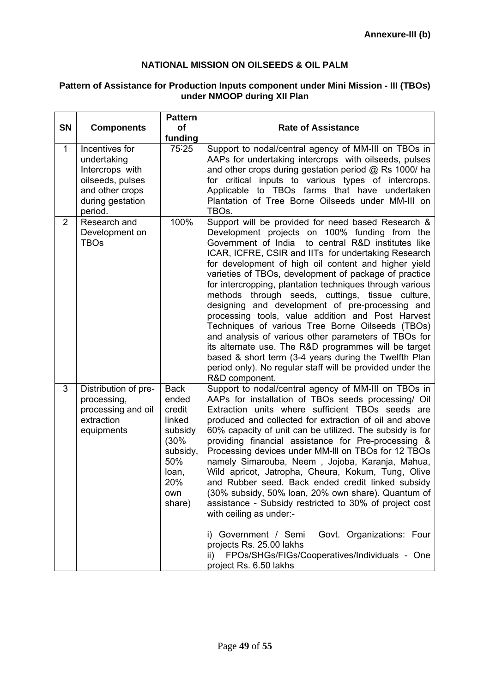### **NATIONAL MISSION ON OILSEEDS & OIL PALM**

#### **SN Components Pattern of funding Rate of Assistance**  1 Incentives for undertaking Intercrops with oilseeds, pulses and other crops during gestation period. 75.25 Support to nodal/central agency of MM-III on TBOs in AAPs for undertaking intercrops with oilseeds, pulses and other crops during gestation period @ Rs 1000/ ha for critical inputs to various types of intercrops. Applicable to TBOs farms that have undertaken Plantation of Tree Borne Oilseeds under MM-III on TBOs. 2 Research and Development on TBOs 100% Support will be provided for need based Research & Development projects on 100% funding from the Government of India to central R&D institutes like ICAR, ICFRE, CSIR and IITs for undertaking Research for development of high oil content and higher yield varieties of TBOs, development of package of practice for intercropping, plantation techniques through various methods through seeds, cuttings, tissue culture, designing and development of pre-processing and processing tools, value addition and Post Harvest Techniques of various Tree Borne Oilseeds (TBOs) and analysis of various other parameters of TBOs for its alternate use. The R&D programmes will be target based & short term (3-4 years during the Twelfth Plan period only). No regular staff will be provided under the R&D component. 3 Distribution of preprocessing, processing and oil extraction equipments **Back** ended credit linked subsidy (30% subsidy, 50% loan, 20% own share) Support to nodal/central agency of MM-III on TBOs in AAPs for installation of TBOs seeds processing/ Oil Extraction units where sufficient TBOs seeds are produced and collected for extraction of oil and above 60% capacity of unit can be utilized. The subsidy is for providing financial assistance for Pre-processing & Processing devices under MM-lll on TBOs for 12 TBOs namely Simarouba, Neem , Jojoba, Karanja, Mahua, Wild apricot, Jatropha, Cheura, Kokum, Tung, Olive and Rubber seed. Back ended credit linked subsidy (30% subsidy, 50% loan, 20% own share). Quantum of assistance - Subsidy restricted to 30% of project cost with ceiling as under: i) Government / Semi Govt. Organizations: Four projects Rs. 25.00 lakhs ii) FPOs/SHGs/FIGs/Cooperatives/Individuals - One project Rs. 6.50 lakhs

### **Pattern of Assistance for Production Inputs component under Mini Mission - III (TBOs) under NMOOP during XII Plan**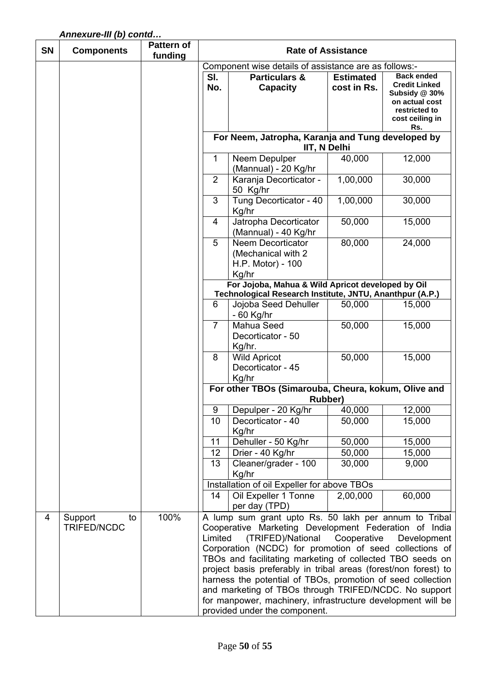# *Annexure-III (b) contd…*

| <b>SN</b> | <b>Components</b> | <b>Pattern of</b><br>funding |                                                                                                               | <b>Rate of Assistance</b>                                                                                                      |                  |                                 |  |  |
|-----------|-------------------|------------------------------|---------------------------------------------------------------------------------------------------------------|--------------------------------------------------------------------------------------------------------------------------------|------------------|---------------------------------|--|--|
|           |                   |                              |                                                                                                               | Component wise details of assistance are as follows:-                                                                          |                  |                                 |  |  |
|           |                   |                              | SI.                                                                                                           | <b>Particulars &amp;</b>                                                                                                       | <b>Estimated</b> | <b>Back ended</b>               |  |  |
|           |                   |                              | No.                                                                                                           | <b>Capacity</b>                                                                                                                | cost in Rs.      | <b>Credit Linked</b>            |  |  |
|           |                   |                              |                                                                                                               |                                                                                                                                |                  | Subsidy @ 30%                   |  |  |
|           |                   |                              |                                                                                                               |                                                                                                                                |                  | on actual cost<br>restricted to |  |  |
|           |                   |                              |                                                                                                               |                                                                                                                                |                  | cost ceiling in                 |  |  |
|           |                   |                              |                                                                                                               |                                                                                                                                |                  | Rs.                             |  |  |
|           |                   |                              |                                                                                                               | For Neem, Jatropha, Karanja and Tung developed by<br>IIT, N Delhi                                                              |                  |                                 |  |  |
|           |                   |                              | $\mathbf{1}$                                                                                                  | Neem Depulper<br>(Mannual) - 20 Kg/hr                                                                                          | 40,000           | 12,000                          |  |  |
|           |                   |                              | 2                                                                                                             | Karanja Decorticator -                                                                                                         | 1,00,000         | 30,000                          |  |  |
|           |                   |                              |                                                                                                               | 50 Kg/hr                                                                                                                       |                  |                                 |  |  |
|           |                   |                              | 3                                                                                                             | Tung Decorticator - 40<br>Kg/hr                                                                                                | 1,00,000         | 30,000                          |  |  |
|           |                   |                              | 4                                                                                                             | Jatropha Decorticator<br>(Mannual) - 40 Kg/hr                                                                                  | 50,000           | 15,000                          |  |  |
|           |                   |                              | 5                                                                                                             | <b>Neem Decorticator</b><br>(Mechanical with 2                                                                                 | 80,000           | 24,000                          |  |  |
|           |                   |                              |                                                                                                               | H.P. Motor) - 100<br>Kg/hr                                                                                                     |                  |                                 |  |  |
|           |                   |                              | For Jojoba, Mahua & Wild Apricot developed by Oil<br>Technological Research Institute, JNTU, Ananthpur (A.P.) |                                                                                                                                |                  |                                 |  |  |
|           |                   |                              | Jojoba Seed Dehuller<br>6<br>50,000<br>15,000                                                                 |                                                                                                                                |                  |                                 |  |  |
|           |                   |                              |                                                                                                               | $-60$ Kg/hr                                                                                                                    |                  |                                 |  |  |
|           |                   |                              | $\overline{7}$                                                                                                | Mahua Seed                                                                                                                     | 50,000           | 15,000                          |  |  |
|           |                   |                              |                                                                                                               | Decorticator - 50                                                                                                              |                  |                                 |  |  |
|           |                   |                              |                                                                                                               | Kg/hr.                                                                                                                         |                  |                                 |  |  |
|           |                   |                              | 8                                                                                                             | <b>Wild Apricot</b>                                                                                                            | 50,000           | 15,000                          |  |  |
|           |                   |                              |                                                                                                               | Decorticator - 45                                                                                                              |                  |                                 |  |  |
|           |                   |                              |                                                                                                               | Kg/hr<br>For other TBOs (Simarouba, Cheura, kokum, Olive and                                                                   |                  |                                 |  |  |
|           |                   |                              |                                                                                                               | Rubber)                                                                                                                        |                  |                                 |  |  |
|           |                   |                              | 9                                                                                                             | Depulper - 20 Kg/hr                                                                                                            | 40,000           | 12,000                          |  |  |
|           |                   |                              | 10                                                                                                            | Decorticator - 40                                                                                                              | 50,000           | 15,000                          |  |  |
|           |                   |                              |                                                                                                               | Kg/hr                                                                                                                          |                  |                                 |  |  |
|           |                   |                              | 11                                                                                                            | Dehuller - 50 Kg/hr                                                                                                            | 50,000           | 15,000                          |  |  |
|           |                   |                              | 12                                                                                                            | Drier - 40 Kg/hr                                                                                                               | 50,000           | 15,000                          |  |  |
|           |                   |                              | 13                                                                                                            | Cleaner/grader - 100<br>Kg/hr                                                                                                  | 30,000           | 9,000                           |  |  |
|           |                   |                              |                                                                                                               | Installation of oil Expeller for above TBOs                                                                                    |                  |                                 |  |  |
|           |                   |                              | 14                                                                                                            | Oil Expeller 1 Tonne                                                                                                           | 2,00,000         | 60,000                          |  |  |
|           |                   |                              |                                                                                                               | per day (TPD)                                                                                                                  |                  |                                 |  |  |
| 4         | Support<br>to     | 100%                         |                                                                                                               | A lump sum grant upto Rs. 50 lakh per annum to Tribal                                                                          |                  |                                 |  |  |
|           | TRIFED/NCDC       |                              |                                                                                                               | Cooperative Marketing Development Federation of India                                                                          |                  |                                 |  |  |
|           |                   |                              | (TRIFED)/National<br>Limited<br>Cooperative<br>Development                                                    |                                                                                                                                |                  |                                 |  |  |
|           |                   |                              | Corporation (NCDC) for promotion of seed collections of                                                       |                                                                                                                                |                  |                                 |  |  |
|           |                   |                              | TBOs and facilitating marketing of collected TBO seeds on                                                     |                                                                                                                                |                  |                                 |  |  |
|           |                   |                              |                                                                                                               | project basis preferably in tribal areas (forest/non forest) to<br>harness the potential of TBOs, promotion of seed collection |                  |                                 |  |  |
|           |                   |                              |                                                                                                               |                                                                                                                                |                  |                                 |  |  |
|           |                   |                              |                                                                                                               | and marketing of TBOs through TRIFED/NCDC. No support<br>for manpower, machinery, infrastructure development will be           |                  |                                 |  |  |
|           |                   |                              |                                                                                                               | provided under the component.                                                                                                  |                  |                                 |  |  |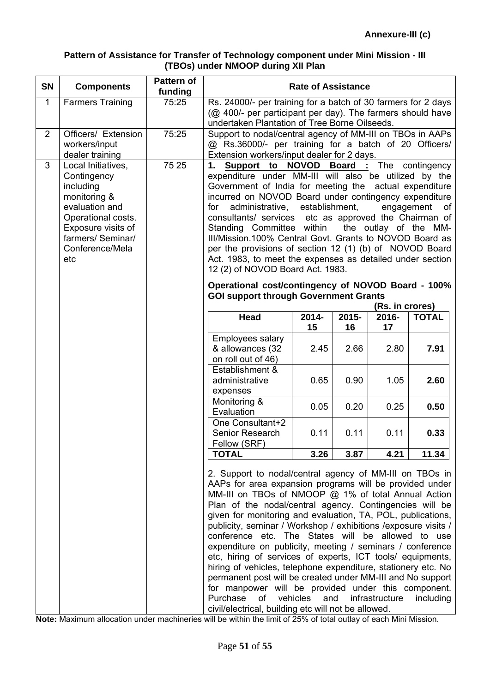### **Pattern of Assistance for Transfer of Technology component under Mini Mission - III (TBOs) under NMOOP during XII Plan**

| <b>SN</b>    | <b>Components</b>                                                                                                                                                           | Pattern of<br>funding | <b>Rate of Assistance</b>                                                                                                                                                                                                                                                                                                                                                                                                                                                                                                                                                                                                                                                                                                                                                                                                                                               |             |             |                                |              |
|--------------|-----------------------------------------------------------------------------------------------------------------------------------------------------------------------------|-----------------------|-------------------------------------------------------------------------------------------------------------------------------------------------------------------------------------------------------------------------------------------------------------------------------------------------------------------------------------------------------------------------------------------------------------------------------------------------------------------------------------------------------------------------------------------------------------------------------------------------------------------------------------------------------------------------------------------------------------------------------------------------------------------------------------------------------------------------------------------------------------------------|-------------|-------------|--------------------------------|--------------|
| $\mathbf{1}$ | <b>Farmers Training</b>                                                                                                                                                     | 75:25                 | Rs. 24000/- per training for a batch of 30 farmers for 2 days<br>(@ 400/- per participant per day). The farmers should have<br>undertaken Plantation of Tree Borne Oilseeds.                                                                                                                                                                                                                                                                                                                                                                                                                                                                                                                                                                                                                                                                                            |             |             |                                |              |
| 2            | Officers/ Extension<br>workers/input<br>dealer training                                                                                                                     | 75:25                 | Support to nodal/central agency of MM-III on TBOs in AAPs<br>@ Rs.36000/- per training for a batch of 20 Officers/<br>Extension workers/input dealer for 2 days.                                                                                                                                                                                                                                                                                                                                                                                                                                                                                                                                                                                                                                                                                                        |             |             |                                |              |
| 3            | Local Initiatives,<br>Contingency<br>including<br>monitoring &<br>evaluation and<br>Operational costs.<br>Exposure visits of<br>farmers/ Seminar/<br>Conference/Mela<br>etc | 75 25                 | <b>NOVOD Board:</b> The contingency<br>Support to<br>1.<br>expenditure under MM-III will also be utilized by the<br>Government of India for meeting the actual expenditure<br>incurred on NOVOD Board under contingency expenditure<br>administrative, establishment,<br>engagement of<br>for<br>consultants/ services<br>etc as approved the Chairman of<br>Standing Committee within<br>the outlay of the MM-<br>III/Mission.100% Central Govt. Grants to NOVOD Board as<br>per the provisions of section 12 (1) (b) of NOVOD Board<br>Act. 1983, to meet the expenses as detailed under section<br>12 (2) of NOVOD Board Act. 1983.                                                                                                                                                                                                                                  |             |             |                                |              |
|              |                                                                                                                                                                             |                       | Operational cost/contingency of NOVOD Board - 100%<br><b>GOI support through Government Grants</b>                                                                                                                                                                                                                                                                                                                                                                                                                                                                                                                                                                                                                                                                                                                                                                      |             |             |                                |              |
|              |                                                                                                                                                                             |                       | <b>Head</b>                                                                                                                                                                                                                                                                                                                                                                                                                                                                                                                                                                                                                                                                                                                                                                                                                                                             | 2014-<br>15 | 2015-<br>16 | (Rs. in crores)<br>2016-<br>17 | <b>TOTAL</b> |
|              |                                                                                                                                                                             |                       | Employees salary<br>& allowances (32<br>on roll out of 46)                                                                                                                                                                                                                                                                                                                                                                                                                                                                                                                                                                                                                                                                                                                                                                                                              | 2.45        | 2.66        | 2.80                           | 7.91         |
|              |                                                                                                                                                                             |                       | Establishment &<br>administrative<br>expenses                                                                                                                                                                                                                                                                                                                                                                                                                                                                                                                                                                                                                                                                                                                                                                                                                           | 0.65        | 0.90        | 1.05                           | 2.60         |
|              |                                                                                                                                                                             |                       | Monitoring &<br>Evaluation                                                                                                                                                                                                                                                                                                                                                                                                                                                                                                                                                                                                                                                                                                                                                                                                                                              | 0.05        | 0.20        | 0.25                           | 0.50         |
|              |                                                                                                                                                                             |                       | One Consultant+2<br>Senior Research<br>Fellow (SRF)                                                                                                                                                                                                                                                                                                                                                                                                                                                                                                                                                                                                                                                                                                                                                                                                                     | 0.11        | 0.11        | 0.11                           | 0.33         |
|              |                                                                                                                                                                             |                       | <b>TOTAL</b>                                                                                                                                                                                                                                                                                                                                                                                                                                                                                                                                                                                                                                                                                                                                                                                                                                                            | 3.26        | 3.87        | 4.21                           | 11.34        |
|              |                                                                                                                                                                             |                       | 2. Support to nodal/central agency of MM-III on TBOs in<br>AAPs for area expansion programs will be provided under<br>MM-III on TBOs of NMOOP @ 1% of total Annual Action<br>Plan of the nodal/central agency. Contingencies will be<br>given for monitoring and evaluation, TA, POL, publications,<br>publicity, seminar / Workshop / exhibitions / exposure visits /<br>conference etc. The States will be allowed to use<br>expenditure on publicity, meeting / seminars / conference<br>etc, hiring of services of experts, ICT tools/ equipments,<br>hiring of vehicles, telephone expenditure, stationery etc. No<br>permanent post will be created under MM-III and No support<br>for manpower will be provided under this component.<br>Purchase<br>of<br>vehicles<br>and<br>infrastructure<br>including<br>civil/electrical, building etc will not be allowed. |             |             |                                |              |

**Note:** Maximum allocation under machineries will be within the limit of 25% of total outlay of each Mini Mission.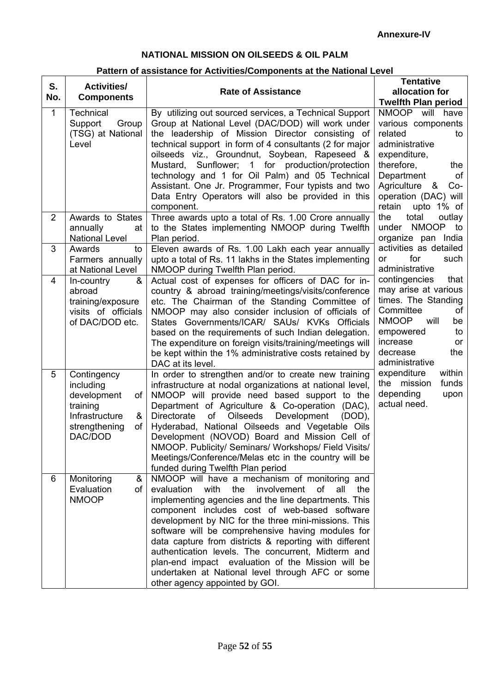### **NATIONAL MISSION ON OILSEEDS & OIL PALM**

# **Pattern of assistance for Activities/Components at the National Level**

| S.<br>No.      | <b>Activities/</b><br><b>Components</b>                                                                            | <b>Rate of Assistance</b>                                                                                                                                                                                                                                                                                                                                                                                                                                                                                                                                                                      | <b>Tentative</b><br>allocation for<br><b>Twelfth Plan period</b>                                                                                                                                                   |
|----------------|--------------------------------------------------------------------------------------------------------------------|------------------------------------------------------------------------------------------------------------------------------------------------------------------------------------------------------------------------------------------------------------------------------------------------------------------------------------------------------------------------------------------------------------------------------------------------------------------------------------------------------------------------------------------------------------------------------------------------|--------------------------------------------------------------------------------------------------------------------------------------------------------------------------------------------------------------------|
| $\mathbf{1}$   | <b>Technical</b><br>Support<br>Group<br>(TSG) at National<br>Level                                                 | By utilizing out sourced services, a Technical Support<br>Group at National Level (DAC/DOD) will work under<br>the leadership of Mission Director consisting of<br>technical support in form of 4 consultants (2 for major<br>oilseeds viz., Groundnut, Soybean, Rapeseed &<br>Mustard, Sunflower; 1 for production/protection<br>technology and 1 for Oil Palm) and 05 Technical<br>Assistant. One Jr. Programmer, Four typists and two<br>Data Entry Operators will also be provided in this<br>component.                                                                                   | NMOOP will have<br>various components<br>related<br>to<br>administrative<br>expenditure,<br>therefore,<br>the<br>Department<br><b>of</b><br>Agriculture &<br>$Co-$<br>operation (DAC) will<br>retain<br>upto 1% of |
| $\overline{2}$ | Awards to States<br>annually<br>at<br><b>National Level</b>                                                        | Three awards upto a total of Rs. 1.00 Crore annually<br>to the States implementing NMOOP during Twelfth<br>Plan period.                                                                                                                                                                                                                                                                                                                                                                                                                                                                        | the<br>total<br>outlay<br>under NMOOP to<br>organize pan India                                                                                                                                                     |
| 3              | Awards<br>to<br>Farmers annually<br>at National Level                                                              | Eleven awards of Rs. 1.00 Lakh each year annually<br>upto a total of Rs. 11 lakhs in the States implementing<br>NMOOP during Twelfth Plan period.                                                                                                                                                                                                                                                                                                                                                                                                                                              | activities as detailed<br>for<br>such<br>or<br>administrative                                                                                                                                                      |
| $\overline{4}$ | In-country<br>&<br>abroad<br>training/exposure<br>visits of officials<br>of DAC/DOD etc.                           | Actual cost of expenses for officers of DAC for in-<br>country & abroad training/meetings/visits/conference<br>etc. The Chairman of the Standing Committee of<br>NMOOP may also consider inclusion of officials of<br>States Governments/ICAR/ SAUs/ KVKs Officials<br>based on the requirements of such Indian delegation.<br>The expenditure on foreign visits/training/meetings will<br>be kept within the 1% administrative costs retained by<br>DAC at its level.                                                                                                                         | contingencies<br>that<br>may arise at various<br>times. The Standing<br>Committee<br>of<br><b>NMOOP</b><br>will<br>be<br>to<br>empowered<br>increase<br><b>or</b><br>decrease<br>the<br>administrative             |
| 5              | Contingency<br>including<br>development<br>οf<br>training<br>Infrastructure<br>&<br>strengthening<br>οf<br>DAC/DOD | In order to strengthen and/or to create new training<br>infrastructure at nodal organizations at national level,<br>NMOOP will provide need based support to the<br>Department of Agriculture & Co-operation (DAC),<br><b>Oilseeds</b><br>Development<br>of<br><b>Directorate</b><br>$(DOD)$ ,<br>Hyderabad, National Oilseeds and Vegetable Oils<br>Development (NOVOD) Board and Mission Cell of<br>NMOOP. Publicity/ Seminars/ Workshops/ Field Visits/<br>Meetings/Conference/Melas etc in the country will be<br>funded during Twelfth Plan period                                        | within<br>expenditure<br>the mission<br>funds<br>depending<br>upon<br>actual need.                                                                                                                                 |
| 6              | &<br>Monitoring<br>Evaluation<br>of<br><b>NMOOP</b>                                                                | NMOOP will have a mechanism of monitoring and<br>evaluation<br>with<br>the<br>involvement<br>of<br>all<br>the<br>implementing agencies and the line departments. This<br>component includes cost of web-based software<br>development by NIC for the three mini-missions. This<br>software will be comprehensive having modules for<br>data capture from districts & reporting with different<br>authentication levels. The concurrent, Midterm and<br>plan-end impact evaluation of the Mission will be<br>undertaken at National level through AFC or some<br>other agency appointed by GOI. |                                                                                                                                                                                                                    |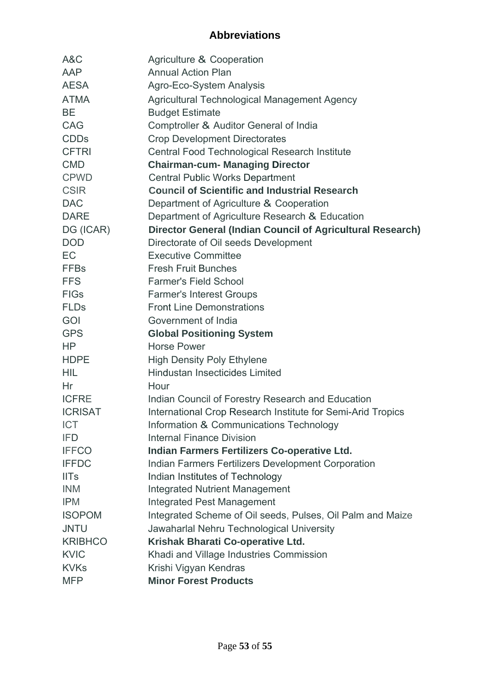# **Abbreviations**

| A&C            | Agriculture & Cooperation                                   |
|----------------|-------------------------------------------------------------|
| AAP            | <b>Annual Action Plan</b>                                   |
| <b>AESA</b>    | Agro-Eco-System Analysis                                    |
| <b>ATMA</b>    | Agricultural Technological Management Agency                |
| <b>BE</b>      | <b>Budget Estimate</b>                                      |
| CAG            | Comptroller & Auditor General of India                      |
| <b>CDDs</b>    | <b>Crop Development Directorates</b>                        |
| <b>CFTRI</b>   | Central Food Technological Research Institute               |
| <b>CMD</b>     | <b>Chairman-cum- Managing Director</b>                      |
| <b>CPWD</b>    | <b>Central Public Works Department</b>                      |
| <b>CSIR</b>    | <b>Council of Scientific and Industrial Research</b>        |
| <b>DAC</b>     | Department of Agriculture & Cooperation                     |
| <b>DARE</b>    | Department of Agriculture Research & Education              |
| DG (ICAR)      | Director General (Indian Council of Agricultural Research)  |
| <b>DOD</b>     | Directorate of Oil seeds Development                        |
| <b>EC</b>      | <b>Executive Committee</b>                                  |
| <b>FFBs</b>    | <b>Fresh Fruit Bunches</b>                                  |
| <b>FFS</b>     | <b>Farmer's Field School</b>                                |
| <b>FIGs</b>    | <b>Farmer's Interest Groups</b>                             |
| <b>FLDs</b>    | <b>Front Line Demonstrations</b>                            |
| GOI            | Government of India                                         |
| <b>GPS</b>     | <b>Global Positioning System</b>                            |
| HP             | <b>Horse Power</b>                                          |
| <b>HDPE</b>    | <b>High Density Poly Ethylene</b>                           |
| <b>HIL</b>     | Hindustan Insecticides Limited                              |
| Hr             | Hour                                                        |
| <b>ICFRE</b>   | Indian Council of Forestry Research and Education           |
| <b>ICRISAT</b> | International Crop Research Institute for Semi-Arid Tropics |
| <b>ICT</b>     | Information & Communications Technology                     |
| <b>IFD</b>     | <b>Internal Finance Division</b>                            |
| <b>IFFCO</b>   | Indian Farmers Fertilizers Co-operative Ltd.                |
| <b>IFFDC</b>   | Indian Farmers Fertilizers Development Corporation          |
| <b>IITs</b>    | Indian Institutes of Technology                             |
| <b>INM</b>     | <b>Integrated Nutrient Management</b>                       |
| <b>IPM</b>     | <b>Integrated Pest Management</b>                           |
| <b>ISOPOM</b>  | Integrated Scheme of Oil seeds, Pulses, Oil Palm and Maize  |
| <b>JNTU</b>    | Jawaharlal Nehru Technological University                   |
| <b>KRIBHCO</b> | Krishak Bharati Co-operative Ltd.                           |
| <b>KVIC</b>    | Khadi and Village Industries Commission                     |
| <b>KVKs</b>    | Krishi Vigyan Kendras                                       |
| <b>MFP</b>     | <b>Minor Forest Products</b>                                |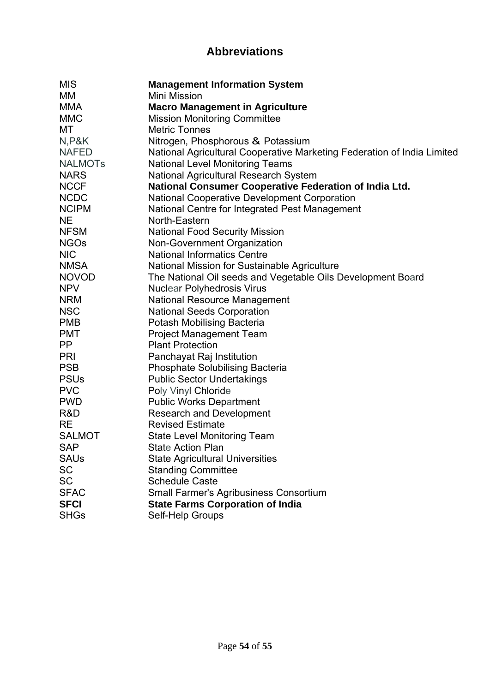# **Abbreviations**

| <b>MIS</b>     | <b>Management Information System</b>                                    |
|----------------|-------------------------------------------------------------------------|
| МM             | Mini Mission                                                            |
| <b>MMA</b>     | <b>Macro Management in Agriculture</b>                                  |
| <b>MMC</b>     | <b>Mission Monitoring Committee</b>                                     |
| МT             | <b>Metric Tonnes</b>                                                    |
| N, P&K         | Nitrogen, Phosphorous & Potassium                                       |
| <b>NAFED</b>   | National Agricultural Cooperative Marketing Federation of India Limited |
| <b>NALMOTS</b> | <b>National Level Monitoring Teams</b>                                  |
| <b>NARS</b>    | <b>National Agricultural Research System</b>                            |
| <b>NCCF</b>    | <b>National Consumer Cooperative Federation of India Ltd.</b>           |
| <b>NCDC</b>    | <b>National Cooperative Development Corporation</b>                     |
| <b>NCIPM</b>   | National Centre for Integrated Pest Management                          |
| <b>NE</b>      | North-Eastern                                                           |
| <b>NFSM</b>    | <b>National Food Security Mission</b>                                   |
| <b>NGOs</b>    | Non-Government Organization                                             |
| <b>NIC</b>     | <b>National Informatics Centre</b>                                      |
| <b>NMSA</b>    | National Mission for Sustainable Agriculture                            |
| <b>NOVOD</b>   | The National Oil seeds and Vegetable Oils Development Board             |
| <b>NPV</b>     | <b>Nuclear Polyhedrosis Virus</b>                                       |
| <b>NRM</b>     | National Resource Management                                            |
| <b>NSC</b>     | <b>National Seeds Corporation</b>                                       |
| <b>PMB</b>     | Potash Mobilising Bacteria                                              |
| <b>PMT</b>     | <b>Project Management Team</b>                                          |
| PP             | <b>Plant Protection</b>                                                 |
| <b>PRI</b>     | Panchayat Raj Institution                                               |
| <b>PSB</b>     | <b>Phosphate Solubilising Bacteria</b>                                  |
| <b>PSUs</b>    | <b>Public Sector Undertakings</b>                                       |
| <b>PVC</b>     | Poly Vinyl Chloride                                                     |
| <b>PWD</b>     | <b>Public Works Department</b>                                          |
| R&D            | <b>Research and Development</b>                                         |
| <b>RE</b>      | <b>Revised Estimate</b>                                                 |
| <b>SALMOT</b>  | <b>State Level Monitoring Team</b>                                      |
| <b>SAP</b>     | State Action Plan                                                       |
| <b>SAUs</b>    | <b>State Agricultural Universities</b>                                  |
| <b>SC</b>      | <b>Standing Committee</b>                                               |
| <b>SC</b>      | <b>Schedule Caste</b>                                                   |
| <b>SFAC</b>    | <b>Small Farmer's Agribusiness Consortium</b>                           |
| <b>SFCI</b>    | <b>State Farms Corporation of India</b>                                 |
| <b>SHGs</b>    | Self-Help Groups                                                        |